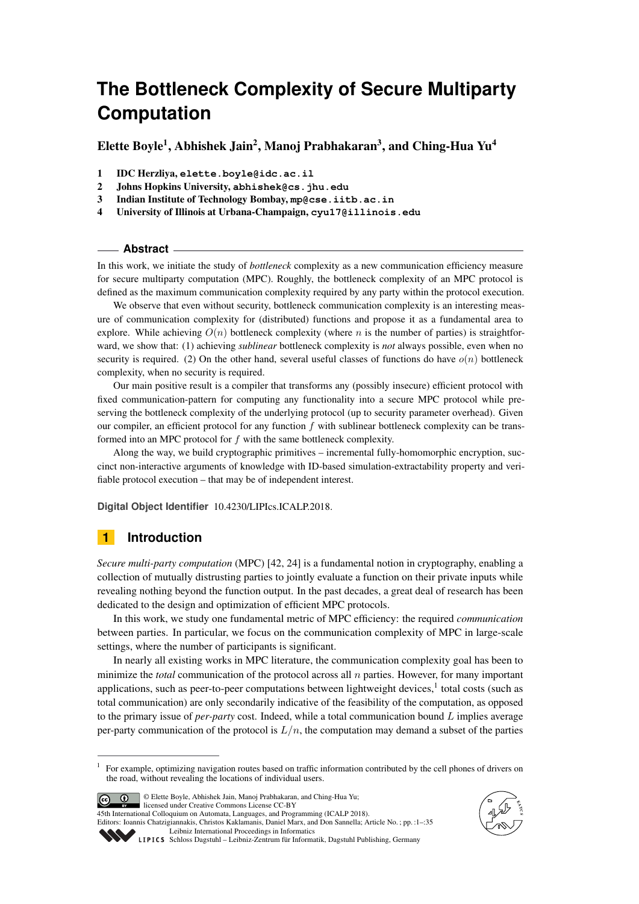# **The Bottleneck Complexity of Secure Multiparty Computation**

Elette Boyle<sup>1</sup>, Abhishek Jain<sup>2</sup>, Manoj Prabhakaran<sup>3</sup>, and Ching-Hua Yu<sup>4</sup>

- 1 IDC Herzliya, **elette.boyle@idc.ac.il**
- 2 Johns Hopkins University, **abhishek@cs.jhu.edu**
- 3 Indian Institute of Technology Bombay, **mp@cse.iitb.ac.in**
- 4 University of Illinois at Urbana-Champaign, **cyu17@illinois.edu**

#### **Abstract**

In this work, we initiate the study of *bottleneck* complexity as a new communication efficiency measure for secure multiparty computation (MPC). Roughly, the bottleneck complexity of an MPC protocol is defined as the maximum communication complexity required by any party within the protocol execution.

We observe that even without security, bottleneck communication complexity is an interesting measure of communication complexity for (distributed) functions and propose it as a fundamental area to explore. While achieving  $O(n)$  bottleneck complexity (where *n* is the number of parties) is straightforward, we show that: (1) achieving *sublinear* bottleneck complexity is *not* always possible, even when no security is required. (2) On the other hand, several useful classes of functions do have  $o(n)$  bottleneck complexity, when no security is required.

Our main positive result is a compiler that transforms any (possibly insecure) efficient protocol with fixed communication-pattern for computing any functionality into a secure MPC protocol while preserving the bottleneck complexity of the underlying protocol (up to security parameter overhead). Given our compiler, an efficient protocol for any function *f* with sublinear bottleneck complexity can be transformed into an MPC protocol for *f* with the same bottleneck complexity.

Along the way, we build cryptographic primitives – incremental fully-homomorphic encryption, succinct non-interactive arguments of knowledge with ID-based simulation-extractability property and verifiable protocol execution – that may be of independent interest.

**Digital Object Identifier** [10.4230/LIPIcs.ICALP.2018.](http://dx.doi.org/10.4230/LIPIcs.ICALP.2018.)

# **1 Introduction**

*Secure multi-party computation* (MPC) [\[42,](#page-14-0) [24\]](#page-13-0) is a fundamental notion in cryptography, enabling a collection of mutually distrusting parties to jointly evaluate a function on their private inputs while revealing nothing beyond the function output. In the past decades, a great deal of research has been dedicated to the design and optimization of efficient MPC protocols.

In this work, we study one fundamental metric of MPC efficiency: the required *communication* between parties. In particular, we focus on the communication complexity of MPC in large-scale settings, where the number of participants is significant.

In nearly all existing works in MPC literature, the communication complexity goal has been to minimize the *total* communication of the protocol across all *n* parties. However, for many important applications, such as peer-to-peer computations between lightweight devices,<sup>[1](#page-0-0)</sup> total costs (such as total communication) are only secondarily indicative of the feasibility of the computation, as opposed to the primary issue of *per-party* cost. Indeed, while a total communication bound *L* implies average per-party communication of the protocol is  $L/n$ , the computation may demand a subset of the parties

<span id="page-0-0"></span><sup>1</sup> For example, optimizing navigation routes based on traffic information contributed by the cell phones of drivers on the road, without revealing the locations of individual users.



© Elette Boyle, Abhishek Jain, Manoj Prabhakaran, and Ching-Hua Yu; licensed under Creative Commons License CC-BY 45th International Colloquium on Automata, Languages, and Programming (ICALP 2018).



Editors: Ioannis Chatzigiannakis, Christos Kaklamanis, Daniel Marx, and Don Sannella; Article No. ; pp. :1–[:35](#page-34-0) [Leibniz International Proceedings in Informatics](http://www.dagstuhl.de/lipics/)

[Schloss Dagstuhl – Leibniz-Zentrum für Informatik, Dagstuhl Publishing, Germany](http://www.dagstuhl.de)<br>LIPICS Schloss Dagstuhl – Leibniz-Zentrum für Informatik, Dagstuhl Publishing, Germany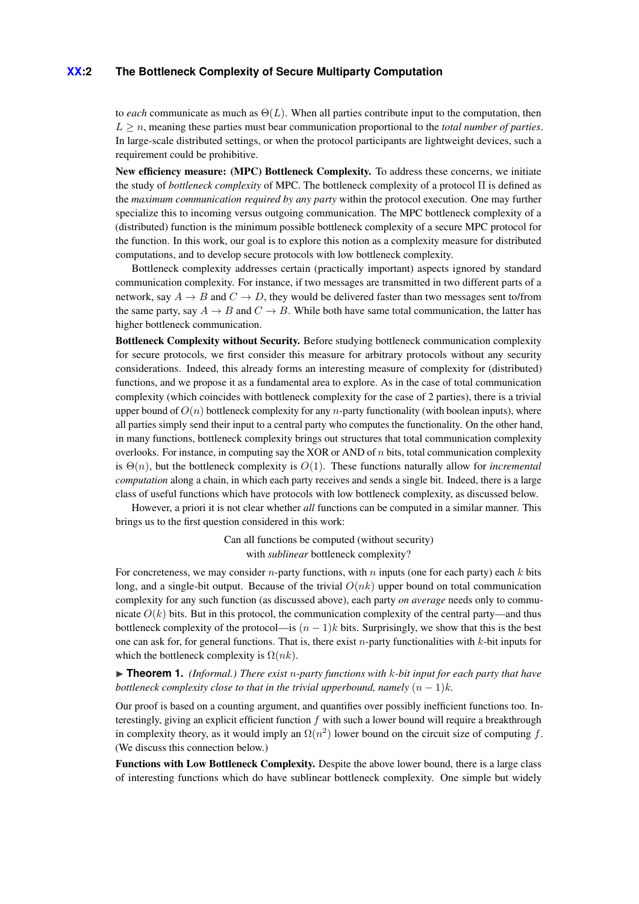### **XX:2 The Bottleneck Complexity of Secure Multiparty Computation**

to *each* communicate as much as Θ(*L*). When all parties contribute input to the computation, then  $L > n$ , meaning these parties must bear communication proportional to the *total number of parties*. In large-scale distributed settings, or when the protocol participants are lightweight devices, such a requirement could be prohibitive.

New efficiency measure: (MPC) Bottleneck Complexity. To address these concerns, we initiate the study of *bottleneck complexity* of MPC. The bottleneck complexity of a protocol Π is defined as the *maximum communication required by any party* within the protocol execution. One may further specialize this to incoming versus outgoing communication. The MPC bottleneck complexity of a (distributed) function is the minimum possible bottleneck complexity of a secure MPC protocol for the function. In this work, our goal is to explore this notion as a complexity measure for distributed computations, and to develop secure protocols with low bottleneck complexity.

Bottleneck complexity addresses certain (practically important) aspects ignored by standard communication complexity. For instance, if two messages are transmitted in two different parts of a network, say  $A \rightarrow B$  and  $C \rightarrow D$ , they would be delivered faster than two messages sent to/from the same party, say  $A \rightarrow B$  and  $C \rightarrow B$ . While both have same total communication, the latter has higher bottleneck communication.

Bottleneck Complexity without Security. Before studying bottleneck communication complexity for secure protocols, we first consider this measure for arbitrary protocols without any security considerations. Indeed, this already forms an interesting measure of complexity for (distributed) functions, and we propose it as a fundamental area to explore. As in the case of total communication complexity (which coincides with bottleneck complexity for the case of 2 parties), there is a trivial upper bound of  $O(n)$  bottleneck complexity for any *n*-party functionality (with boolean inputs), where all parties simply send their input to a central party who computes the functionality. On the other hand, in many functions, bottleneck complexity brings out structures that total communication complexity overlooks. For instance, in computing say the XOR or AND of *n* bits, total communication complexity is  $\Theta(n)$ , but the bottleneck complexity is  $O(1)$ . These functions naturally allow for *incremental computation* along a chain, in which each party receives and sends a single bit. Indeed, there is a large class of useful functions which have protocols with low bottleneck complexity, as discussed below.

However, a priori it is not clear whether *all* functions can be computed in a similar manner. This brings us to the first question considered in this work:

> Can all functions be computed (without security) with *sublinear* bottleneck complexity?

For concreteness, we may consider *n*-party functions, with *n* inputs (one for each party) each *k* bits long, and a single-bit output. Because of the trivial *O*(*nk*) upper bound on total communication complexity for any such function (as discussed above), each party *on average* needs only to communicate  $O(k)$  bits. But in this protocol, the communication complexity of the central party—and thus bottleneck complexity of the protocol—is  $(n - 1)k$  bits. Surprisingly, we show that this is the best one can ask for, for general functions. That is, there exist *n*-party functionalities with *k*-bit inputs for which the bottleneck complexity is  $\Omega(nk)$ .

▶ **Theorem 1.** *(Informal.) There exist n-party functions with k-bit input for each party that have bottleneck complexity close to that in the trivial upperbound, namely*  $(n - 1)k$ *.* 

Our proof is based on a counting argument, and quantifies over possibly inefficient functions too. Interestingly, giving an explicit efficient function *f* with such a lower bound will require a breakthrough in complexity theory, as it would imply an  $\Omega(n^2)$  lower bound on the circuit size of computing f. (We discuss this connection below.)

Functions with Low Bottleneck Complexity. Despite the above lower bound, there is a large class of interesting functions which do have sublinear bottleneck complexity. One simple but widely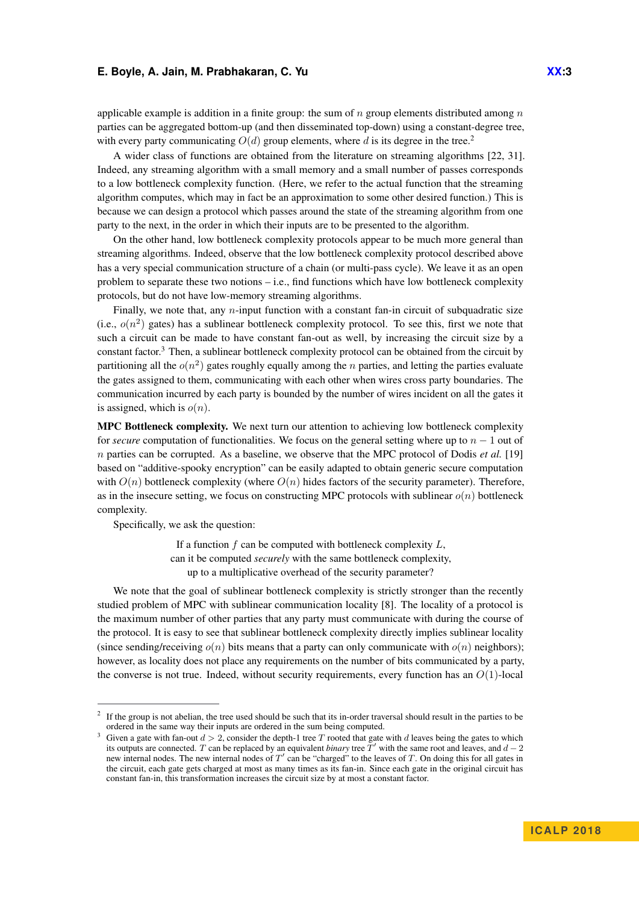applicable example is addition in a finite group: the sum of *n* group elements distributed among *n* parties can be aggregated bottom-up (and then disseminated top-down) using a constant-degree tree, with every party communicating  $O(d)$  group elements, where d is its degree in the tree.<sup>[2](#page-2-0)</sup>

A wider class of functions are obtained from the literature on streaming algorithms [\[22,](#page-13-1) [31\]](#page-13-2). Indeed, any streaming algorithm with a small memory and a small number of passes corresponds to a low bottleneck complexity function. (Here, we refer to the actual function that the streaming algorithm computes, which may in fact be an approximation to some other desired function.) This is because we can design a protocol which passes around the state of the streaming algorithm from one party to the next, in the order in which their inputs are to be presented to the algorithm.

On the other hand, low bottleneck complexity protocols appear to be much more general than streaming algorithms. Indeed, observe that the low bottleneck complexity protocol described above has a very special communication structure of a chain (or multi-pass cycle). We leave it as an open problem to separate these two notions – i.e., find functions which have low bottleneck complexity protocols, but do not have low-memory streaming algorithms.

Finally, we note that, any *n*-input function with a constant fan-in circuit of subquadratic size (i.e.,  $o(n^2)$  gates) has a sublinear bottleneck complexity protocol. To see this, first we note that such a circuit can be made to have constant fan-out as well, by increasing the circuit size by a constant factor.[3](#page-2-1) Then, a sublinear bottleneck complexity protocol can be obtained from the circuit by partitioning all the  $o(n^2)$  gates roughly equally among the *n* parties, and letting the parties evaluate the gates assigned to them, communicating with each other when wires cross party boundaries. The communication incurred by each party is bounded by the number of wires incident on all the gates it is assigned, which is  $o(n)$ .

MPC Bottleneck complexity. We next turn our attention to achieving low bottleneck complexity for *secure* computation of functionalities. We focus on the general setting where up to *n* − 1 out of *n* parties can be corrupted. As a baseline, we observe that the MPC protocol of Dodis *et al.* [\[19\]](#page-13-3) based on "additive-spooky encryption" can be easily adapted to obtain generic secure computation with  $O(n)$  bottleneck complexity (where  $O(n)$ ) hides factors of the security parameter). Therefore, as in the insecure setting, we focus on constructing MPC protocols with sublinear  $o(n)$  bottleneck complexity.

Specifically, we ask the question:

If a function *f* can be computed with bottleneck complexity *L*, can it be computed *securely* with the same bottleneck complexity, up to a multiplicative overhead of the security parameter?

We note that the goal of sublinear bottleneck complexity is strictly stronger than the recently studied problem of MPC with sublinear communication locality [\[8\]](#page-12-0). The locality of a protocol is the maximum number of other parties that any party must communicate with during the course of the protocol. It is easy to see that sublinear bottleneck complexity directly implies sublinear locality (since sending/receiving  $o(n)$  bits means that a party can only communicate with  $o(n)$  neighbors); however, as locality does not place any requirements on the number of bits communicated by a party, the converse is not true. Indeed, without security requirements, every function has an *O*(1)-local

<span id="page-2-0"></span><sup>&</sup>lt;sup>2</sup> If the group is not abelian, the tree used should be such that its in-order traversal should result in the parties to be ordered in the same way their inputs are ordered in the sum being computed.

<span id="page-2-1"></span><sup>&</sup>lt;sup>3</sup> Given a gate with fan-out  $d > 2$ , consider the depth-1 tree *T* rooted that gate with *d* leaves being the gates to which its outputs are connected. *T* can be replaced by an equivalent *binary* tree  $\tilde{T}'$  with the same root and leaves, and  $d-2$ new internal nodes. The new internal nodes of  $T'$  can be "charged" to the leaves of  $T$ . On doing this for all gates in the circuit, each gate gets charged at most as many times as its fan-in. Since each gate in the original circuit has constant fan-in, this transformation increases the circuit size by at most a constant factor.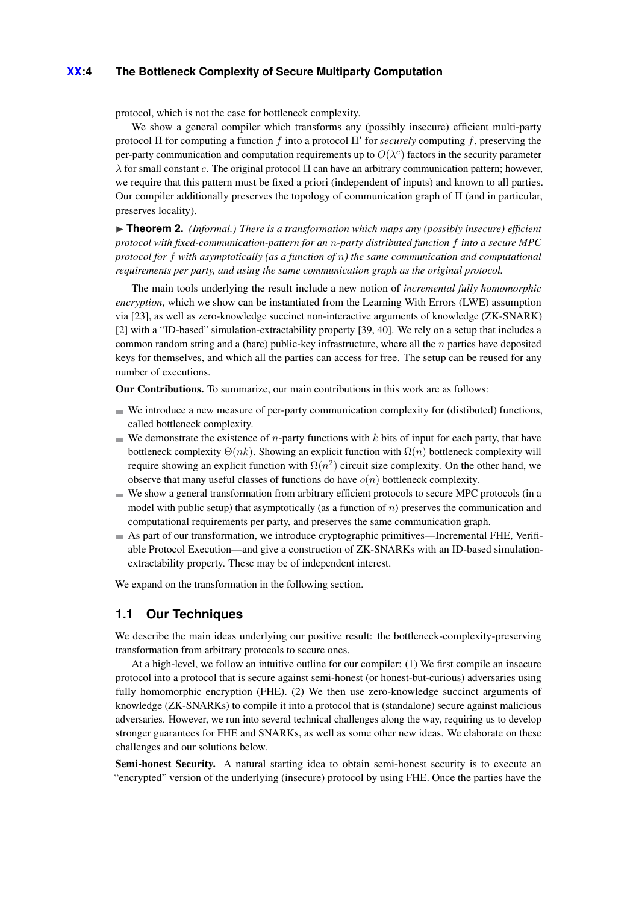### **XX:4 The Bottleneck Complexity of Secure Multiparty Computation**

protocol, which is not the case for bottleneck complexity.

We show a general compiler which transforms any (possibly insecure) efficient multi-party protocol  $\Pi$  for computing a function  $f$  into a protocol  $\Pi'$  for *securely* computing  $f$ , preserving the per-party communication and computation requirements up to  $O(\lambda^c)$  factors in the security parameter *λ* for small constant *c*. The original protocol Π can have an arbitrary communication pattern; however, we require that this pattern must be fixed a priori (independent of inputs) and known to all parties. Our compiler additionally preserves the topology of communication graph of Π (and in particular, preserves locality).

▶ **Theorem 2.** *(Informal.) There is a transformation which maps any (possibly insecure) efficient protocol with fixed-communication-pattern for an n-party distributed function f into a secure MPC protocol for f with asymptotically (as a function of n) the same communication and computational requirements per party, and using the same communication graph as the original protocol.*

The main tools underlying the result include a new notion of *incremental fully homomorphic encryption*, which we show can be instantiated from the Learning With Errors (LWE) assumption via [\[23\]](#page-13-4), as well as zero-knowledge succinct non-interactive arguments of knowledge (ZK-SNARK) [\[2\]](#page-12-1) with a "ID-based" simulation-extractability property [\[39,](#page-14-1) [40\]](#page-14-2). We rely on a setup that includes a common random string and a (bare) public-key infrastructure, where all the *n* parties have deposited keys for themselves, and which all the parties can access for free. The setup can be reused for any number of executions.

Our Contributions. To summarize, our main contributions in this work are as follows:

- $\blacksquare$  We introduce a new measure of per-party communication complexity for (distibuted) functions, called bottleneck complexity.
- $\blacksquare$  We demonstrate the existence of *n*-party functions with *k* bits of input for each party, that have bottleneck complexity  $\Theta(nk)$ . Showing an explicit function with  $\Omega(n)$  bottleneck complexity will require showing an explicit function with  $\Omega(n^2)$  circuit size complexity. On the other hand, we observe that many useful classes of functions do have *o*(*n*) bottleneck complexity.
- We show a general transformation from arbitrary efficient protocols to secure MPC protocols (in a model with public setup) that asymptotically (as a function of *n*) preserves the communication and computational requirements per party, and preserves the same communication graph.
- As part of our transformation, we introduce cryptographic primitives—Incremental FHE, Verifiable Protocol Execution—and give a construction of ZK-SNARKs with an ID-based simulationextractability property. These may be of independent interest.

We expand on the transformation in the following section.

# <span id="page-3-0"></span>**1.1 Our Techniques**

We describe the main ideas underlying our positive result: the bottleneck-complexity-preserving transformation from arbitrary protocols to secure ones.

At a high-level, we follow an intuitive outline for our compiler: (1) We first compile an insecure protocol into a protocol that is secure against semi-honest (or honest-but-curious) adversaries using fully homomorphic encryption (FHE). (2) We then use zero-knowledge succinct arguments of knowledge (ZK-SNARKs) to compile it into a protocol that is (standalone) secure against malicious adversaries. However, we run into several technical challenges along the way, requiring us to develop stronger guarantees for FHE and SNARKs, as well as some other new ideas. We elaborate on these challenges and our solutions below.

Semi-honest Security. A natural starting idea to obtain semi-honest security is to execute an "encrypted" version of the underlying (insecure) protocol by using FHE. Once the parties have the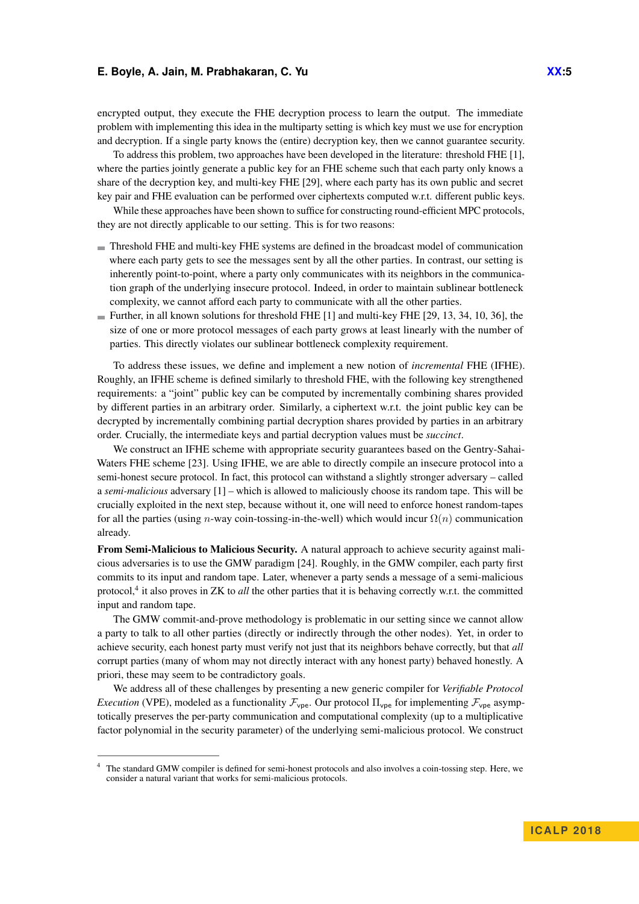encrypted output, they execute the FHE decryption process to learn the output. The immediate problem with implementing this idea in the multiparty setting is which key must we use for encryption and decryption. If a single party knows the (entire) decryption key, then we cannot guarantee security.

To address this problem, two approaches have been developed in the literature: threshold FHE [\[1\]](#page-12-2), where the parties jointly generate a public key for an FHE scheme such that each party only knows a share of the decryption key, and multi-key FHE [\[29\]](#page-13-5), where each party has its own public and secret key pair and FHE evaluation can be performed over ciphertexts computed w.r.t. different public keys.

While these approaches have been shown to suffice for constructing round-efficient MPC protocols, they are not directly applicable to our setting. This is for two reasons:

- Threshold FHE and multi-key FHE systems are defined in the broadcast model of communication where each party gets to see the messages sent by all the other parties. In contrast, our setting is inherently point-to-point, where a party only communicates with its neighbors in the communication graph of the underlying insecure protocol. Indeed, in order to maintain sublinear bottleneck complexity, we cannot afford each party to communicate with all the other parties.
- Further, in all known solutions for threshold FHE  $[1]$  and multi-key FHE  $[29, 13, 34, 10, 36]$  $[29, 13, 34, 10, 36]$  $[29, 13, 34, 10, 36]$  $[29, 13, 34, 10, 36]$  $[29, 13, 34, 10, 36]$  $[29, 13, 34, 10, 36]$  $[29, 13, 34, 10, 36]$  $[29, 13, 34, 10, 36]$  $[29, 13, 34, 10, 36]$ , the size of one or more protocol messages of each party grows at least linearly with the number of parties. This directly violates our sublinear bottleneck complexity requirement.

To address these issues, we define and implement a new notion of *incremental* FHE (IFHE). Roughly, an IFHE scheme is defined similarly to threshold FHE, with the following key strengthened requirements: a "joint" public key can be computed by incrementally combining shares provided by different parties in an arbitrary order. Similarly, a ciphertext w.r.t. the joint public key can be decrypted by incrementally combining partial decryption shares provided by parties in an arbitrary order. Crucially, the intermediate keys and partial decryption values must be *succinct*.

We construct an IFHE scheme with appropriate security guarantees based on the Gentry-Sahai-Waters FHE scheme [\[23\]](#page-13-4). Using IFHE, we are able to directly compile an insecure protocol into a semi-honest secure protocol. In fact, this protocol can withstand a slightly stronger adversary – called a *semi-malicious* adversary [\[1\]](#page-12-2) – which is allowed to maliciously choose its random tape. This will be crucially exploited in the next step, because without it, one will need to enforce honest random-tapes for all the parties (using *n*-way coin-tossing-in-the-well) which would incur Ω(*n*) communication already.

From Semi-Malicious to Malicious Security. A natural approach to achieve security against malicious adversaries is to use the GMW paradigm [\[24\]](#page-13-0). Roughly, in the GMW compiler, each party first commits to its input and random tape. Later, whenever a party sends a message of a semi-malicious protocol,<sup>[4](#page-4-0)</sup> it also proves in ZK to *all* the other parties that it is behaving correctly w.r.t. the committed input and random tape.

The GMW commit-and-prove methodology is problematic in our setting since we cannot allow a party to talk to all other parties (directly or indirectly through the other nodes). Yet, in order to achieve security, each honest party must verify not just that its neighbors behave correctly, but that *all* corrupt parties (many of whom may not directly interact with any honest party) behaved honestly. A priori, these may seem to be contradictory goals.

We address all of these challenges by presenting a new generic compiler for *Verifiable Protocol Execution* (VPE), modeled as a functionality  $\mathcal{F}_{\text{vpe}}$ . Our protocol  $\Pi_{\text{vpe}}$  for implementing  $\mathcal{F}_{\text{vpe}}$  asymptotically preserves the per-party communication and computational complexity (up to a multiplicative factor polynomial in the security parameter) of the underlying semi-malicious protocol. We construct

<span id="page-4-0"></span><sup>&</sup>lt;sup>4</sup> The standard GMW compiler is defined for semi-honest protocols and also involves a coin-tossing step. Here, we consider a natural variant that works for semi-malicious protocols.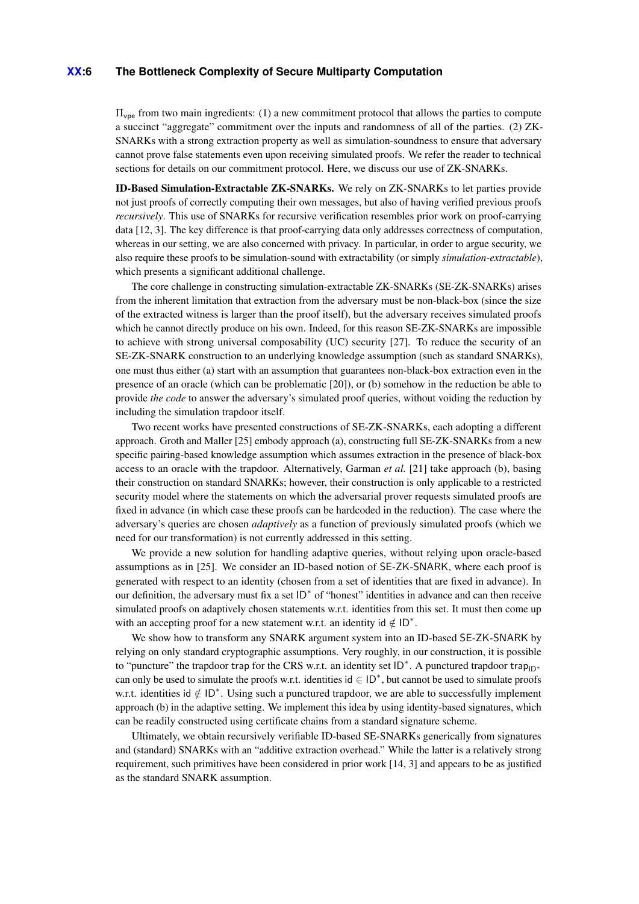### **XX:6 The Bottleneck Complexity of Secure Multiparty Computation**

 $\Pi_{\text{vpe}}$  from two main ingredients: (1) a new commitment protocol that allows the parties to compute a succinct "aggregate" commitment over the inputs and randomness of all of the parties. (2) ZK-SNARKs with a strong extraction property as well as simulation-soundness to ensure that adversary cannot prove false statements even upon receiving simulated proofs. We refer the reader to technical sections for details on our commitment protocol. Here, we discuss our use of ZK-SNARKs.

ID-Based Simulation-Extractable ZK-SNARKs. We rely on ZK-SNARKs to let parties provide not just proofs of correctly computing their own messages, but also of having verified previous proofs *recursively*. This use of SNARKs for recursive verification resembles prior work on proof-carrying data [\[12,](#page-12-5) [3\]](#page-12-6). The key difference is that proof-carrying data only addresses correctness of computation, whereas in our setting, we are also concerned with privacy. In particular, in order to argue security, we also require these proofs to be simulation-sound with extractability (or simply *simulation-extractable*), which presents a significant additional challenge.

The core challenge in constructing simulation-extractable ZK-SNARKs (SE-ZK-SNARKs) arises from the inherent limitation that extraction from the adversary must be non-black-box (since the size of the extracted witness is larger than the proof itself), but the adversary receives simulated proofs which he cannot directly produce on his own. Indeed, for this reason SE-ZK-SNARKs are impossible to achieve with strong universal composability (UC) security [\[27\]](#page-13-6). To reduce the security of an SE-ZK-SNARK construction to an underlying knowledge assumption (such as standard SNARKs), one must thus either (a) start with an assumption that guarantees non-black-box extraction even in the presence of an oracle (which can be problematic [\[20\]](#page-13-7)), or (b) somehow in the reduction be able to provide *the code* to answer the adversary's simulated proof queries, without voiding the reduction by including the simulation trapdoor itself.

Two recent works have presented constructions of SE-ZK-SNARKs, each adopting a different approach. Groth and Maller [\[25\]](#page-13-8) embody approach (a), constructing full SE-ZK-SNARKs from a new specific pairing-based knowledge assumption which assumes extraction in the presence of black-box access to an oracle with the trapdoor. Alternatively, Garman *et al.* [\[21\]](#page-13-9) take approach (b), basing their construction on standard SNARKs; however, their construction is only applicable to a restricted security model where the statements on which the adversarial prover requests simulated proofs are fixed in advance (in which case these proofs can be hardcoded in the reduction). The case where the adversary's queries are chosen *adaptively* as a function of previously simulated proofs (which we need for our transformation) is not currently addressed in this setting.

We provide a new solution for handling adaptive queries, without relying upon oracle-based assumptions as in [\[25\]](#page-13-8). We consider an ID-based notion of SE-ZK-SNARK, where each proof is generated with respect to an identity (chosen from a set of identities that are fixed in advance). In our definition, the adversary must fix a set ID<sup>\*</sup> of "honest" identities in advance and can then receive simulated proofs on adaptively chosen statements w.r.t. identities from this set. It must then come up with an accepting proof for a new statement w.r.t. an identity id  $\notin$  ID<sup>\*</sup>.

We show how to transform any SNARK argument system into an ID-based SE-ZK-SNARK by relying on only standard cryptographic assumptions. Very roughly, in our construction, it is possible to "puncture" the trapdoor trap for the CRS w.r.t. an identity set  $ID^*$ . A punctured trapdoor trap<sub>ID<sup>∗</sup></sub> can only be used to simulate the proofs w.r.t. identities  $id \in ID^*$ , but cannot be used to simulate proofs w.r.t. identities id ∉ ID<sup>∗</sup>. Using such a punctured trapdoor, we are able to successfully implement approach (b) in the adaptive setting. We implement this idea by using identity-based signatures, which can be readily constructed using certificate chains from a standard signature scheme.

Ultimately, we obtain recursively verifiable ID-based SE-SNARKs generically from signatures and (standard) SNARKs with an "additive extraction overhead." While the latter is a relatively strong requirement, such primitives have been considered in prior work [\[14,](#page-12-7) [3\]](#page-12-6) and appears to be as justified as the standard SNARK assumption.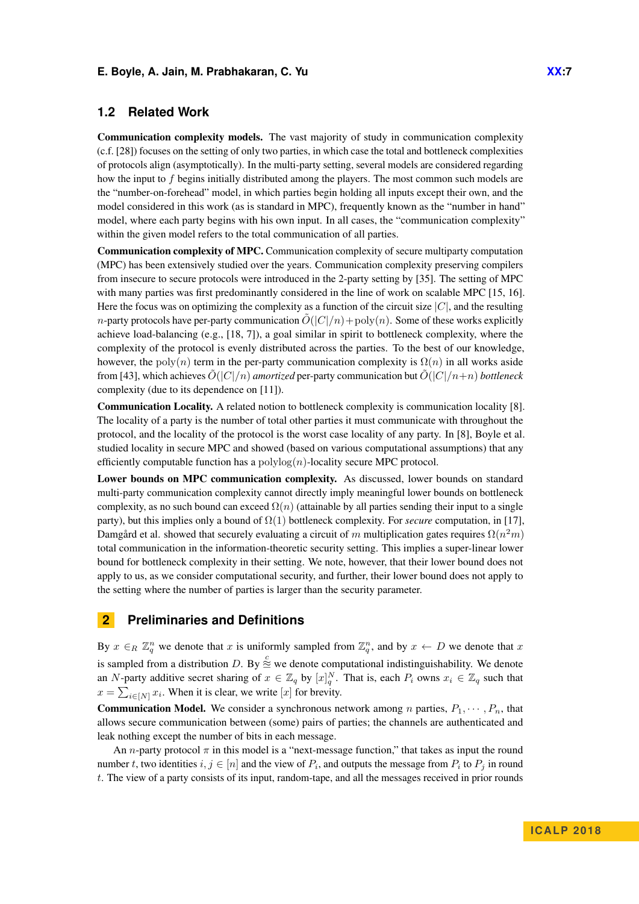# **1.2 Related Work**

Communication complexity models. The vast majority of study in communication complexity (c.f. [\[28\]](#page-13-10)) focuses on the setting of only two parties, in which case the total and bottleneck complexities of protocols align (asymptotically). In the multi-party setting, several models are considered regarding how the input to *f* begins initially distributed among the players. The most common such models are the "number-on-forehead" model, in which parties begin holding all inputs except their own, and the model considered in this work (as is standard in MPC), frequently known as the "number in hand" model, where each party begins with his own input. In all cases, the "communication complexity" within the given model refers to the total communication of all parties.

Communication complexity of MPC. Communication complexity of secure multiparty computation (MPC) has been extensively studied over the years. Communication complexity preserving compilers from insecure to secure protocols were introduced in the 2-party setting by [\[35\]](#page-14-5). The setting of MPC with many parties was first predominantly considered in the line of work on scalable MPC [\[15,](#page-12-8) [16\]](#page-12-9). Here the focus was on optimizing the complexity as a function of the circuit size |*C*|, and the resulting *n*-party protocols have per-party communication  $\tilde{O}(|C|/n)$  + poly $(n)$ . Some of these works explicitly achieve load-balancing (e.g., [\[18,](#page-13-11) [7\]](#page-12-10)), a goal similar in spirit to bottleneck complexity, where the complexity of the protocol is evenly distributed across the parties. To the best of our knowledge, however, the poly $(n)$  term in the per-party communication complexity is  $\Omega(n)$  in all works aside from [\[43\]](#page-14-6), which achieves  $O(|C|/n)$  *amortized* per-party communication but  $O(|C|/n+n)$  *bottleneck* complexity (due to its dependence on [\[11\]](#page-12-11)).

Communication Locality. A related notion to bottleneck complexity is communication locality [\[8\]](#page-12-0). The locality of a party is the number of total other parties it must communicate with throughout the protocol, and the locality of the protocol is the worst case locality of any party. In [\[8\]](#page-12-0), Boyle et al. studied locality in secure MPC and showed (based on various computational assumptions) that any efficiently computable function has a polylog(*n*)-locality secure MPC protocol.

Lower bounds on MPC communication complexity. As discussed, lower bounds on standard multi-party communication complexity cannot directly imply meaningful lower bounds on bottleneck complexity, as no such bound can exceed  $\Omega(n)$  (attainable by all parties sending their input to a single party), but this implies only a bound of  $\Omega(1)$  bottleneck complexity. For *secure* computation, in [\[17\]](#page-13-12), Damgård et al. showed that securely evaluating a circuit of *m* multiplication gates requires Ω(*n* <sup>2</sup>*m*) total communication in the information-theoretic security setting. This implies a super-linear lower bound for bottleneck complexity in their setting. We note, however, that their lower bound does not apply to us, as we consider computational security, and further, their lower bound does not apply to the setting where the number of parties is larger than the security parameter.

# **2 Preliminaries and Definitions**

By  $x \in R \mathbb{Z}_q^n$  we denote that x is uniformly sampled from  $\mathbb{Z}_q^n$ , and by  $x \leftarrow D$  we denote that x is sampled from a distribution *D*. By  $\stackrel{c}{\cong}$  we denote computational indistinguishability. We denote an *N*-party additive secret sharing of  $x \in \mathbb{Z}_q$  by  $[x]_q^N$ . That is, each  $P_i$  owns  $x_i \in \mathbb{Z}_q$  such that  $x = \sum_{i \in [N]} x_i$ . When it is clear, we write [*x*] for brevity.

**Communication Model.** We consider a synchronous network among *n* parties,  $P_1, \dots, P_n$ , that allows secure communication between (some) pairs of parties; the channels are authenticated and leak nothing except the number of bits in each message.

An *n*-party protocol  $\pi$  in this model is a "next-message function," that takes as input the round number *t*, two identities  $i, j \in [n]$  and the view of  $P_i$ , and outputs the message from  $P_i$  to  $P_j$  in round *t*. The view of a party consists of its input, random-tape, and all the messages received in prior rounds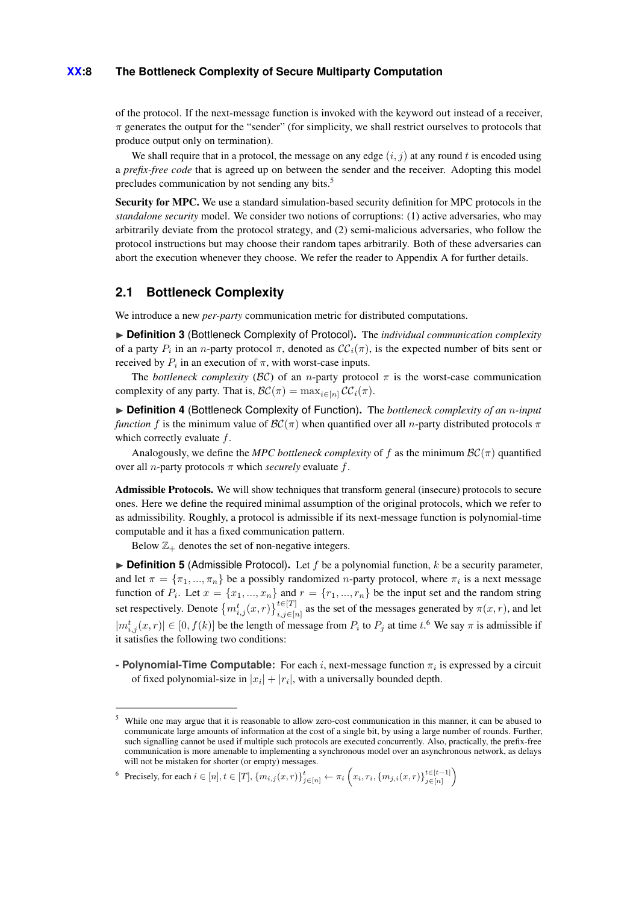### **XX:8 The Bottleneck Complexity of Secure Multiparty Computation**

of the protocol. If the next-message function is invoked with the keyword out instead of a receiver,  $\pi$  generates the output for the "sender" (for simplicity, we shall restrict ourselves to protocols that produce output only on termination).

We shall require that in a protocol, the message on any edge  $(i, j)$  at any round t is encoded using a *prefix-free code* that is agreed up on between the sender and the receiver. Adopting this model precludes communication by not sending any bits.<sup>[5](#page-7-0)</sup>

Security for MPC. We use a standard simulation-based security definition for MPC protocols in the *standalone security* model. We consider two notions of corruptions: (1) active adversaries, who may arbitrarily deviate from the protocol strategy, and (2) semi-malicious adversaries, who follow the protocol instructions but may choose their random tapes arbitrarily. Both of these adversaries can abort the execution whenever they choose. We refer the reader to [Appendix A](#page-14-7) for further details.

# **2.1 Bottleneck Complexity**

We introduce a new *per-party* communication metric for distributed computations.

▶ Definition 3 (Bottleneck Complexity of Protocol). The *individual communication complexity* of a party  $P_i$  in an *n*-party protocol  $\pi$ , denoted as  $\mathcal{CC}_i(\pi)$ , is the expected number of bits sent or received by  $P_i$  in an execution of  $\pi$ , with worst-case inputs.

The *bottleneck complexity* ( $BC$ ) of an *n*-party protocol  $\pi$  is the worst-case communication complexity of any party. That is,  $\mathcal{BC}(\pi) = \max_{i \in [n]} \mathcal{CC}_i(\pi)$ .

▶ **Definition 4** (Bottleneck Complexity of Function). The *bottleneck complexity of an n-input function f* is the minimum value of  $\mathcal{BC}(\pi)$  when quantified over all *n*-party distributed protocols  $\pi$ which correctly evaluate *f*.

Analogously, we define the *MPC bottleneck complexity* of f as the minimum  $BC(\pi)$  quantified over all *n*-party protocols *π* which *securely* evaluate *f*.

Admissible Protocols. We will show techniques that transform general (insecure) protocols to secure ones. Here we define the required minimal assumption of the original protocols, which we refer to as admissibility. Roughly, a protocol is admissible if its next-message function is polynomial-time computable and it has a fixed communication pattern.

Below  $\mathbb{Z}_+$  denotes the set of non-negative integers.

<span id="page-7-2"></span> $\triangleright$  **Definition 5** (Admissible Protocol). Let *f* be a polynomial function, *k* be a security parameter, and let  $\pi = {\pi_1, ..., \pi_n}$  be a possibly randomized *n*-party protocol, where  $\pi_i$  is a next message function of  $P_i$ . Let  $x = \{x_1, ..., x_n\}$  and  $r = \{r_1, ..., r_n\}$  be the input set and the random string set respectively. Denote  ${m_{i,j}^t(x,r)}_{i,j \in [n]}^{t \in [T]}$  as the set of the messages generated by  $\pi(x,r)$ , and let  $|m_{i,j}^t(x, r)| \in [0, f(k)]$  be the length of message from  $P_i$  to  $P_j$  at time  $t$ .<sup>[6](#page-7-1)</sup> We say  $\pi$  is admissible if it satisfies the following two conditions:

**- Polynomial-Time Computable:** For each *i*, next-message function *π<sup>i</sup>* is expressed by a circuit of fixed polynomial-size in  $|x_i| + |r_i|$ , with a universally bounded depth.

<span id="page-7-1"></span> $\{ \text{ 6} \text{ Precisely, for each } i \in [n], t \in [T], \{m_{i,j}(x,r)\}_{j \in [n]}^t \leftarrow \pi_i \left(x_i, r_i, \{m_{j,i}(x,r)\}_{j \in [n]}^{t \in [t-1]}\right) \}$ 

<span id="page-7-0"></span><sup>5</sup> While one may argue that it is reasonable to allow zero-cost communication in this manner, it can be abused to communicate large amounts of information at the cost of a single bit, by using a large number of rounds. Further, such signalling cannot be used if multiple such protocols are executed concurrently. Also, practically, the prefix-free communication is more amenable to implementing a synchronous model over an asynchronous network, as delays will not be mistaken for shorter (or empty) messages.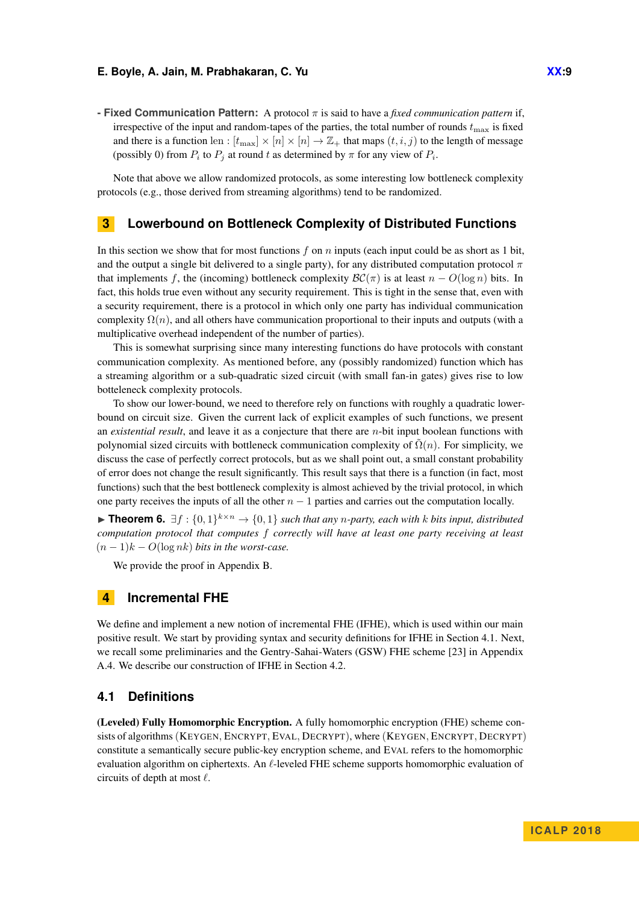**- Fixed Communication Pattern:** A protocol *π* is said to have a *fixed communication pattern* if, irrespective of the input and random-tapes of the parties, the total number of rounds  $t_{\text{max}}$  is fixed and there is a function len :  $[t_{\text{max}}] \times [n] \times [n] \rightarrow \mathbb{Z}_+$  that maps  $(t, i, j)$  to the length of message (possibly 0) from  $P_i$  to  $P_j$  at round  $t$  as determined by  $\pi$  for any view of  $P_i$ .

Note that above we allow randomized protocols, as some interesting low bottleneck complexity protocols (e.g., those derived from streaming algorithms) tend to be randomized.

### **3 Lowerbound on Bottleneck Complexity of Distributed Functions**

In this section we show that for most functions *f* on *n* inputs (each input could be as short as 1 bit, and the output a single bit delivered to a single party), for any distributed computation protocol *π* that implements *f*, the (incoming) bottleneck complexity  $\mathcal{BC}(\pi)$  is at least  $n - O(\log n)$  bits. In fact, this holds true even without any security requirement. This is tight in the sense that, even with a security requirement, there is a protocol in which only one party has individual communication complexity  $\Omega(n)$ , and all others have communication proportional to their inputs and outputs (with a multiplicative overhead independent of the number of parties).

This is somewhat surprising since many interesting functions do have protocols with constant communication complexity. As mentioned before, any (possibly randomized) function which has a streaming algorithm or a sub-quadratic sized circuit (with small fan-in gates) gives rise to low botteleneck complexity protocols.

To show our lower-bound, we need to therefore rely on functions with roughly a quadratic lowerbound on circuit size. Given the current lack of explicit examples of such functions, we present an *existential result*, and leave it as a conjecture that there are *n*-bit input boolean functions with polynomial sized circuits with bottleneck communication complexity of  $\Omega(n)$ . For simplicity, we discuss the case of perfectly correct protocols, but as we shall point out, a small constant probability of error does not change the result significantly. This result says that there is a function (in fact, most functions) such that the best bottleneck complexity is almost achieved by the trivial protocol, in which one party receives the inputs of all the other *n* − 1 parties and carries out the computation locally.

<span id="page-8-1"></span>**► Theorem 6.**  $\exists f : \{0,1\}^{k \times n} \rightarrow \{0,1\}$  such that any *n*-party, each with *k* bits input, distributed *computation protocol that computes f correctly will have at least one party receiving at least*  $(n-1)k - O(\log nk)$  *bits in the worst-case.* 

We provide the proof in Appendix [B.](#page-19-0)

# **4 Incremental FHE**

We define and implement a new notion of incremental FHE (IFHE), which is used within our main positive result. We start by providing syntax and security definitions for IFHE in [Section 4.1.](#page-8-0) Next, we recall some preliminaries and the Gentry-Sahai-Waters (GSW) FHE scheme [\[23\]](#page-13-4) in Appendix [A.4.](#page-17-0) We describe our construction of IFHE in [Section 4.2.](#page-10-0)

# <span id="page-8-0"></span>**4.1 Definitions**

(Leveled) Fully Homomorphic Encryption. A fully homomorphic encryption (FHE) scheme consists of algorithms(KEYGEN*,* ENCRYPT*,* EVAL*,* DECRYPT), where (KEYGEN*,* ENCRYPT*,* DECRYPT) constitute a semantically secure public-key encryption scheme, and EVAL refers to the homomorphic evaluation algorithm on ciphertexts. An  $\ell$ -leveled FHE scheme supports homomorphic evaluation of circuits of depth at most  $\ell$ .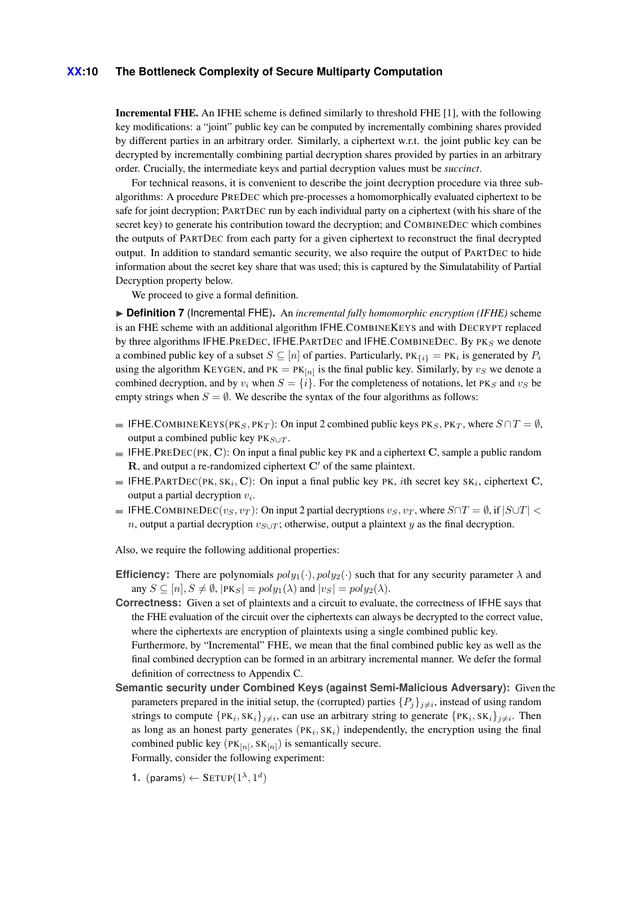### **XX:10 The Bottleneck Complexity of Secure Multiparty Computation**

Incremental FHE. An IFHE scheme is defined similarly to threshold FHE [\[1\]](#page-12-2), with the following key modifications: a "joint" public key can be computed by incrementally combining shares provided by different parties in an arbitrary order. Similarly, a ciphertext w.r.t. the joint public key can be decrypted by incrementally combining partial decryption shares provided by parties in an arbitrary order. Crucially, the intermediate keys and partial decryption values must be *succinct*.

For technical reasons, it is convenient to describe the joint decryption procedure via three subalgorithms: A procedure PREDEC which pre-processes a homomorphically evaluated ciphertext to be safe for joint decryption; PARTDEC run by each individual party on a ciphertext (with his share of the secret key) to generate his contribution toward the decryption; and COMBINEDEC which combines the outputs of PARTDEC from each party for a given ciphertext to reconstruct the final decrypted output. In addition to standard semantic security, we also require the output of PARTDEC to hide information about the secret key share that was used; this is captured by the Simulatability of Partial Decryption property below.

We proceed to give a formal definition.

<span id="page-9-0"></span>▶ **Definition 7** (Incremental FHE). An *incremental fully homomorphic encryption (IFHE)* scheme is an FHE scheme with an additional algorithm IFHE*.*COMBINEKEYS and with DECRYPT replaced by three algorithms IFHE*.*PREDEC, IFHE*.*PARTDEC and IFHE*.*COMBINEDEC. By PK*<sup>S</sup>* we denote a combined public key of a subset  $S \subseteq [n]$  of parties. Particularly,  $PK_{\{i\}} = PK_i$  is generated by  $P_i$ using the algorithm KEYGEN, and  $PK = PK_{[n]}$  is the final public key. Similarly, by  $v_S$  we denote a combined decryption, and by  $v_i$  when  $S = \{i\}$ . For the completeness of notations, let PK<sub>*S*</sub> and  $v_S$  be empty strings when  $S = \emptyset$ . We describe the syntax of the four algorithms as follows:

- IFHE.COMBINEKEYS(PK<sub>*S*</sub>, PK<sub>*T*</sub>): On input 2 combined public keys PK<sub>*S*</sub>, PK<sub>*T*</sub>, where  $S \cap T = ∅$ , output a combined public key PK*S*∪*<sup>T</sup>* .
- **IFHE.**PREDEC(PK, **C**): On input a final public key PK and a ciphertext **C**, sample a public random  $\bf{R}$ , and output a re-randomized ciphertext  $\bf{C}'$  of the same plaintext.
- IFHE.PARTDEC(PK,  $SK_i$ , C): On input a final public key PK, *i*th secret key  $SK_i$ , ciphertext C, output a partial decryption *v<sup>i</sup>* .
- IFHE. COMBINEDEC( $v_S, v_T$ ): On input 2 partial decryptions  $v_S, v_T$ , where  $S \cap T = ∅$ , if  $|S \cup T|$  < *n*, output a partial decryption  $v_{S\cup T}$ ; otherwise, output a plaintext *y* as the final decryption.

Also, we require the following additional properties:

- **Efficiency:** There are polynomials  $poly_1(\cdot), poly_2(\cdot)$  such that for any security parameter  $\lambda$  and any  $S \subseteq [n], S \neq \emptyset$ ,  $|\text{PK}_S| = poly_1(\lambda)$  and  $|v_S| = poly_2(\lambda)$ .
- **Correctness:** Given a set of plaintexts and a circuit to evaluate, the correctness of IFHE says that the FHE evaluation of the circuit over the ciphertexts can always be decrypted to the correct value, where the ciphertexts are encryption of plaintexts using a single combined public key. Furthermore, by "Incremental" FHE, we mean that the final combined public key as well as the final combined decryption can be formed in an arbitrary incremental manner. We defer the formal definition of correctness to [Appendix C.](#page-19-1)
- **Semantic security under Combined Keys (against Semi-Malicious Adversary):** Given the parameters prepared in the initial setup, the (corrupted) parties  $\{P_j\}_{j\neq i}$ , instead of using random strings to compute  $\{PK_i, SK_i\}_{j\neq i}$ , can use an arbitrary string to generate  $\{PK_i, SK_i\}_{j\neq i}$ . Then as long as an honest party generates  $(PK_i, SK_i)$  independently, the encryption using the final combined public key  $(PK_{[n]}, SK_{[n]})$  is semantically secure. Formally, consider the following experiment:
	- **1.** (params)  $\leftarrow$  SETUP $(1^{\lambda}, 1^d)$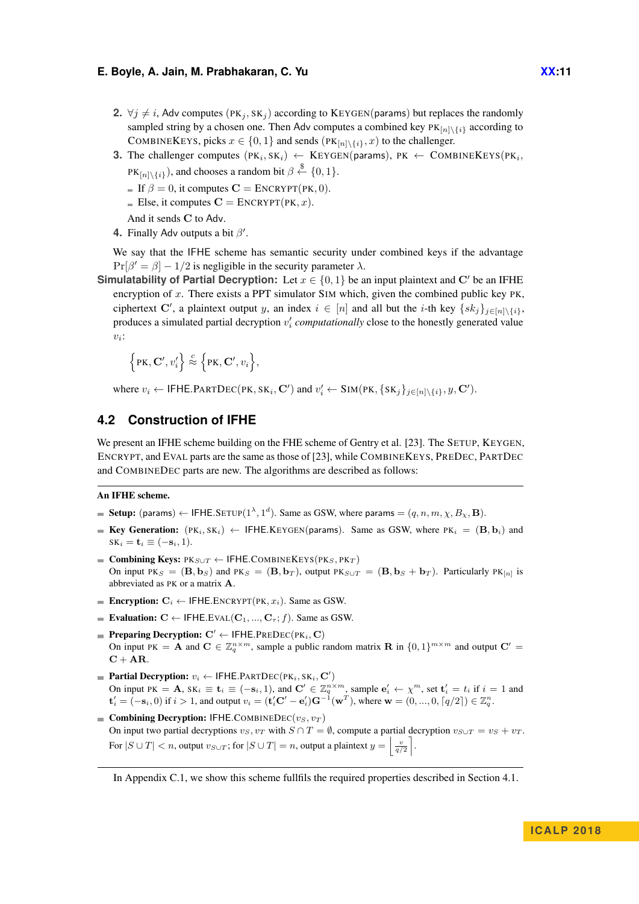- **2.** ∀*j*  $\neq$  *i*, Adv computes (PK<sub>*j*</sub>, SK<sub>*j*</sub>) according to KEYGEN(params) but replaces the randomly sampled string by a chosen one. Then Adv computes a combined key  $PK_{[n] \setminus \{i\}}$  according to COMBINEKEYS, picks  $x \in \{0, 1\}$  and sends  $(PK_{[n] \setminus \{i\}}, x)$  to the challenger.
- **3.** The challenger computes  $(PK_i, SK_i) \leftarrow \text{KEYGEN}(params)$ ,  $PK \leftarrow \text{COMBINEKEYS}(PK_i,$  $PK_{[n]\setminus\{i\}}$ ), and chooses a random bit  $\beta \stackrel{\$}{\leftarrow} \{0,1\}.$ 
	- If  $\beta = 0$ , it computes  $\mathbf{C} = \text{ENCRYPT}(PK, 0)$ .
	- Else, it computes  $C = \text{ENCRYPT}(PK, x)$ .

And it sends **C** to Adv.

**4.** Finally Adv outputs a bit  $β'$ .

We say that the IFHE scheme has semantic security under combined keys if the advantage  $Pr[\beta' = \beta] - 1/2$  is negligible in the security parameter  $\lambda$ .

**Simulatability of Partial Decryption:** Let  $x \in \{0, 1\}$  be an input plaintext and C' be an IFHE encryption of *x*. There exists a PPT simulator SIM which, given the combined public key PK, ciphertext **C**', a plaintext output *y*, an index  $i \in [n]$  and all but the *i*-th key  $\{sk_j\}_{j \in [n] \setminus \{i\}}$ , produces a simulated partial decryption  $v_i'$  computationally close to the honestly generated value *vi* :

$$
\Big\{{\rm PK}, {\bf C}', v_i' \Big\} \stackrel{c}{\approx} \Big\{{\rm PK}, {\bf C}', v_i \Big\},
$$

where  $v_i \leftarrow \textsf{IFHE.PARTDEC(PK, SK_i, C') and } v_i' \leftarrow \textsf{SIM(PK, {SK_j}_{j \in [n] \setminus \{i\}}, y, C').$ 

# <span id="page-10-0"></span>**4.2 Construction of IFHE**

We present an IFHE scheme building on the FHE scheme of Gentry et al. [\[23\]](#page-13-4). The SETUP, KEYGEN, ENCRYPT, and EVAL parts are the same as those of [\[23\]](#page-13-4), while COMBINEKEYS, PREDEC, PARTDEC and COMBINEDEC parts are new. The algorithms are described as follows:

### An IFHE scheme.

- Setup: (params)  $\leftarrow$  IFHE.SETUP( $1^{\lambda}$ ,  $1^d$ ). Same as GSW, where params  $=(q, n, m, \chi, B_{\chi}, \mathbf{B})$ .
- **Key Generation:**  $(\text{PK}_i, \text{SK}_i) \leftarrow \text{IFHE}$ .KEYGEN(params). Same as GSW, where  $\text{PK}_i = (\textbf{B}, \textbf{b}_i)$  and  $SK_i = \mathbf{t}_i \equiv (-\mathbf{s}_i, 1).$
- Combining Keys:  $PK_{S\cup T}$  ← IFHE.COMBINEKEYS( $PK_S, PK_T$ ) On input PKs =  $(\mathbf{B}, \mathbf{b}_S)$  and PKs =  $(\mathbf{B}, \mathbf{b}_T)$ , output PKs $\cup_T$  =  $(\mathbf{B}, \mathbf{b}_S + \mathbf{b}_T)$ . Particularly PK<sub>[n]</sub> is abbreviated as PK or a matrix **A**.
- **Encryption:**  $C_i \leftarrow$  IFHE.ENCRYPT(PK,  $x_i$ ). Same as GSW.
- Evaluation:  $C \leftarrow$  IFHE.EVAL( $C_1$ , ...,  $C_7$ ; *f*). Same as GSW.
- $\blacksquare$  **Preparing Decryption:**  $C' \leftarrow$  IFHE.PREDEC(PK<sub>*i*</sub></sub>, C) On input PK = **A** and  $\mathbf{C} \in \mathbb{Z}_q^{n \times m}$ , sample a public random matrix **R** in  $\{0,1\}^{m \times m}$  and output  $\mathbf{C}'$  =  $C + AR$ .
- $\textbf{Partial Decryption: } v_i \leftarrow \textsf{IFHE}.\textsf{PARTDEC}(\textsf{PK}_i,\textsf{SK}_i,\textsf{C}')$ On input PK = A,  $SK_i \equiv t_i \equiv (-s_i, 1)$ , and  $\mathbf{C}' \in \mathbb{Z}_q^{n \times m}$ , sample  $\mathbf{e}'_i \leftarrow \chi^m$ , set  $\mathbf{t}'_i = t_i$  if  $i = 1$  and  $\mathbf{t}'_i = (-\mathbf{s}_i, 0)$  if  $i > 1$ , and output  $v_i = (\mathbf{t}'_i \mathbf{C}' - \mathbf{e}'_i) \mathbf{G}^{-1}(\mathbf{w}^T)$ , where  $\mathbf{w} = (0, ..., 0, \lceil q/2 \rceil) \in \mathbb{Z}_q^n$ .
- **Example 3** Combining Decryption: IFHE.COMBINEDEC( $v_S, v_T$ ) On input two partial decryptions  $v_S, v_T$  with  $S \cap T = \emptyset$ , compute a partial decryption  $v_{S \cup T} = v_S + v_T$ . For  $|S \cup T| < n$ , output  $v_{S \cup T}$ ; for  $|S \cup T| = n$ , output a plaintext  $y = \left\lfloor \frac{v}{q/2} \right\rfloor$ .

In [Appendix C.1,](#page-20-0) we show this scheme fullfils the required properties described in [Section 4.1.](#page-8-0)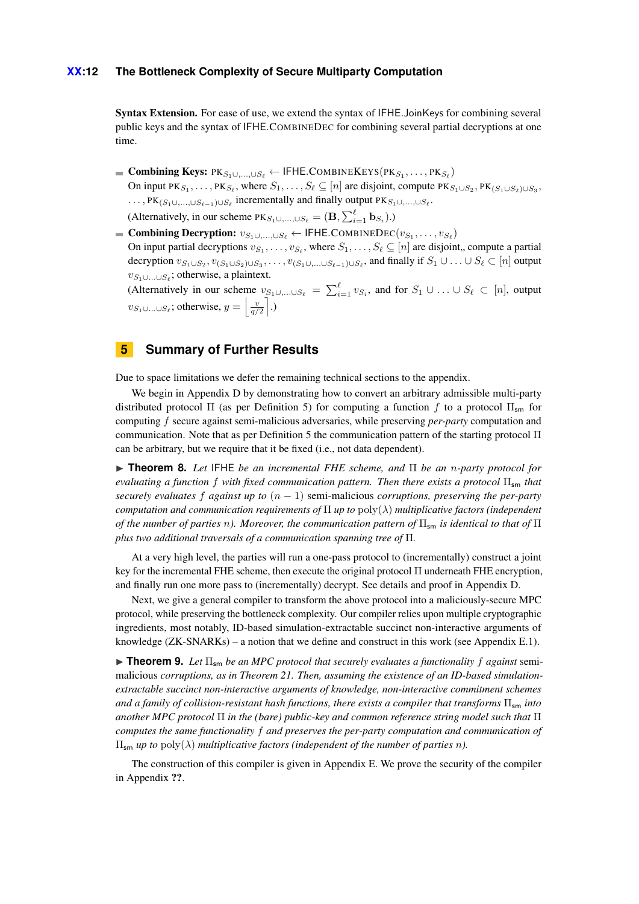### **XX:12 The Bottleneck Complexity of Secure Multiparty Computation**

Syntax Extension. For ease of use, we extend the syntax of IFHE*.*JoinKeys for combining several public keys and the syntax of IFHE*.*COMBINEDEC for combining several partial decryptions at one time.

 $\mathbf{Combining}\ \mathbf{Keys:}\ \mathrm{PK}_{S_1\cup,\ldots,\cup S_\ell} \leftarrow \mathsf{IFHE}.\mathbf{COMBINEKEYS}(\mathrm{PK}_{S_1},\ldots,\mathrm{PK}_{S_\ell})$ On input  $PK_{S_1}, \ldots, PK_{S_\ell}$ , where  $S_1, \ldots, S_\ell \subseteq [n]$  are disjoint, compute  $PK_{S_1 \cup S_2}, PK_{(S_1 \cup S_2) \cup S_3}$  $\ldots$ , PK<sub>(*S*1</sub>∪*,...,*∪*S*<sup> $\ell$ </sup> -1)∪*S*<sup> $\ell$ </sup> incrementally and finally output PK<sub>*S*1</sub>∪*,...,*∪*S*<sup> $\ell$ </sup>.

(Alternatively, in our scheme  $PK_{S_1 \cup \ldots, \cup S_\ell} = (\mathbf{B}, \sum_{i=1}^{\ell} \mathbf{b}_{S_i}).$ )

 $\mathbf{Combining\,Derryption: v_{S_1\cup,..., \cup S_\ell} \leftarrow \mathsf{IFHE}.\mathbf{COMBINEDEC}(v_{S_1},\ldots,v_{S_\ell})$ On input partial decryptions  $v_{S_1}, \ldots, v_{S_\ell}$ , where  $S_1, \ldots, S_\ell \subseteq [n]$  are disjoint, compute a partial decryption  $v_{S_1\cup S_2}$ ,  $v_{(S_1\cup S_2)\cup S_3}$ , ...,  $v_{(S_1\cup,...\cup S_{\ell-1})\cup S_{\ell}}$ , and finally if  $S_1\cup...\cup S_{\ell}\subset [n]$  output *vS*1∪*...*∪*S`* ; otherwise, a plaintext.

(Alternatively in our scheme  $v_{S_1 \cup \ldots \cup S_\ell} = \sum_{i=1}^\ell v_{S_i}$ , and for  $S_1 \cup \ldots \cup S_\ell \subset [n]$ , output *v*<sub>S<sub>1</sub>∪*...*∪*S*<sup> $\ell$ </sup>; otherwise,  $y = \left\lfloor \frac{v}{q/2} \right\rfloor$ .)</sub>

# **5 Summary of Further Results**

Due to space limitations we defer the remaining technical sections to the appendix.

We begin in Appendix [D](#page-21-0) by demonstrating how to convert an arbitrary admissible multi-party distributed protocol  $\Pi$  (as per [Definition 5\)](#page-7-2) for computing a function f to a protocol  $\Pi_{\rm sm}$  for computing *f* secure against semi-malicious adversaries, while preserving *per-party* computation and communication. Note that as per [Definition 5](#page-7-2) the communication pattern of the starting protocol Π can be arbitrary, but we require that it be fixed (i.e., not data dependent).

I **Theorem 8.** *Let* IFHE *be an incremental FHE scheme, and* Π *be an n-party protocol for evaluating a function f with fixed communication pattern. Then there exists a protocol* Πsm *that securely evaluates f against up to* (*n* − 1) semi-malicious *corruptions, preserving the per-party computation and communication requirements of* Π *up to* poly(*λ*) *multiplicative factors (independent of the number of parties n*). Moreover, the communication pattern of  $\Pi_{\text{cm}}$  is identical to that of  $\Pi$ *plus two additional traversals of a communication spanning tree of* Π*.*

At a very high level, the parties will run a one-pass protocol to (incrementally) construct a joint key for the incremental FHE scheme, then execute the original protocol Π underneath FHE encryption, and finally run one more pass to (incrementally) decrypt. See details and proof in Appendix [D.](#page-21-0)

Next, we give a general compiler to transform the above protocol into a maliciously-secure MPC protocol, while preserving the bottleneck complexity. Our compiler relies upon multiple cryptographic ingredients, most notably, ID-based simulation-extractable succinct non-interactive arguments of knowledge (ZK-SNARKs) – a notion that we define and construct in this work (see Appendix [E.1\)](#page-25-0).

**In Theorem 9.** Let  $\Pi_{\rm sm}$  be an MPC protocol that securely evaluates a functionality f against semimalicious *corruptions, as in Theorem [21.](#page-23-0) Then, assuming the existence of an ID-based simulationextractable succinct non-interactive arguments of knowledge, non-interactive commitment schemes and a family of collision-resistant hash functions, there exists a compiler that transforms* Πsm *into another MPC protocol* Π *in the (bare) public-key and common reference string model such that* Π *computes the same functionality f and preserves the per-party computation and communication of*  $\Pi_{\mathsf{sm}}$  *up to* poly( $λ$ ) *multiplicative factors (independent of the number of parties n).* 

The construction of this compiler is given in Appendix [E.](#page-25-1) We prove the security of the compiler in Appendix ??.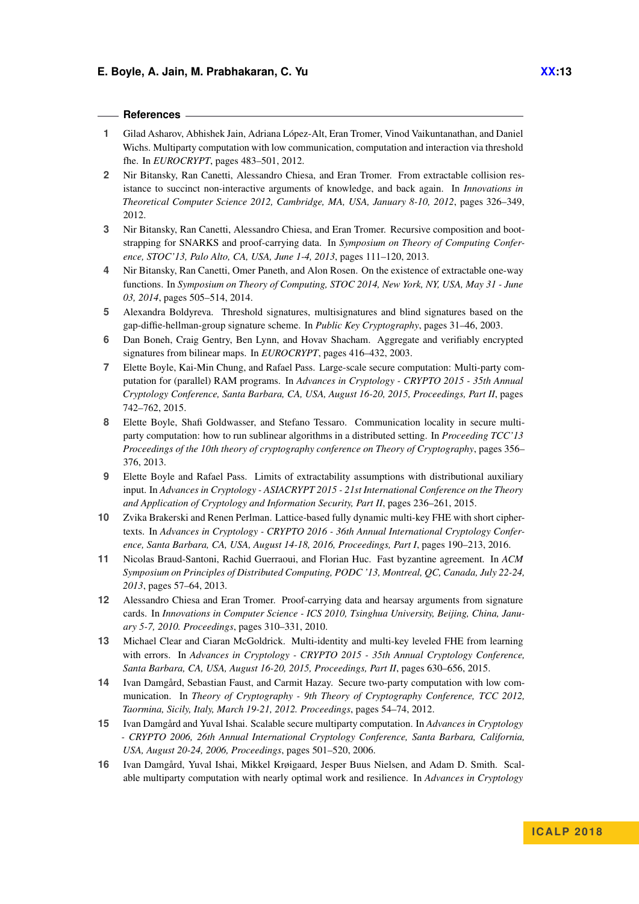### **References**

- <span id="page-12-2"></span>**1** Gilad Asharov, Abhishek Jain, Adriana López-Alt, Eran Tromer, Vinod Vaikuntanathan, and Daniel Wichs. Multiparty computation with low communication, computation and interaction via threshold fhe. In *EUROCRYPT*, pages 483–501, 2012.
- <span id="page-12-1"></span>**2** Nir Bitansky, Ran Canetti, Alessandro Chiesa, and Eran Tromer. From extractable collision resistance to succinct non-interactive arguments of knowledge, and back again. In *Innovations in Theoretical Computer Science 2012, Cambridge, MA, USA, January 8-10, 2012*, pages 326–349, 2012.
- <span id="page-12-6"></span>**3** Nir Bitansky, Ran Canetti, Alessandro Chiesa, and Eran Tromer. Recursive composition and bootstrapping for SNARKS and proof-carrying data. In *Symposium on Theory of Computing Conference, STOC'13, Palo Alto, CA, USA, June 1-4, 2013*, pages 111–120, 2013.
- <span id="page-12-14"></span>**4** Nir Bitansky, Ran Canetti, Omer Paneth, and Alon Rosen. On the existence of extractable one-way functions. In *Symposium on Theory of Computing, STOC 2014, New York, NY, USA, May 31 - June 03, 2014*, pages 505–514, 2014.
- <span id="page-12-12"></span>**5** Alexandra Boldyreva. Threshold signatures, multisignatures and blind signatures based on the gap-diffie-hellman-group signature scheme. In *Public Key Cryptography*, pages 31–46, 2003.
- <span id="page-12-13"></span>**6** Dan Boneh, Craig Gentry, Ben Lynn, and Hovav Shacham. Aggregate and verifiably encrypted signatures from bilinear maps. In *EUROCRYPT*, pages 416–432, 2003.
- <span id="page-12-10"></span>**7** Elette Boyle, Kai-Min Chung, and Rafael Pass. Large-scale secure computation: Multi-party computation for (parallel) RAM programs. In *Advances in Cryptology - CRYPTO 2015 - 35th Annual Cryptology Conference, Santa Barbara, CA, USA, August 16-20, 2015, Proceedings, Part II*, pages 742–762, 2015.
- <span id="page-12-0"></span>**8** Elette Boyle, Shafi Goldwasser, and Stefano Tessaro. Communication locality in secure multiparty computation: how to run sublinear algorithms in a distributed setting. In *Proceeding TCC'13 Proceedings of the 10th theory of cryptography conference on Theory of Cryptography*, pages 356– 376, 2013.
- <span id="page-12-15"></span>**9** Elette Boyle and Rafael Pass. Limits of extractability assumptions with distributional auxiliary input. In *Advances in Cryptology - ASIACRYPT 2015 - 21st International Conference on the Theory and Application of Cryptology and Information Security, Part II*, pages 236–261, 2015.
- <span id="page-12-4"></span>**10** Zvika Brakerski and Renen Perlman. Lattice-based fully dynamic multi-key FHE with short ciphertexts. In *Advances in Cryptology - CRYPTO 2016 - 36th Annual International Cryptology Conference, Santa Barbara, CA, USA, August 14-18, 2016, Proceedings, Part I*, pages 190–213, 2016.
- <span id="page-12-11"></span>**11** Nicolas Braud-Santoni, Rachid Guerraoui, and Florian Huc. Fast byzantine agreement. In *ACM Symposium on Principles of Distributed Computing, PODC '13, Montreal, QC, Canada, July 22-24, 2013*, pages 57–64, 2013.
- <span id="page-12-5"></span>**12** Alessandro Chiesa and Eran Tromer. Proof-carrying data and hearsay arguments from signature cards. In *Innovations in Computer Science - ICS 2010, Tsinghua University, Beijing, China, January 5-7, 2010. Proceedings*, pages 310–331, 2010.
- <span id="page-12-3"></span>**13** Michael Clear and Ciaran McGoldrick. Multi-identity and multi-key leveled FHE from learning with errors. In *Advances in Cryptology - CRYPTO 2015 - 35th Annual Cryptology Conference, Santa Barbara, CA, USA, August 16-20, 2015, Proceedings, Part II*, pages 630–656, 2015.
- <span id="page-12-7"></span>**14** Ivan Damgård, Sebastian Faust, and Carmit Hazay. Secure two-party computation with low communication. In *Theory of Cryptography - 9th Theory of Cryptography Conference, TCC 2012, Taormina, Sicily, Italy, March 19-21, 2012. Proceedings*, pages 54–74, 2012.
- <span id="page-12-8"></span>**15** Ivan Damgård and Yuval Ishai. Scalable secure multiparty computation. In *Advances in Cryptology - CRYPTO 2006, 26th Annual International Cryptology Conference, Santa Barbara, California, USA, August 20-24, 2006, Proceedings*, pages 501–520, 2006.
- <span id="page-12-9"></span>**16** Ivan Damgård, Yuval Ishai, Mikkel Krøigaard, Jesper Buus Nielsen, and Adam D. Smith. Scalable multiparty computation with nearly optimal work and resilience. In *Advances in Cryptology*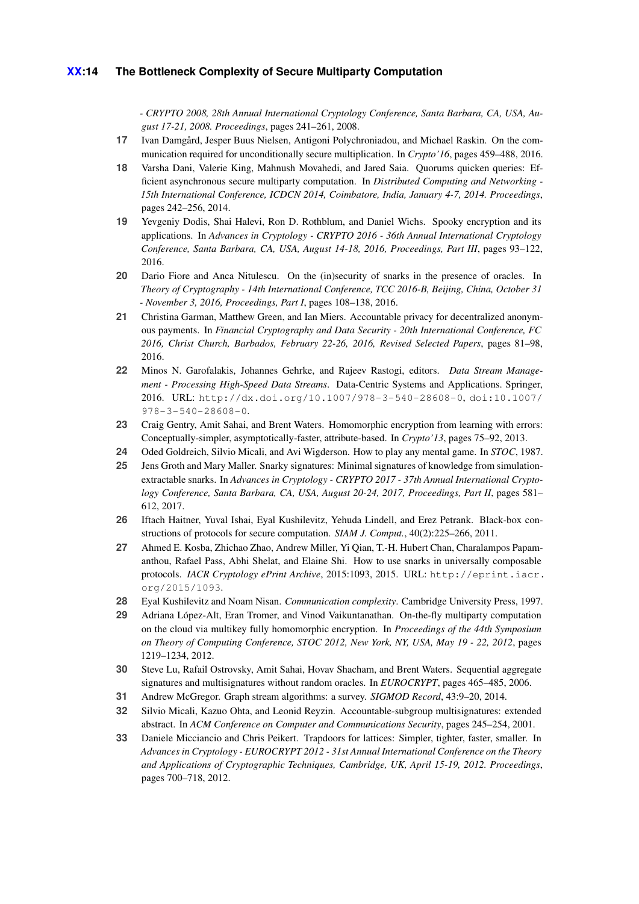*- CRYPTO 2008, 28th Annual International Cryptology Conference, Santa Barbara, CA, USA, August 17-21, 2008. Proceedings*, pages 241–261, 2008.

- <span id="page-13-12"></span>**17** Ivan Damgård, Jesper Buus Nielsen, Antigoni Polychroniadou, and Michael Raskin. On the communication required for unconditionally secure multiplication. In *Crypto'16*, pages 459–488, 2016.
- <span id="page-13-11"></span>**18** Varsha Dani, Valerie King, Mahnush Movahedi, and Jared Saia. Quorums quicken queries: Efficient asynchronous secure multiparty computation. In *Distributed Computing and Networking - 15th International Conference, ICDCN 2014, Coimbatore, India, January 4-7, 2014. Proceedings*, pages 242–256, 2014.
- <span id="page-13-3"></span>**19** Yevgeniy Dodis, Shai Halevi, Ron D. Rothblum, and Daniel Wichs. Spooky encryption and its applications. In *Advances in Cryptology - CRYPTO 2016 - 36th Annual International Cryptology Conference, Santa Barbara, CA, USA, August 14-18, 2016, Proceedings, Part III*, pages 93–122, 2016.
- <span id="page-13-7"></span>**20** Dario Fiore and Anca Nitulescu. On the (in)security of snarks in the presence of oracles. In *Theory of Cryptography - 14th International Conference, TCC 2016-B, Beijing, China, October 31 - November 3, 2016, Proceedings, Part I*, pages 108–138, 2016.
- <span id="page-13-9"></span>**21** Christina Garman, Matthew Green, and Ian Miers. Accountable privacy for decentralized anonymous payments. In *Financial Cryptography and Data Security - 20th International Conference, FC 2016, Christ Church, Barbados, February 22-26, 2016, Revised Selected Papers*, pages 81–98, 2016.
- <span id="page-13-1"></span>**22** Minos N. Garofalakis, Johannes Gehrke, and Rajeev Rastogi, editors. *Data Stream Management - Processing High-Speed Data Streams*. Data-Centric Systems and Applications. Springer, 2016. URL: <http://dx.doi.org/10.1007/978-3-540-28608-0>, [doi:10.1007/](http://dx.doi.org/10.1007/978-3-540-28608-0) [978-3-540-28608-0](http://dx.doi.org/10.1007/978-3-540-28608-0).
- <span id="page-13-4"></span>**23** Craig Gentry, Amit Sahai, and Brent Waters. Homomorphic encryption from learning with errors: Conceptually-simpler, asymptotically-faster, attribute-based. In *Crypto'13*, pages 75–92, 2013.
- <span id="page-13-0"></span>**24** Oded Goldreich, Silvio Micali, and Avi Wigderson. How to play any mental game. In *STOC*, 1987.
- <span id="page-13-8"></span>**25** Jens Groth and Mary Maller. Snarky signatures: Minimal signatures of knowledge from simulationextractable snarks. In *Advances in Cryptology - CRYPTO 2017 - 37th Annual International Cryptology Conference, Santa Barbara, CA, USA, August 20-24, 2017, Proceedings, Part II*, pages 581– 612, 2017.
- <span id="page-13-13"></span>**26** Iftach Haitner, Yuval Ishai, Eyal Kushilevitz, Yehuda Lindell, and Erez Petrank. Black-box constructions of protocols for secure computation. *SIAM J. Comput.*, 40(2):225–266, 2011.
- <span id="page-13-6"></span>**27** Ahmed E. Kosba, Zhichao Zhao, Andrew Miller, Yi Qian, T.-H. Hubert Chan, Charalampos Papamanthou, Rafael Pass, Abhi Shelat, and Elaine Shi. How to use snarks in universally composable protocols. *IACR Cryptology ePrint Archive*, 2015:1093, 2015. URL: [http://eprint.iacr.](http://eprint.iacr.org/2015/1093) [org/2015/1093](http://eprint.iacr.org/2015/1093).
- <span id="page-13-10"></span>**28** Eyal Kushilevitz and Noam Nisan. *Communication complexity*. Cambridge University Press, 1997.
- <span id="page-13-5"></span>**29** Adriana López-Alt, Eran Tromer, and Vinod Vaikuntanathan. On-the-fly multiparty computation on the cloud via multikey fully homomorphic encryption. In *Proceedings of the 44th Symposium on Theory of Computing Conference, STOC 2012, New York, NY, USA, May 19 - 22, 2012*, pages 1219–1234, 2012.
- <span id="page-13-15"></span>**30** Steve Lu, Rafail Ostrovsky, Amit Sahai, Hovav Shacham, and Brent Waters. Sequential aggregate signatures and multisignatures without random oracles. In *EUROCRYPT*, pages 465–485, 2006.
- <span id="page-13-2"></span>**31** Andrew McGregor. Graph stream algorithms: a survey. *SIGMOD Record*, 43:9–20, 2014.
- <span id="page-13-14"></span>**32** Silvio Micali, Kazuo Ohta, and Leonid Reyzin. Accountable-subgroup multisignatures: extended abstract. In *ACM Conference on Computer and Communications Security*, pages 245–254, 2001.
- <span id="page-13-16"></span>**33** Daniele Micciancio and Chris Peikert. Trapdoors for lattices: Simpler, tighter, faster, smaller. In *Advances in Cryptology - EUROCRYPT 2012 - 31st Annual International Conference on the Theory and Applications of Cryptographic Techniques, Cambridge, UK, April 15-19, 2012. Proceedings*, pages 700–718, 2012.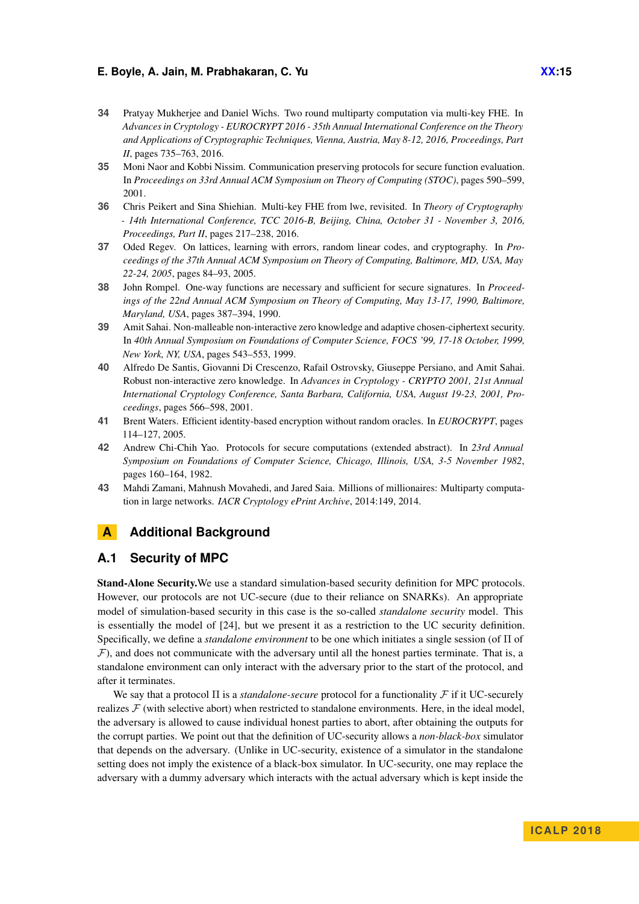- <span id="page-14-3"></span>**34** Pratyay Mukherjee and Daniel Wichs. Two round multiparty computation via multi-key FHE. In *Advances in Cryptology - EUROCRYPT 2016 - 35th Annual International Conference on the Theory and Applications of Cryptographic Techniques, Vienna, Austria, May 8-12, 2016, Proceedings, Part II*, pages 735–763, 2016.
- <span id="page-14-5"></span>**35** Moni Naor and Kobbi Nissim. Communication preserving protocols for secure function evaluation. In *Proceedings on 33rd Annual ACM Symposium on Theory of Computing (STOC)*, pages 590–599, 2001.
- <span id="page-14-4"></span>**36** Chris Peikert and Sina Shiehian. Multi-key FHE from lwe, revisited. In *Theory of Cryptography - 14th International Conference, TCC 2016-B, Beijing, China, October 31 - November 3, 2016, Proceedings, Part II*, pages 217–238, 2016.
- <span id="page-14-9"></span>**37** Oded Regev. On lattices, learning with errors, random linear codes, and cryptography. In *Proceedings of the 37th Annual ACM Symposium on Theory of Computing, Baltimore, MD, USA, May 22-24, 2005*, pages 84–93, 2005.
- <span id="page-14-10"></span>**38** John Rompel. One-way functions are necessary and sufficient for secure signatures. In *Proceedings of the 22nd Annual ACM Symposium on Theory of Computing, May 13-17, 1990, Baltimore, Maryland, USA*, pages 387–394, 1990.
- <span id="page-14-1"></span>**39** Amit Sahai. Non-malleable non-interactive zero knowledge and adaptive chosen-ciphertext security. In *40th Annual Symposium on Foundations of Computer Science, FOCS '99, 17-18 October, 1999, New York, NY, USA*, pages 543–553, 1999.
- <span id="page-14-2"></span>**40** Alfredo De Santis, Giovanni Di Crescenzo, Rafail Ostrovsky, Giuseppe Persiano, and Amit Sahai. Robust non-interactive zero knowledge. In *Advances in Cryptology - CRYPTO 2001, 21st Annual International Cryptology Conference, Santa Barbara, California, USA, August 19-23, 2001, Proceedings*, pages 566–598, 2001.
- <span id="page-14-8"></span>**41** Brent Waters. Efficient identity-based encryption without random oracles. In *EUROCRYPT*, pages 114–127, 2005.
- <span id="page-14-0"></span>**42** Andrew Chi-Chih Yao. Protocols for secure computations (extended abstract). In *23rd Annual Symposium on Foundations of Computer Science, Chicago, Illinois, USA, 3-5 November 1982*, pages 160–164, 1982.
- <span id="page-14-6"></span>**43** Mahdi Zamani, Mahnush Movahedi, and Jared Saia. Millions of millionaires: Multiparty computation in large networks. *IACR Cryptology ePrint Archive*, 2014:149, 2014.

# <span id="page-14-7"></span>**A Additional Background**

# **A.1 Security of MPC**

Stand-Alone Security.We use a standard simulation-based security definition for MPC protocols. However, our protocols are not UC-secure (due to their reliance on SNARKs). An appropriate model of simulation-based security in this case is the so-called *standalone security* model. This is essentially the model of [\[24\]](#page-13-0), but we present it as a restriction to the UC security definition. Specifically, we define a *standalone environment* to be one which initiates a single session (of Π of  $\mathcal F$ ), and does not communicate with the adversary until all the honest parties terminate. That is, a standalone environment can only interact with the adversary prior to the start of the protocol, and after it terminates.

We say that a protocol  $\Pi$  is a *standalone-secure* protocol for a functionality  $\mathcal F$  if it UC-securely realizes  $\mathcal F$  (with selective abort) when restricted to standalone environments. Here, in the ideal model, the adversary is allowed to cause individual honest parties to abort, after obtaining the outputs for the corrupt parties. We point out that the definition of UC-security allows a *non-black-box* simulator that depends on the adversary. (Unlike in UC-security, existence of a simulator in the standalone setting does not imply the existence of a black-box simulator. In UC-security, one may replace the adversary with a dummy adversary which interacts with the actual adversary which is kept inside the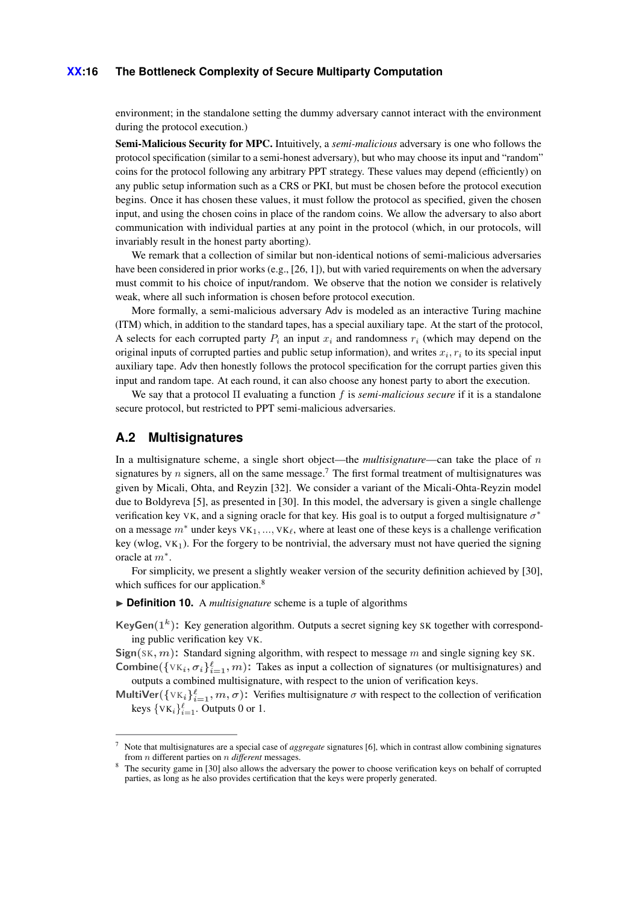### **XX:16 The Bottleneck Complexity of Secure Multiparty Computation**

environment; in the standalone setting the dummy adversary cannot interact with the environment during the protocol execution.)

Semi-Malicious Security for MPC. Intuitively, a *semi-malicious* adversary is one who follows the protocol specification (similar to a semi-honest adversary), but who may choose its input and "random" coins for the protocol following any arbitrary PPT strategy. These values may depend (efficiently) on any public setup information such as a CRS or PKI, but must be chosen before the protocol execution begins. Once it has chosen these values, it must follow the protocol as specified, given the chosen input, and using the chosen coins in place of the random coins. We allow the adversary to also abort communication with individual parties at any point in the protocol (which, in our protocols, will invariably result in the honest party aborting).

We remark that a collection of similar but non-identical notions of semi-malicious adversaries have been considered in prior works (e.g., [\[26,](#page-13-13) [1\]](#page-12-2)), but with varied requirements on when the adversary must commit to his choice of input/random. We observe that the notion we consider is relatively weak, where all such information is chosen before protocol execution.

More formally, a semi-malicious adversary Adv is modeled as an interactive Turing machine (ITM) which, in addition to the standard tapes, has a special auxiliary tape. At the start of the protocol, A selects for each corrupted party  $P_i$  an input  $x_i$  and randomness  $r_i$  (which may depend on the original inputs of corrupted parties and public setup information), and writes  $x_i, r_i$  to its special input auxiliary tape. Adv then honestly follows the protocol specification for the corrupt parties given this input and random tape. At each round, it can also choose any honest party to abort the execution.

We say that a protocol Π evaluating a function *f* is *semi-malicious secure* if it is a standalone secure protocol, but restricted to PPT semi-malicious adversaries.

### **A.2 Multisignatures**

In a multisignature scheme, a single short object—the *multisignature*—can take the place of *n* signatures by  $n$  signers, all on the same message.<sup>[7](#page-15-0)</sup> The first formal treatment of multisignatures was given by Micali, Ohta, and Reyzin [\[32\]](#page-13-14). We consider a variant of the Micali-Ohta-Reyzin model due to Boldyreva [\[5\]](#page-12-12), as presented in [\[30\]](#page-13-15). In this model, the adversary is given a single challenge verification key VK, and a signing oracle for that key. His goal is to output a forged multisignature  $\sigma^*$ on a message  $m^*$  under keys  $VK_1, ..., VK_\ell$ , where at least one of these keys is a challenge verification key (wlog,  $VK<sub>1</sub>$ ). For the forgery to be nontrivial, the adversary must not have queried the signing oracle at *m*<sup>∗</sup> .

For simplicity, we present a slightly weaker version of the security definition achieved by [\[30\]](#page-13-15), which suffices for our application.<sup>[8](#page-15-1)</sup>

▶ **Definition 10.** A *multisignature* scheme is a tuple of algorithms

**KeyGen** $(1^k)$ **: Key generation algorithm. Outputs a secret signing key SK together with correspond**ing public verification key VK.

**Sign** $(SK, m)$ : Standard signing algorithm, with respect to message *m* and single signing key SK.

**Combine** $(\lbrace \forall K_i, \sigma_i \rbrace_{i=1}^{\ell}, m)$ : Takes as input a collection of signatures (or multisignatures) and outputs a combined multisignature, with respect to the union of verification keys.

**MultiVer**( $\{VK_i\}_{i=1}^{\ell}, m, \sigma$ ): Verifies multisignature  $\sigma$  with respect to the collection of verification keys  $\{VK_i\}_{i=1}^{\ell}$ . Outputs 0 or 1.

<span id="page-15-0"></span><sup>7</sup> Note that multisignatures are a special case of *aggregate* signatures [\[6\]](#page-12-13), which in contrast allow combining signatures from *n* different parties on *n different* messages.

<span id="page-15-1"></span><sup>8</sup> The security game in [\[30\]](#page-13-15) also allows the adversary the power to choose verification keys on behalf of corrupted parties, as long as he also provides certification that the keys were properly generated.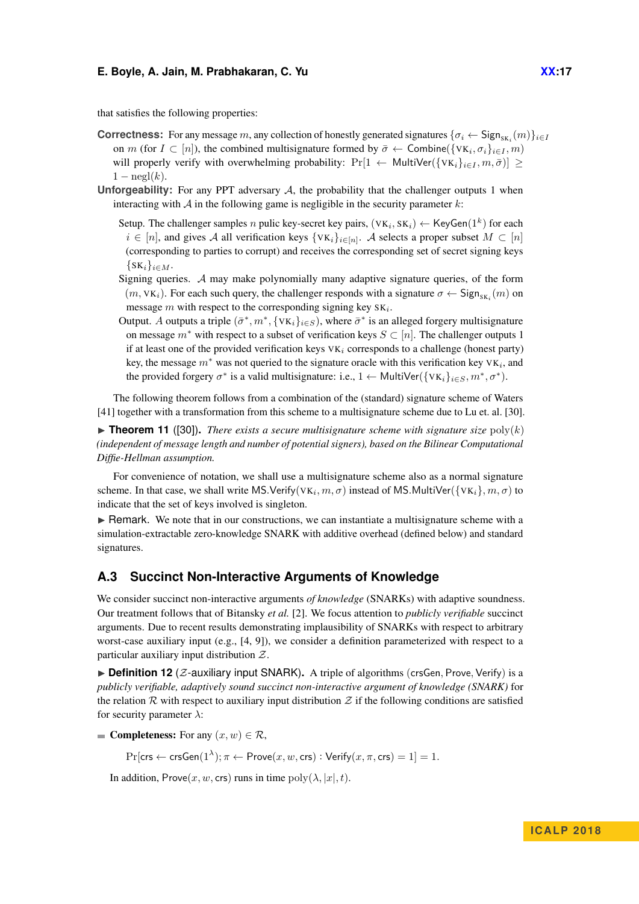that satisfies the following properties:

- **Correctness:** For any message *m*, any collection of honestly generated signatures  $\{\sigma_i \leftarrow \text{Sign}_{SK_i}(m)\}_{i \in I}$ on *m* (for  $I \subset [n]$ ), the combined multisignature formed by  $\bar{\sigma} \leftarrow$  Combine( $\{VK_i, \sigma_i\}_{i \in I}, m$ ) will properly verify with overwhelming probability:  $Pr[1 \leftarrow \text{MultiVer}(\{vk_i\}_{i \in I}, m, \bar{\sigma})] >$  $1 - \operatorname{negl}(k)$ .
- **Unforgeability:** For any PPT adversary  $A$ , the probability that the challenger outputs 1 when interacting with A in the following game is negligible in the security parameter *k*:
	- Setup. The challenger samples *n* pulic key-secret key pairs,  $(\forall K_i, SK_i) \leftarrow \text{KeyGen}(1^k)$  for each *i* ∈ [*n*], and gives A all verification keys  $\{VK_i\}_{i \in [n]}$ . A selects a proper subset  $M \subset [n]$ (corresponding to parties to corrupt) and receives the corresponding set of secret signing keys  $\{SK_i\}_{i \in M}$ .
	- Signing queries. A may make polynomially many adaptive signature queries, of the form  $(m, vK_i)$ . For each such query, the challenger responds with a signature  $\sigma \leftarrow$  Sign<sub>SK<sub>i</sub></sub> $(m)$  on message *m* with respect to the corresponding signing key SK*<sup>i</sup>* .
	- Output. *A* outputs a triple  $(\bar{\sigma}^*, m^*, \{VK_i\}_{i \in S})$ , where  $\bar{\sigma}^*$  is an alleged forgery multisignature on message *m*<sup>∗</sup> with respect to a subset of verification keys *S* ⊂ [*n*]. The challenger outputs 1 if at least one of the provided verification keys  $VK_i$  corresponds to a challenge (honest party) key, the message  $m^*$  was not queried to the signature oracle with this verification key  $VK_i$ , and the provided forgery  $\sigma^*$  is a valid multisignature: i.e., 1 ← MultiVer( $\{VK_i\}_{i \in S}, m^*, \sigma^*$ ).

The following theorem follows from a combination of the (standard) signature scheme of Waters [\[41\]](#page-14-8) together with a transformation from this scheme to a multisignature scheme due to Lu et. al. [\[30\]](#page-13-15).

 $\triangleright$  **Theorem 11** ([\[30\]](#page-13-15)). *There exists a secure multisignature scheme with signature size* poly(*k*) *(independent of message length and number of potential signers), based on the Bilinear Computational Diffie-Hellman assumption.*

For convenience of notation, we shall use a multisignature scheme also as a normal signature scheme. In that case, we shall write MS.Verify( $\forall$ K $_i$ ,  $m, \sigma$ ) instead of MS.MultiVer( $\{VK_i\}$ ,  $m, \sigma$ ) to indicate that the set of keys involved is singleton.

 $\triangleright$  Remark. We note that in our constructions, we can instantiate a multisignature scheme with a simulation-extractable zero-knowledge SNARK with additive overhead (defined below) and standard signatures.

### **A.3 Succinct Non-Interactive Arguments of Knowledge**

We consider succinct non-interactive arguments *of knowledge* (SNARKs) with adaptive soundness. Our treatment follows that of Bitansky *et al.* [\[2\]](#page-12-1). We focus attention to *publicly verifiable* succinct arguments. Due to recent results demonstrating implausibility of SNARKs with respect to arbitrary worst-case auxiliary input (e.g., [\[4,](#page-12-14) [9\]](#page-12-15)), we consider a definition parameterized with respect to a particular auxiliary input distribution  $Z$ .

<span id="page-16-0"></span> $\triangleright$  **Definition 12** (*Z*-auxiliary input SNARK). A triple of algorithms (crsGen, Prove, Verify) is a *publicly verifiable, adaptively sound succinct non-interactive argument of knowledge (SNARK)* for the relation R with respect to auxiliary input distribution  $Z$  if the following conditions are satisfied for security parameter *λ*:

**Completeness:** For any  $(x, w) \in \mathcal{R}$ ,

 $\Pr[\mathsf{crs} \leftarrow \mathsf{crsGen}(1^\lambda); \pi \leftarrow \mathsf{Prove}(x,w,\mathsf{crs}) : \mathsf{Verify}(x,\pi,\mathsf{crs}) = 1] = 1.$ 

In addition, Prove $(x, w, \text{crs})$  runs in time  $\text{poly}(\lambda, |x|, t)$ .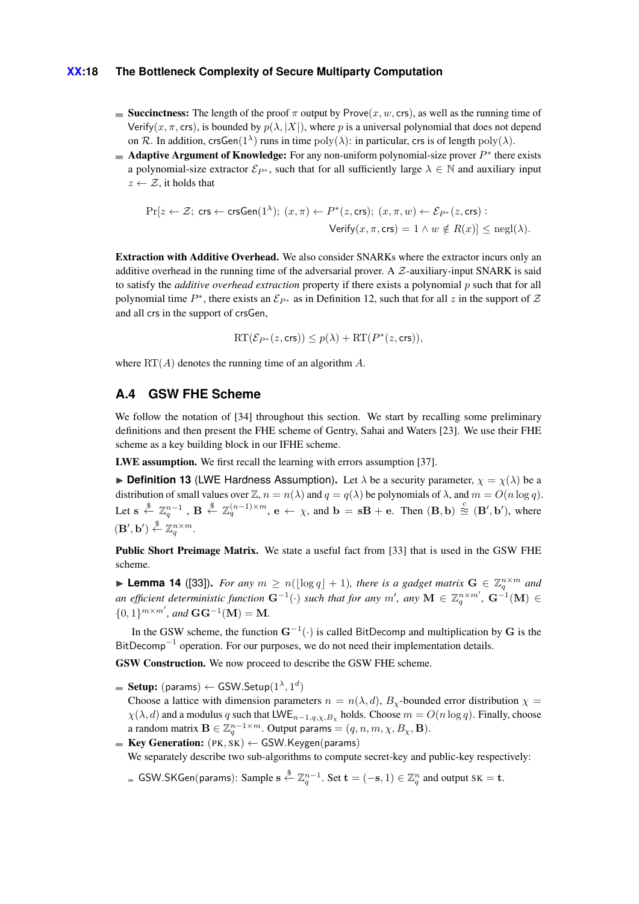### **XX:18 The Bottleneck Complexity of Secure Multiparty Computation**

- Succinctness: The length of the proof  $\pi$  output by Prove $(x, w, \text{crs})$ , as well as the running time of Verify( $x, \pi$ , crs), is bounded by  $p(\lambda, |X|)$ , where p is a universal polynomial that does not depend on R. In addition, crsGen(1<sup> $\lambda$ </sup>) runs in time  $poly(\lambda)$ : in particular, crs is of length  $poly(\lambda)$ .
- Adaptive Argument of Knowledge: For any non-uniform polynomial-size prover *P*<sup>∗</sup> there exists a polynomial-size extractor  $\mathcal{E}_{P^*}$ , such that for all sufficiently large  $\lambda \in \mathbb{N}$  and auxiliary input  $z \leftarrow \mathcal{Z}$ , it holds that

$$
\Pr[z \leftarrow \mathcal{Z}; \text{ crs} \leftarrow \text{crsGen}(1^{\lambda}); (x, \pi) \leftarrow P^*(z, \text{crs}); (x, \pi, w) \leftarrow \mathcal{E}_{P^*}(z, \text{crs}) :
$$
  

$$
\text{Verify}(x, \pi, \text{crs}) = 1 \land w \notin R(x)] \le \text{negl}(\lambda).
$$

Extraction with Additive Overhead. We also consider SNARKs where the extractor incurs only an additive overhead in the running time of the adversarial prover. A  $Z$ -auxiliary-input SNARK is said to satisfy the *additive overhead extraction* property if there exists a polynomial *p* such that for all polynomial time  $P^*$ , there exists an  $\mathcal{E}_{P^*}$  as in [Definition 12,](#page-16-0) such that for all *z* in the support of  $\mathcal Z$ and all crs in the support of crsGen,

$$
\mathrm{RT}(\mathcal{E}_{P^*}(z,\mathrm{crs})) \le p(\lambda) + \mathrm{RT}(P^*(z,\mathrm{crs})),
$$

where RT(*A*) denotes the running time of an algorithm *A*.

# <span id="page-17-0"></span>**A.4 GSW FHE Scheme**

We follow the notation of [\[34\]](#page-14-3) throughout this section. We start by recalling some preliminary definitions and then present the FHE scheme of Gentry, Sahai and Waters [\[23\]](#page-13-4). We use their FHE scheme as a key building block in our IFHE scheme.

LWE assumption. We first recall the learning with errors assumption [\[37\]](#page-14-9).

**Definition 13** (LWE Hardness Assumption). Let  $\lambda$  be a security parameter,  $\chi = \chi(\lambda)$  be a distribution of small values over  $\mathbb{Z}$ ,  $n = n(\lambda)$  and  $q = q(\lambda)$  be polynomials of  $\lambda$ , and  $m = O(n \log q)$ . Let  $s \stackrel{\$}{\leftarrow} \mathbb{Z}_q^{n-1}$ ,  $\mathbf{B} \stackrel{\$}{\leftarrow} \mathbb{Z}_q^{(n-1)\times m}$ ,  $\mathbf{e} \leftarrow \chi$ , and  $\mathbf{b} = s\mathbf{B} + \mathbf{e}$ . Then  $(\mathbf{B}, \mathbf{b}) \stackrel{c}{\cong} (\mathbf{B}', \mathbf{b}'),$  where  $(\mathbf{B}', \mathbf{b}') \overset{\$}{\leftarrow} \mathbb{Z}_q^{n \times m}.$ 

Public Short Preimage Matrix. We state a useful fact from [\[33\]](#page-13-16) that is used in the GSW FHE scheme.

**Example 14** ([\[33\]](#page-13-16)). For any  $m \ge n(\lfloor \log q \rfloor + 1)$ , there is a gadget matrix  $G \in \mathbb{Z}_q^{n \times m}$  and an efficient deterministic function  $G^{-1}(\cdot)$  such that for any  $m'$ , any  $M \in \mathbb{Z}_q^{n \times m'}$ ,  $G^{-1}(M) \in$  $\{0,1\}^{m \times m'}$ , and  $\mathbf{GG}^{-1}(\mathbf{M}) = \mathbf{M}$ .

In the GSW scheme, the function **G**<sup>−</sup><sup>1</sup> (·) is called BitDecomp and multiplication by **G** is the BitDecomp<sup>-1</sup> operation. For our purposes, we do not need their implementation details.

GSW Construction. We now proceed to describe the GSW FHE scheme.

 $\textbf{Setup:}~(\textsf{params}) \leftarrow \textsf{GSW}.\textsf{Setup}(1^\lambda,1^d)$ 

Choose a lattice with dimension parameters  $n = n(\lambda, d)$ ,  $B_{\gamma}$ -bounded error distribution  $\chi$  =  $\chi(\lambda, d)$  and a modulus *q* such that LWE<sub>*n*−1*,q,χ,B*<sub>*x*</sub></sub> holds. Choose  $m = O(n \log q)$ . Finally, choose a random matrix  $\mathbf{B} \in \mathbb{Z}_q^{n-1 \times m}$ . Output params  $= (q, n, m, \chi, B_\chi, \mathbf{B})$ .

Key Generation: (PK*,* SK) ← GSW*.*Keygen(params)

We separately describe two sub-algorithms to compute secret-key and public-key respectively:

GSW.SKGen(params): Sample  $s \stackrel{\$}{\leftarrow} \mathbb{Z}_q^{n-1}$ . Set  $t = (-s, 1) \in \mathbb{Z}_q^n$  and output  $s \cdot t = t$ .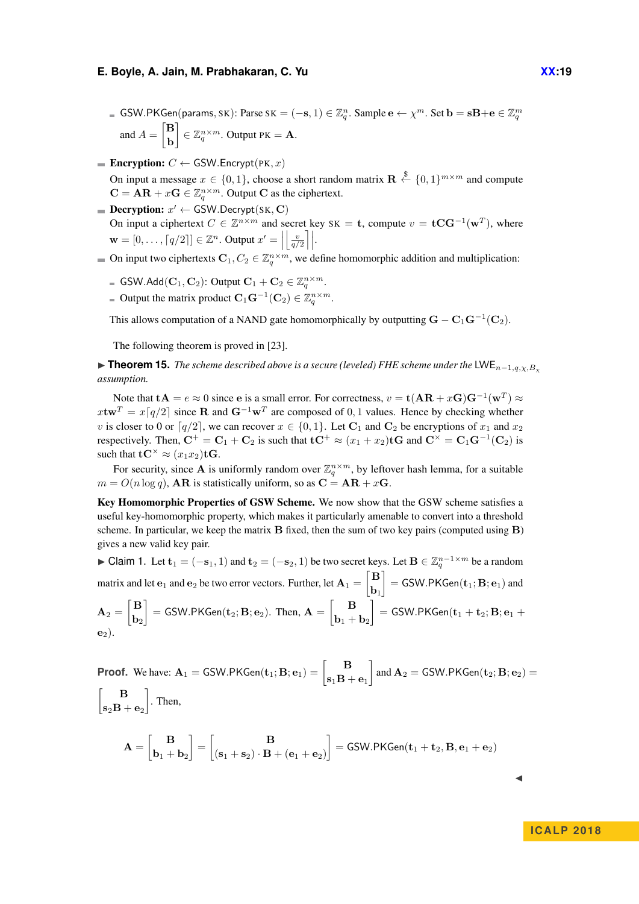- GSW.PKGen(params, SK): Parse SK = (-s, 1)  $\in \mathbb{Z}_q^n$ . Sample  $e \leftarrow \chi^m$ . Set  $\mathbf{b} = s\mathbf{B} + \mathbf{e} \in \mathbb{Z}_q^m$ and  $A = \begin{bmatrix} \mathbf{B} \\ \mathbf{B} \end{bmatrix}$ **b**  $\left[ \begin{array}{l} \in \mathbb{Z}_q^{n \times m}$ . Output PK = **A**.
- **Encryption:**  $C \leftarrow$  GSW. Encrypt(PK, x) On input a message  $x \in \{0, 1\}$ , choose a short random matrix  $\mathbf{R} \stackrel{\$}{\leftarrow} \{0, 1\}^{m \times m}$  and compute  $\mathbf{C} = \mathbf{AR} + x\mathbf{G} \in \mathbb{Z}_q^{n \times m}$ . Output **C** as the ciphertext.
- $\textbf{Decryption: } x' \leftarrow \text{GSW}.\text{Decrypt}(\text{SK}, \textbf{C})$ On input a ciphertext  $C \in \mathbb{Z}^{n \times m}$  and secret key SK = **t**, compute  $v = \mathbf{t} \mathbf{C} \mathbf{G}^{-1}(\mathbf{w}^T)$ , where  $\mathbf{w} = [0, \ldots, \lceil q/2 \rceil] \in \mathbb{Z}^n$ . Output  $x' = \left| \left\lfloor \frac{v}{q/2} \right\rceil \right|$ .
- On input two ciphertexts  $\mathbf{C}_1, C_2 \in \mathbb{Z}_q^{n \times m}$ , we define homomorphic addition and multiplication:
	- GSW.Add( $\mathbf{C}_1, \mathbf{C}_2$ ): Output  $\mathbf{C}_1 + \mathbf{C}_2 \in \mathbb{Z}_q^{n \times m}$ .
	- Output the matrix product  $C_1 \mathbf{G}^{-1}(\mathbf{C}_2) \in \mathbb{Z}_q^{n \times m}$ .

This allows computation of a NAND gate homomorphically by outputting  $\mathbf{G} - \mathbf{C}_1 \mathbf{G}^{-1}(\mathbf{C}_2)$ .

The following theorem is proved in [\[23\]](#page-13-4).

I **Theorem 15.** *The scheme described above is a secure (leveled) FHE scheme under the* LWE*n*−1*,q,χ,B<sup>χ</sup> assumption.*

Note that  $\mathbf{tA} = e \approx 0$  since e is a small error. For correctness,  $v = \mathbf{t(AR} + x\mathbf{G})\mathbf{G}^{-1}(\mathbf{w}^T) \approx$  $x$ **tw**<sup>*T*</sup> =  $x\left[q/2\right]$  since **R** and  $G^{-1}w^T$  are composed of 0,1 values. Hence by checking whether *v* is closer to 0 or  $\lceil q/2 \rceil$ , we can recover  $x \in \{0, 1\}$ . Let  $\mathbb{C}_1$  and  $\mathbb{C}_2$  be encryptions of  $x_1$  and  $x_2$ respectively. Then,  $C^+ = C_1 + C_2$  is such that  $tC^+ \approx (x_1 + x_2)tG$  and  $C^{\times} = C_1G^{-1}(C_2)$  is such that  $\mathbf{t} \mathbf{C}^{\times} \approx (x_1 x_2) \mathbf{t} \mathbf{G}.$ 

For security, since **A** is uniformly random over  $\mathbb{Z}_q^{n \times m}$ , by leftover hash lemma, for a suitable  $m = O(n \log q)$ , **AR** is statistically uniform, so as  $C = AR + xG$ .

Key Homomorphic Properties of GSW Scheme. We now show that the GSW scheme satisfies a useful key-homomorphic property, which makes it particularly amenable to convert into a threshold scheme. In particular, we keep the matrix **B** fixed, then the sum of two key pairs (computed using **B**) gives a new valid key pair.

► Claim 1. Let  $\mathbf{t}_1 = (-\mathbf{s}_1, 1)$  and  $\mathbf{t}_2 = (-\mathbf{s}_2, 1)$  be two secret keys. Let  $\mathbf{B} \in \mathbb{Z}_q^{n-1 \times m}$  be a random matrix and let  $\mathbf{e}_1$  and  $\mathbf{e}_2$  be two error vectors. Further, let  $\mathbf{A}_1 = \begin{bmatrix} \mathbf{B} \\ \mathbf{B} \end{bmatrix}$ **b**1  $\Big]$  = GSW.PKGen $(\mathbf{t}_1; \mathbf{B}; \mathbf{e}_1)$  and  $\mathbf{A}_2 = \begin{bmatrix} \mathbf{B} \ \mathbf{b} \end{bmatrix}$  $$  $\begin{bmatrix} \mathbf{B} \\ \mathbf{B} \end{bmatrix}$  = GSW.PKGen( $\mathbf{t}_2$ ;  $\mathbf{B}$ ;  $\mathbf{e}_2$ ). Then,  $\mathbf{A} = \begin{bmatrix} \mathbf{B} \\ \mathbf{B} \end{bmatrix}$  $\mathbf{b}_1 + \mathbf{b}_2$  $\Big] = \mathsf{GSW}.\mathsf{PKGen}(\mathbf{t}_1 + \mathbf{t}_2; \mathbf{B}; \mathbf{e}_1 + \mathbf{b}_2)$  $\mathbf{e}_2$ ).

Proof. We have: 
$$
\mathbf{A}_1 = \text{GSW.PKGen}(\mathbf{t}_1; \mathbf{B}; \mathbf{e}_1) = \begin{bmatrix} \mathbf{B} \\ \mathbf{s}_1 \mathbf{B} + \mathbf{e}_1 \end{bmatrix}
$$
 and  $\mathbf{A}_2 = \text{GSW.PKGen}(\mathbf{t}_2; \mathbf{B}; \mathbf{e}_2) =$   
\n
$$
\begin{bmatrix} \mathbf{B} \\ \mathbf{s}_2 \mathbf{B} + \mathbf{e}_2 \end{bmatrix}.
$$
 Then,  
\n
$$
\mathbf{A} = \begin{bmatrix} \mathbf{B} \\ \mathbf{b}_1 + \mathbf{b}_2 \end{bmatrix} = \begin{bmatrix} \mathbf{B} \\ (\mathbf{s}_1 + \mathbf{s}_2) \cdot \mathbf{B} + (\mathbf{e}_1 + \mathbf{e}_2) \end{bmatrix} = \text{GSW.PKGen}(\mathbf{t}_1 + \mathbf{t}_2, \mathbf{B}, \mathbf{e}_1 + \mathbf{e}_2)
$$

**ICALP 2018**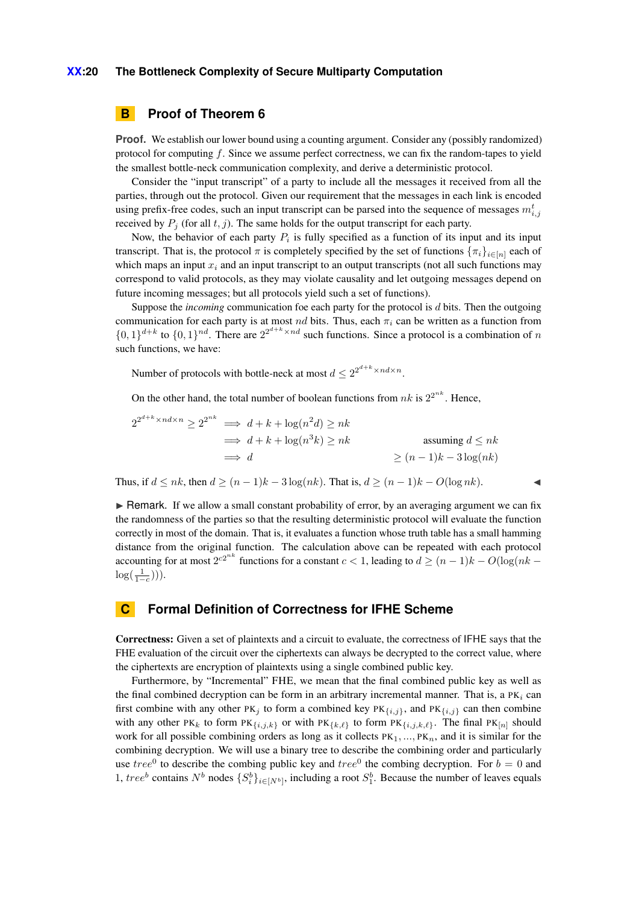#### **XX:20 The Bottleneck Complexity of Secure Multiparty Computation**

# <span id="page-19-0"></span>**B Proof of Theorem [6](#page-8-1)**

**Proof.** We establish our lower bound using a counting argument. Consider any (possibly randomized) protocol for computing *f*. Since we assume perfect correctness, we can fix the random-tapes to yield the smallest bottle-neck communication complexity, and derive a deterministic protocol.

Consider the "input transcript" of a party to include all the messages it received from all the parties, through out the protocol. Given our requirement that the messages in each link is encoded using prefix-free codes, such an input transcript can be parsed into the sequence of messages  $m_{i,j}^t$ received by  $P_j$  (for all  $t, j$ ). The same holds for the output transcript for each party.

Now, the behavior of each party  $P_i$  is fully specified as a function of its input and its input transcript. That is, the protocol  $\pi$  is completely specified by the set of functions  $\{\pi_i\}_{i\in[n]}$  each of which maps an input  $x_i$  and an input transcript to an output transcripts (not all such functions may correspond to valid protocols, as they may violate causality and let outgoing messages depend on future incoming messages; but all protocols yield such a set of functions).

Suppose the *incoming* communication foe each party for the protocol is *d* bits. Then the outgoing communication for each party is at most *nd* bits. Thus, each *π<sup>i</sup>* can be written as a function from  $\{0, 1\}^{d+k}$  to  $\{0, 1\}^{nd}$ . There are  $2^{2^{d+k} \times nd}$  such functions. Since a protocol is a combination of *n* such functions, we have:

Number of protocols with bottle-neck at most  $d \leq 2^{2^{d+k} \times nd \times n}$ .

On the other hand, the total number of boolean functions from  $nk$  is  $2^{2^{nk}}$ . Hence,

$$
2^{2^{d+k} \times nd \times n} \ge 2^{2^{nk}} \implies d + k + \log(n^2 d) \ge nk
$$
  
\n
$$
\implies d + k + \log(n^3 k) \ge nk
$$
  
\n
$$
\implies d
$$
  
\n
$$
\ge (n-1)k - 3\log(nk)
$$

Thus, if  $d \le nk$ , then  $d \ge (n-1)k - 3\log(nk)$ . That is,  $d \ge (n-1)k - O(\log nk)$ .

 $\triangleright$  Remark. If we allow a small constant probability of error, by an averaging argument we can fix the randomness of the parties so that the resulting deterministic protocol will evaluate the function correctly in most of the domain. That is, it evaluates a function whose truth table has a small hamming distance from the original function. The calculation above can be repeated with each protocol accounting for at most  $2^{c2^{nk}}$  functions for a constant  $c < 1$ , leading to  $d \ge (n-1)k - O(\log(nk - 1))$  $log(\frac{1}{1-c}))$ ).

# <span id="page-19-1"></span>**C Formal Definition of Correctness for IFHE Scheme**

Correctness: Given a set of plaintexts and a circuit to evaluate, the correctness of IFHE says that the FHE evaluation of the circuit over the ciphertexts can always be decrypted to the correct value, where the ciphertexts are encryption of plaintexts using a single combined public key.

Furthermore, by "Incremental" FHE, we mean that the final combined public key as well as the final combined decryption can be form in an arbitrary incremental manner. That is, a PK*<sup>i</sup>* can first combine with any other PK<sub>j</sub> to form a combined key PK<sub>{*i,j*}</sub>, and PK<sub>{*i,j*}</sub> can then combine with any other PK<sub>k</sub> to form PK<sub>{*i,j,k*}</sub> or with PK<sub>{k, $\ell$ }</sub> to form PK<sub>{*i,j,k,* $\ell$ }. The final PK<sub>[*n*]</sub> should</sub> work for all possible combining orders as long as it collects  $PK_1, ..., PK_n$ , and it is similar for the combining decryption. We will use a binary tree to describe the combining order and particularly use  $tree^0$  to describe the combing public key and  $tree^0$  the combing decryption. For  $b = 0$  and 1, *tree*<sup>*b*</sup> contains  $N^b$  nodes  $\{S_i^b\}_{i \in [N^b]}$ , including a root  $S_1^b$ . Because the number of leaves equals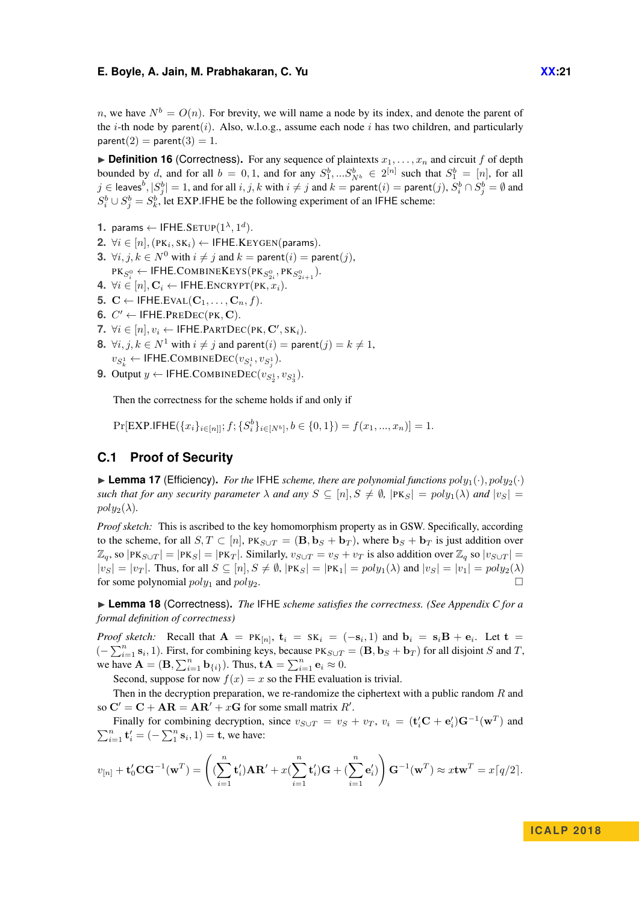*n*, we have  $N^b = O(n)$ . For brevity, we will name a node by its index, and denote the parent of the *i*-th node by parent(*i*). Also, w.l.o.g., assume each node *i* has two children, and particularly  $parent(2) = parent(3) = 1.$ 

 $\triangleright$  **Definition 16** (Correctness). For any sequence of plaintexts  $x_1, \ldots, x_n$  and circuit f of depth bounded by *d*, and for all  $b = 0, 1$ , and for any  $S_1^b, \dots S_{N^b}^b \in 2^{[n]}$  such that  $S_1^b = [n]$ , for all  $j\in\textsf{leaves}^b, |S_j^b|=1,$  and for all  $i,j,k$  with  $i\neq j$  and  $k=\overline{\textsf{parent}(i)}=\textsf{parent}(j),$   $S_i^b\cap S_j^b=\emptyset$  and  $S_i^b \cup S_j^b = S_k^b$ , let EXP.IFHE be the following experiment of an IFHE scheme:

- **1.** params ← IFHE.SETUP $(1^{\lambda}, 1^d)$ *.*
- $2. \ \forall i \in [n], (\texttt{PK}_i, \texttt{SK}_i) \leftarrow \textsf{IFHE}.\textsf{KEYGEN}(\textsf{params}).$
- **3.**  $\forall i, j, k \in \mathbb{N}^0$  with  $i \neq j$  and  $k = \text{parent}(i) = \text{parent}(j)$ ,  $\begin{aligned} \mathsf{PK}_{S^0_i} \leftarrow \mathsf{IFHE.COMBINEKEYS}(\mathsf{PK}_{S^0_{2i}}, \mathsf{PK}_{S^0_{2i+1}}). \end{aligned}$
- **4.** ∀ $i \in [n], \mathbf{C}_i \leftarrow \textsf{IFHE}.\textsf{ENCRYPT}(\textsf{PK}, x_i).$
- **5.**  $C \leftarrow \text{IFHE.EVAL}(\mathbf{C}_1, \ldots, \mathbf{C}_n, f).$
- **6.**  $C' \leftarrow \text{IFHE.PREDEC(PK, C)}$ .
- **7.**  $\forall i \in [n], v_i$  ← **IFHE.PARTDEC(PK, C'**, SK<sub>*i*</sub>).
- **8.**  $\forall i, j, k \in \mathbb{N}^1$  with  $i \neq j$  and parent $(i) =$  parent $(j) = k \neq 1$ ,  $v_{S^1_k} \leftarrow \textsf{IFHE.COMBINEDEC}(v_{S^1_i}, v_{S^1_j}).$
- **9.** Output *y* ← IFHE.COMBINEDEC( $v_{S_2^1}, v_{S_3^1}$ ).

Then the correctness for the scheme holds if and only if

 $Pr[EXP.IFHE(\{x_i\}_{i\in[n]}; f; \{S_i^b\}_{i\in[N^b]}, b \in \{0, 1\}) = f(x_1, ..., x_n)] = 1.$ 

# <span id="page-20-0"></span>**C.1 Proof of Security**

 $\blacktriangleright$  **Lemma 17** (Efficiency). *For the* IFHE *scheme, there are polynomial functions*  $poly_1(\cdot)$ *,*  $poly_2(\cdot)$ *such that for any security parameter*  $\lambda$  *and any*  $S \subseteq [n], S \neq \emptyset$ ,  $|PK_S| = poly_1(\lambda)$  *and*  $|v_S| =$  $poly_2(\lambda)$ .

*Proof sketch:* This is ascribed to the key homomorphism property as in GSW. Specifically, according to the scheme, for all  $S, T \subset [n]$ ,  $PK_{S \cup T} = (\mathbf{B}, \mathbf{b}_S + \mathbf{b}_T)$ , where  $\mathbf{b}_S + \mathbf{b}_T$  is just addition over  $\mathbb{Z}_q$ , so  $|\text{PK}_{S \cup T}| = |\text{PK}_S| = |\text{PK}_T|$ . Similarly,  $v_{S \cup T} = v_S + v_T$  is also addition over  $\mathbb{Z}_q$  so  $|v_{S \cup T}| =$  $|v_S| = |v_T|$ . Thus, for all  $S \subseteq [n], S \neq \emptyset$ ,  $|PK_S| = |PK_1| = poly_1(\lambda)$  and  $|v_S| = |v_1| = poly_2(\lambda)$ for some polynomial  $poly_1$  and  $poly_2$ .

▶ **Lemma 18** (Correctness). *The* IFHE *scheme satisfies the correctness. (See [Appendix C](#page-19-1) for a formal definition of correctness)*

*Proof sketch:* Recall that  $\mathbf{A} = P K_{[n]}, \mathbf{t}_i = S K_i = (-s_i, 1)$  and  $\mathbf{b}_i = s_i \mathbf{B} + \mathbf{e}_i$ . Let  $\mathbf{t} =$  $(-\sum_{i=1}^{n} s_i, 1)$ . First, for combining keys, because PK<sub>*S*∪*T*</sub> = (**B***,* **b**<sub>*S*</sub> + **b**<sub>*T*</sub>) for all disjoint *S* and *T*, we have  $\mathbf{A} = (\mathbf{B}, \sum_{i=1}^n \mathbf{b}_{\{i\}})$ . Thus,  $\mathbf{t}\mathbf{A} = \sum_{i=1}^n \mathbf{e}_i \approx 0$ .

Second, suppose for now  $f(x) = x$  so the FHE evaluation is trivial.

Then in the decryption preparation, we re-randomize the ciphertext with a public random *R* and so  $\mathbf{C}' = \mathbf{C} + \mathbf{AR} = \mathbf{AR}' + x\mathbf{G}$  for some small matrix  $R'$ .

Finally for combining decryption, since  $v_{S \cup T} = v_S + v_T$ ,  $v_i = (\mathbf{t}_i' \mathbf{C} + \mathbf{e}_i') \mathbf{G}^{-1}(\mathbf{w}^T)$  and  $\sum_{i=1}^{n}$  **t**<sub>*i*</sub></sub> =  $(-\sum_{1}^{n}$ **s**<sub>*i*</sub>, 1) = **t**, we have:

$$
v_{[n]} + \mathbf{t}'_0 \mathbf{C} \mathbf{G}^{-1}(\mathbf{w}^T) = \left( (\sum_{i=1}^n \mathbf{t}'_i) \mathbf{A} \mathbf{R}' + x (\sum_{i=1}^n \mathbf{t}'_i) \mathbf{G} + (\sum_{i=1}^n \mathbf{e}'_i) \right) \mathbf{G}^{-1}(\mathbf{w}^T) \approx x \mathbf{t} \mathbf{w}^T = x \lceil q/2 \rceil.
$$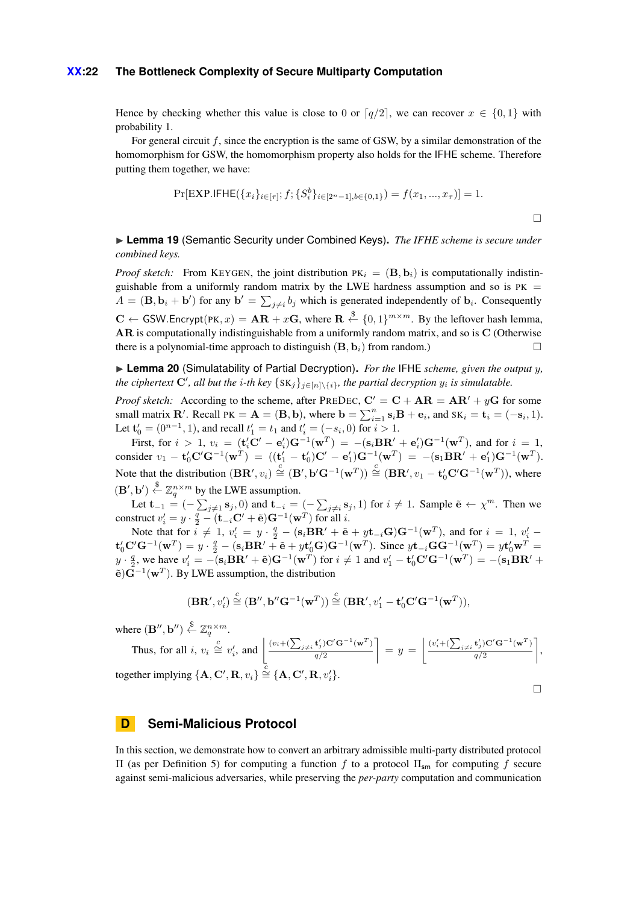#### **XX:22 The Bottleneck Complexity of Secure Multiparty Computation**

Hence by checking whether this value is close to 0 or  $q/2$ , we can recover  $x \in \{0, 1\}$  with probability 1.

For general circuit *f*, since the encryption is the same of GSW, by a similar demonstration of the homomorphism for GSW, the homomorphism property also holds for the IFHE scheme. Therefore putting them together, we have:

$$
\Pr[\text{EXP.IFHE}(\{x_i\}_{i \in [\tau]}; f; \{S_i^b\}_{i \in [2^n-1], b \in \{0,1\}}) = f(x_1, ..., x_\tau)] = 1.
$$

► Lemma 19 (Semantic Security under Combined Keys). *The IFHE scheme is secure under combined keys.*

*Proof sketch:* From KEYGEN, the joint distribution  $PK_i = (B, b_i)$  is computationally indistinguishable from a uniformly random matrix by the LWE hardness assumption and so is  $PK =$  $A = (\mathbf{B}, \mathbf{b}_i + \mathbf{b}')$  for any  $\mathbf{b}' = \sum_{j \neq i} b_j$  which is generated independently of  $\mathbf{b}_i$ . Consequently  $\mathbf{C} \leftarrow$  GSW. Encrypt(PK,  $x$ ) =  $\mathbf{AR} + x\mathbf{G}$ , where  $\mathbf{R} \stackrel{\$}{\leftarrow} \{0,1\}^{m \times m}$ . By the leftover hash lemma, **AR** is computationally indistinguishable from a uniformly random matrix, and so is **C** (Otherwise there is a polynomial-time approach to distinguish  $(\mathbf{B}, \mathbf{b}_i)$  from random.)

I **Lemma 20** (Simulatability of Partial Decryption)**.** *For the* IFHE *scheme, given the output y, the ciphertext*  $\mathbf{C}'$ , all but the *i*-th key  $\{S_{\mathbf{K}}\}_{j\in[n]\setminus\{i\}}$ , the partial decryption  $y_i$  is simulatable.

*Proof sketch:* According to the scheme, after PREDEC,  $C' = C + AR = AR' + yG$  for some small matrix **R**'. Recall PK =  $A = (B, b)$ , where  $b = \sum_{i=1}^{n} s_i B + e_i$ , and  $sK_i = t_i = (-s_i, 1)$ . Let  $\mathbf{t}'_0 = (0^{n-1}, 1)$ , and recall  $t'_1 = t_1$  and  $t'_i = (-s_i, 0)$  for  $i > 1$ .

First, for  $i > 1$ ,  $v_i = (\mathbf{t}_i^{\prime} \mathbf{C}^{\prime} - \mathbf{e}_i^{\prime}) \mathbf{G}^{-1}(\mathbf{w}^T) = -(\mathbf{s}_i \mathbf{B} \mathbf{R}^{\prime} + \mathbf{e}_i^{\prime}) \mathbf{G}^{-1}(\mathbf{w}^T)$ , and for  $i = 1$ , consider  $v_1 - \mathbf{t}_0' \mathbf{C}' \mathbf{G}^{-1}(\mathbf{w}^T) = ((\mathbf{t}_1' - \mathbf{t}_0')\mathbf{C}' - \mathbf{e}_1')\mathbf{G}^{-1}(\mathbf{w}^T) = -(\mathbf{s}_1 \mathbf{B} \mathbf{R}' + \mathbf{e}_1')\mathbf{G}^{-1}(\mathbf{w}^T).$ Note that the distribution  $(B\mathbf{R}', v_i) \stackrel{c}{\cong} (B', \mathbf{b}'\mathbf{G}^{-1}(\mathbf{w}^T)) \stackrel{c}{\cong} (B\mathbf{R}', v_1 - \mathbf{t}_0' \mathbf{C}'\mathbf{G}^{-1}(\mathbf{w}^T)),$  where  $(\mathbf{B}', \mathbf{b}') \stackrel{\$}{\leftarrow} \mathbb{Z}_q^{n \times m}$  by the LWE assumption.

Let  $\mathbf{t}_{-1} = (-\sum_{j\neq 1} s_j, 0)$  and  $\mathbf{t}_{-i} = (-\sum_{j\neq i} s_j, 1)$  for  $i \neq 1$ . Sample  $\tilde{\mathbf{e}} \leftarrow \chi^m$ . Then we construct  $v'_i = y \cdot \frac{q}{2} - (\mathbf{t}_{-i} \mathbf{C}' + \tilde{\mathbf{e}}) \mathbf{G}^{-1}(\mathbf{w}^T)$  for all *i*.

Note that for  $i \neq 1$ ,  $v'_i = y \cdot \frac{q}{2} - (\mathbf{s}_i \mathbf{B} \mathbf{R}' + \tilde{\mathbf{e}} + y \mathbf{t}_{-i} \mathbf{G}) \mathbf{G}^{-1}(\mathbf{w}^T)$ , and for  $i = 1$ ,  $v'_i$  ${\bf t}'_0{\bf C}'{\bf G}^{-1}({\bf w}^T) = y\cdot \frac{q}{2} - (s_i{\bf B}{\bf R}' + \tilde{\bf e} + y{\bf t}'_0{\bf G}){\bf G}^{-1}({\bf w}^T).$  Since  $y{\bf t}_{-i}{\bf G}{\bf G}^{-1}({\bf w}^T) = y{\bf t}'_0{\bf w}^T =$  $y \cdot \frac{q}{2}$ , we have  $v_i' = -(\mathbf{s}_i \mathbf{B} \mathbf{R}' + \tilde{\mathbf{e}}) \mathbf{G}^{-1}(\mathbf{w}^T)$  for  $i \neq 1$  and  $v_1' - \mathbf{t}_0' \mathbf{C}' \mathbf{G}^{-1}(\mathbf{w}^T) = -(\mathbf{s}_1 \mathbf{B} \mathbf{R}' + \mathbf{C} \mathbf{s}_1' \mathbf{C} + \mathbf{C} \mathbf{s}_1' \mathbf{C} + \mathbf{C} \mathbf{s}_1' \mathbf{C} + \mathbf{C} \math$  $\tilde{\mathbf{e}}$ ) $\mathbf{G}^{-1}(\mathbf{w}^T)$ . By LWE assumption, the distribution

$$
(\mathbf{BR}',v_i')\stackrel{\mathcal{C}}{=} (\mathbf{B}'',\mathbf{b}''\mathbf{G}^{-1}(\mathbf{w}^T))\stackrel{\mathcal{C}}{=} (\mathbf{BR}',v_1'-\mathbf{t}_0'\mathbf{C}'\mathbf{G}^{-1}(\mathbf{w}^T)),
$$

where  $(\mathbf{B}^{\prime\prime}, \mathbf{b}^{\prime\prime}) \overset{\$}{\leftarrow} \mathbb{Z}_q^{n \times m}$ .

Thus, for all *i*, 
$$
v_i \stackrel{c}{\cong} v_i'
$$
, and  $\left\lfloor \frac{(v_i + (\sum_{j \neq i} \mathbf{t}_j') \mathbf{C}' \mathbf{G}^{-1} (\mathbf{w}^T)}{q/2} \right\rfloor = y = \left\lfloor \frac{(v_i' + (\sum_{j \neq i} \mathbf{t}_j') \mathbf{C}' \mathbf{G}^{-1} (\mathbf{w}^T)}{q/2} \right\rfloor$ ,  
together implying  $\{\mathbf{A}, \mathbf{C}', \mathbf{R}, v_i\} \stackrel{c}{\cong} \{\mathbf{A}, \mathbf{C}', \mathbf{R}, v_i'\}.$ 

# <span id="page-21-0"></span>**D Semi-Malicious Protocol**

In this section, we demonstrate how to convert an arbitrary admissible multi-party distributed protocol Π (as per [Definition 5\)](#page-7-2) for computing a function *f* to a protocol Πsm for computing *f* secure against semi-malicious adversaries, while preserving the *per-party* computation and communication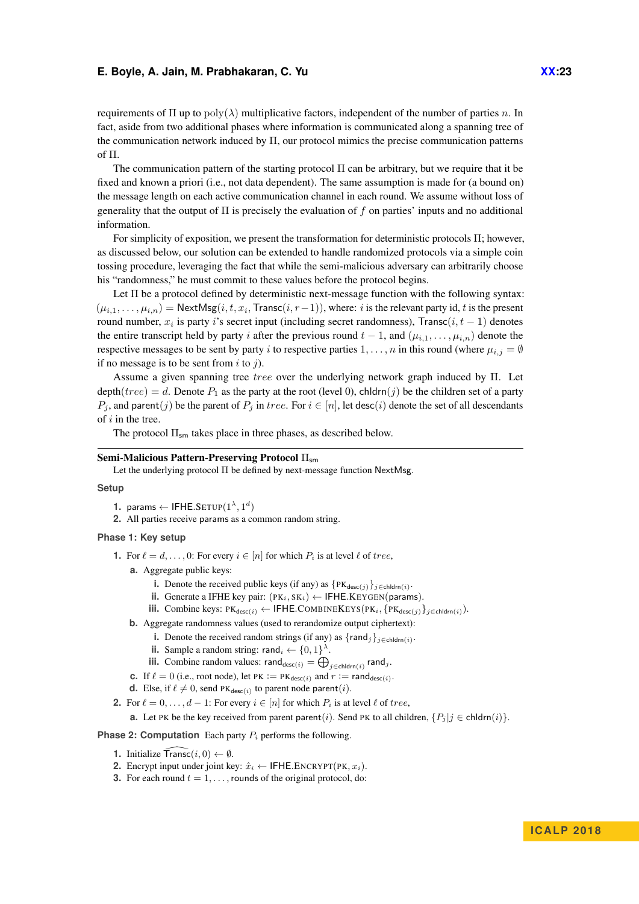requirements of  $\Pi$  up to  $poly(\lambda)$  multiplicative factors, independent of the number of parties *n*. In fact, aside from two additional phases where information is communicated along a spanning tree of the communication network induced by  $\Pi$ , our protocol mimics the precise communication patterns of Π.

The communication pattern of the starting protocol  $\Pi$  can be arbitrary, but we require that it be fixed and known a priori (i.e., not data dependent). The same assumption is made for (a bound on) the message length on each active communication channel in each round. We assume without loss of generality that the output of Π is precisely the evaluation of *f* on parties' inputs and no additional information.

For simplicity of exposition, we present the transformation for deterministic protocols Π; however, as discussed below, our solution can be extended to handle randomized protocols via a simple coin tossing procedure, leveraging the fact that while the semi-malicious adversary can arbitrarily choose his "randomness," he must commit to these values before the protocol begins.

Let  $\Pi$  be a protocol defined by deterministic next-message function with the following syntax:  $(\mu_{i,1}, \ldots, \mu_{i,n}) =$  NextMsg $(i, t, x_i,$  Transc $(i, r-1)$ ), where: *i* is the relevant party id, *t* is the present round number, *x<sup>i</sup>* is party *i*'s secret input (including secret randomness), Transc(*i, t* − 1) denotes the entire transcript held by party *i* after the previous round  $t - 1$ , and  $(\mu_{i,1}, \dots, \mu_{i,n})$  denote the respective messages to be sent by party *i* to respective parties  $1, \ldots, n$  in this round (where  $\mu_{i,j} = \emptyset$ if no message is to be sent from *i* to *j*).

Assume a given spanning tree *tree* over the underlying network graph induced by Π. Let depth(*tree*) = *d*. Denote  $P_1$  as the party at the root (level 0), chldrn(*j*) be the children set of a party *P*<sub>*j*</sub>, and parent(*j*) be the parent of *P*<sub>*j*</sub> in *tree*. For  $i \in [n]$ , let desc(*i*) denote the set of all descendants of *i* in the tree.

The protocol  $\Pi_{\mathsf{sm}}$  takes place in three phases, as described below.

#### Semi-Malicious Pattern-Preserving Protocol Π<sub>sm</sub>

Let the underlying protocol  $\Pi$  be defined by next-message function NextMsg.

### **Setup**

- **1.** params  $\leftarrow$  IFHE.SETUP $(1^{\lambda}, 1^d)$
- **2.** All parties receive params as a common random string.

### **Phase 1: Key setup**

- **1.** For  $\ell = d, \ldots, 0$ : For every  $i \in [n]$  for which  $P_i$  is at level  $\ell$  of *tree*,
	- **a.** Aggregate public keys:
		- **i.** Denote the received public keys (if any) as  $\{PK_{desc(j)}\}_{j \in \text{chldrn}(i)}$ .
		- **ii.** Generate a IFHE key pair:  $(PK_i, SK_i) \leftarrow$  IFHE.KEYGEN(params).
		- $\text{iii.}$  Combine keys: PK<sub>desc(*i*</sub>) ← IFHE.COMBINEKEYS(PK*i*</sub>, {PK<sub>desc(*j*)</sub>}<sub>*j*∈chldrn(*i*)</sub>).
	- **b.** Aggregate randomness values (used to rerandomize output ciphertext):
		- **i.** Denote the received random strings (if any) as  $\{\text{rand}_j\}_{j \in \text{children}(i)}$ .
		- **ii.** Sample a random string: rand<sub>*i*</sub>  $\leftarrow \{0, 1\}^{\lambda}$ .
		- **iii.** Combine random values:  $\mathsf{rand}_{\mathsf{desc}(i)} = \bigoplus_{j \in \mathsf{children}(i)} \mathsf{rand}_j$ .
	- **c.** If  $\ell = 0$  (i.e., root node), let PK := PK<sub>desc(i)</sub> and  $r := \text{rand}_{\text{desc}(i)}$ .
	- **d.** Else, if  $\ell \neq 0$ , send PK<sub>desc(i)</sub> to parent node parent(*i*).
- **2.** For  $\ell = 0, \ldots, d 1$ : For every  $i \in [n]$  for which  $P_i$  is at level  $\ell$  of *tree*,
	- **a.** Let PK be the key received from parent parent(*i*). Send PK to all children,  $\{P_j | j \in \text{chldrn}(i)\}$ .

#### **Phase 2: Computation** Each party *P<sup>i</sup>* performs the following.

- **1.** Initialize  $\widehat{\text{Transc}}(i, 0) \leftarrow \emptyset$ .
- <span id="page-22-0"></span>**2.** Encrypt input under joint key:  $\hat{x}_i \leftarrow \text{IFHE. ENCRYPT(PK}, x_i)$ .
- **3.** For each round  $t = 1, \ldots$ , rounds of the original protocol, do: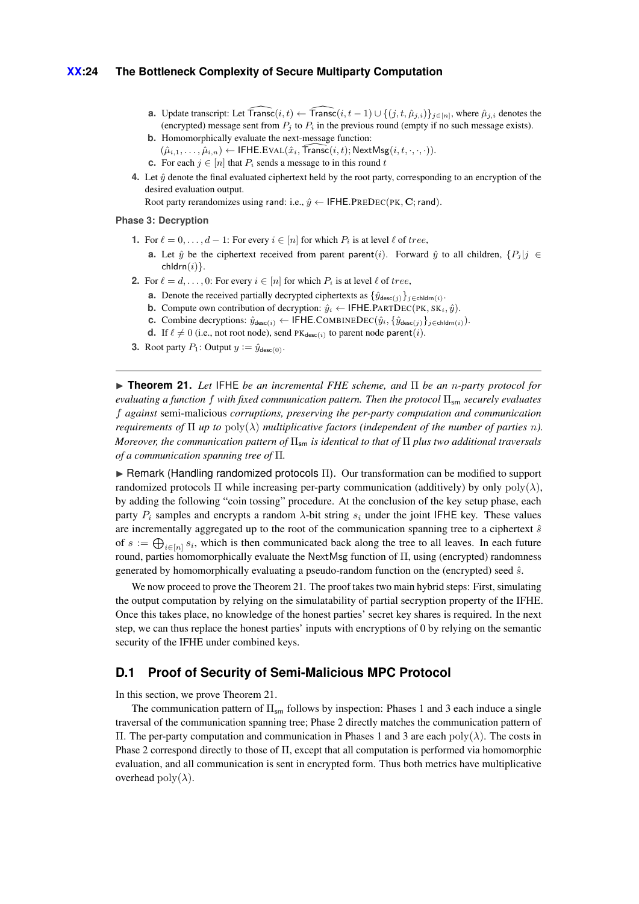- **a.** Update transcript: Let  $\widehat{\text{Transc}}(i, t) \leftarrow \widehat{\text{Transc}}(i, t 1) \cup \{(j, t, \hat{\mu}_{j,i})\}_{j \in [n]}$ , where  $\hat{\mu}_{j,i}$  denotes the (encrypted) message sent from  $P_i$  to  $P_i$  in the previous round (empty if no such message exists).
- **b.** Homomorphically evaluate the next-message function:
	- $(\hat{\mu}_{i,1}, \ldots, \hat{\mu}_{i,n}) \leftarrow \textsf{IFHE.EVAL}(\hat{x}_i, \widehat{\textsf{Transc}}(i, t); \textsf{NextMsg}(i, t, \cdot, \cdot, \cdot)).$
- **c.** For each  $j \in [n]$  that  $P_i$  sends a message to in this round t
- **4.** Let  $\hat{y}$  denote the final evaluated ciphertext held by the root party, corresponding to an encryption of the desired evaluation output.

Root party rerandomizes using rand: i.e.,  $\hat{y} \leftarrow$  IFHE.PREDEC(PK, C; rand).

#### **Phase 3: Decryption**

- **1.** For  $\ell = 0, \ldots, d 1$ : For every  $i \in [n]$  for which  $P_i$  is at level  $\ell$  of *tree*,
	- **a.** Let  $\hat{y}$  be the ciphertext received from parent parent(*i*). Forward  $\hat{y}$  to all children,  $\{P_i | j \in$ chldrn(*i*)}.
- **2.** For  $\ell = d, \ldots, 0$ : For every  $i \in [n]$  for which  $P_i$  is at level  $\ell$  of *tree*,
	- **a.** Denote the received partially decrypted ciphertexts as  $\{\hat{y}_{\text{desc}(i)}\}_{i \in \text{chldrn}(i)}$ .
	- **b.** Compute own contribution of decryption:  $\hat{y}_i \leftarrow \text{IFHE.PARTDEC(PK, SK_i, \hat{y})}.$
	- **c.** Combine decryptions:  $\hat{y}_{\text{desc}(i)} \leftarrow \text{IFHE.COMBINEDEC}(\hat{y}_i, \{\hat{y}_{\text{desc}(j)}\}_{j \in \text{children}(i)}).$
	- **d.** If  $\ell \neq 0$  (i.e., not root node), send PK<sub>desc(*i*</sub>) to parent node parent(*i*).
- **3.** Root party  $P_1$ : Output  $y := \hat{y}_{\text{desc}(0)}$ .

<span id="page-23-0"></span>I **Theorem 21.** *Let* IFHE *be an incremental FHE scheme, and* Π *be an n-party protocol for evaluating a function f with fixed communication pattern. Then the protocol* Π<sub>sm</sub> *securely evaluates f against* semi-malicious *corruptions, preserving the per-party computation and communication requirements of*  $\Pi$  *up to*  $poly(\lambda)$  *multiplicative factors (independent of the number of parties n). Moreover, the communication pattern of* Πsm *is identical to that of* Π *plus two additional traversals of a communication spanning tree of* Π*.*

**In Remark (Handling randomized protocols Π).** Our transformation can be modified to support randomized protocols Π while increasing per-party communication (additively) by only poly(*λ*), by adding the following "coin tossing" procedure. At the conclusion of the key setup phase, each party  $P_i$  samples and encrypts a random  $\lambda$ -bit string  $s_i$  under the joint IFHE key. These values are incrementally aggregated up to the root of the communication spanning tree to a ciphertext  $\hat{s}$ of  $s := \bigoplus_{i \in [n]} s_i$ , which is then communicated back along the tree to all leaves. In each future round, parties homomorphically evaluate the NextMsg function of Π, using (encrypted) randomness generated by homomorphically evaluating a pseudo-random function on the (encrypted) seed *s*ˆ.

We now proceed to prove the Theorem [21.](#page-23-0) The proof takes two main hybrid steps: First, simulating the output computation by relying on the simulatability of partial secryption property of the IFHE. Once this takes place, no knowledge of the honest parties' secret key shares is required. In the next step, we can thus replace the honest parties' inputs with encryptions of 0 by relying on the semantic security of the IFHE under combined keys.

### **D.1 Proof of Security of Semi-Malicious MPC Protocol**

In this section, we prove [Theorem 21.](#page-23-0)

The communication pattern of  $\Pi_{\text{sm}}$  follows by inspection: Phases 1 and 3 each induce a single traversal of the communication spanning tree; Phase 2 directly matches the communication pattern of Π. The per-party computation and communication in Phases 1 and 3 are each poly(*λ*). The costs in Phase 2 correspond directly to those of  $\Pi$ , except that all computation is performed via homomorphic evaluation, and all communication is sent in encrypted form. Thus both metrics have multiplicative overhead  $\text{poly}(\lambda)$ .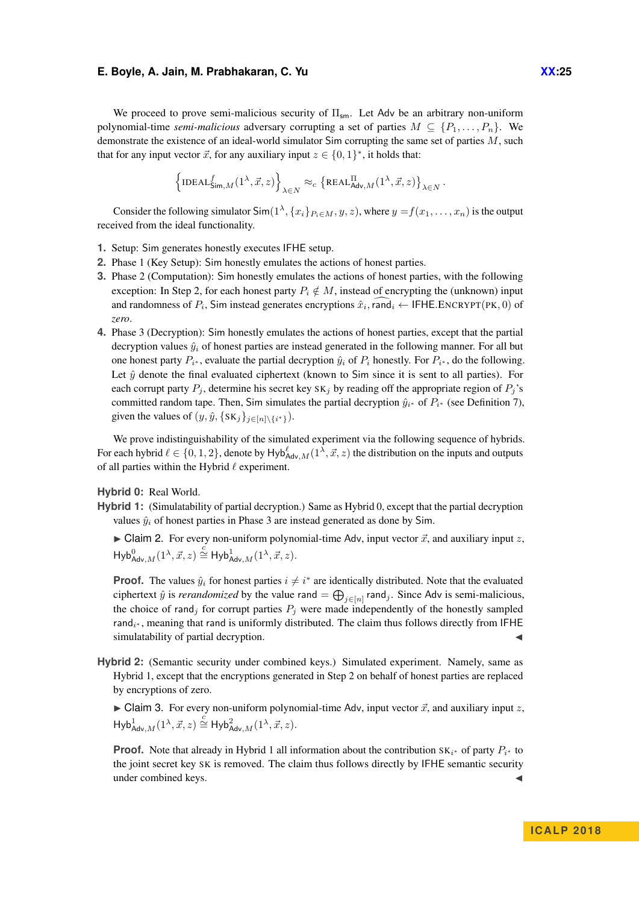We proceed to prove semi-malicious security of  $\Pi_{\rm sm}$ . Let Adv be an arbitrary non-uniform polynomial-time *semi-malicious* adversary corrupting a set of parties  $M \subseteq \{P_1, \ldots, P_n\}$ . We demonstrate the existence of an ideal-world simulator Sim corrupting the same set of parties *M*, such that for any input vector  $\vec{x}$ , for any auxiliary input  $z \in \{0, 1\}^*$ , it holds that:

$$
\left\{ {\rm IDEAL}_{\mathsf{Sim},M}^f(1^\lambda,\vec{x},z) \right\}_{\lambda \in N} \approx_c \left\{ {\rm REAL}_{\mathsf{Adv},M}^{\Pi}(1^\lambda,\vec{x},z) \right\}_{\lambda \in N}.
$$

Consider the following simulator  $\textsf{Sim}(1^\lambda, \{x_i\}_{P_i \in M}, y, z)$ , where  $y = f(x_1, \dots, x_n)$  is the output received from the ideal functionality.

- **1.** Setup: Sim generates honestly executes IFHE setup.
- **2.** Phase 1 (Key Setup): Sim honestly emulates the actions of honest parties.
- **3.** Phase 2 (Computation): Sim honestly emulates the actions of honest parties, with the following exception: In Step [2,](#page-22-0) for each honest party  $P_i \notin M$ , instead of encrypting the (unknown) input and randomness of  $P_i$ , Sim instead generates encryptions  $\hat{x}_i$ , rand  $_i \leftarrow$  IFHE.ENCRYPT(PK, 0) of *zero*.
- **4.** Phase 3 (Decryption): Sim honestly emulates the actions of honest parties, except that the partial decryption values  $\hat{y}_i$  of honest parties are instead generated in the following manner. For all but one honest party  $P_{i^*}$ , evaluate the partial decryption  $\hat{y}_i$  of  $P_i$  honestly. For  $P_{i^*}$ , do the following. Let  $\hat{y}$  denote the final evaluated ciphertext (known to Sim since it is sent to all parties). For each corrupt party  $P_j$ , determine his secret key  $SK_j$  by reading off the appropriate region of  $P_j$ 's committed random tape. Then, Sim simulates the partial decryption  $\hat{y}_{i^*}$  of  $P_{i^*}$  (see [Definition 7\)](#page-9-0), given the values of  $(y, \hat{y}, \{SK_j\}_{j \in [n] \setminus \{i^*\}})$ .

We prove indistinguishability of the simulated experiment via the following sequence of hybrids. For each hybrid  $\ell \in \{0, 1, 2\}$ , denote by  $Hyb_{Adv,M}^{\ell}(1^{\lambda}, \vec{x}, z)$  the distribution on the inputs and outputs of all parties within the Hybrid  $\ell$  experiment.

**Hybrid 0:** Real World.

**Hybrid 1:** (Simulatability of partial decryption.) Same as Hybrid 0, except that the partial decryption values  $\hat{y}_i$  of honest parties in Phase 3 are instead generated as done by Sim.

 $\triangleright$  Claim 2. For every non-uniform polynomial-time Adv, input vector  $\vec{x}$ , and auxiliary input  $z$ ,  $\mathsf{Hyb}^0_{\mathsf{Adv},M}(1^\lambda, \vec{x}, z) \overset{c}{\cong} \mathsf{Hyb}^1_{\mathsf{Adv},M}(1^\lambda, \vec{x}, z).$ 

**Proof.** The values  $\hat{y}_i$  for honest parties  $i \neq i^*$  are identically distributed. Note that the evaluated ciphertext  $\hat{y}$  is *rerandomized* by the value rand  $= \bigoplus_{j \in [n]} \text{rand}_j$ . Since Adv is semi-malicious, the choice of rand<sub>j</sub> for corrupt parties  $P_j$  were made independently of the honestly sampled rand<sub>i</sub>∗, meaning that rand is uniformly distributed. The claim thus follows directly from IFHE simulatability of partial decryption.

**Hybrid 2:** (Semantic security under combined keys.) Simulated experiment. Namely, same as Hybrid 1, except that the encryptions generated in Step [2](#page-22-0) on behalf of honest parties are replaced by encryptions of zero.

 $\triangleright$  Claim 3. For every non-uniform polynomial-time Adv, input vector  $\vec{x}$ , and auxiliary input  $z$ ,  $\mathsf{Hyb}^1_{\mathsf{Adv},M}(1^\lambda, \vec{x}, z) \overset{c}{\cong} \mathsf{Hyb}^2_{\mathsf{Adv},M}(1^\lambda, \vec{x}, z).$ 

**Proof.** Note that already in Hybrid 1 all information about the contribution  $SK_{i^*}$  of party  $P_{i^*}$  to the joint secret key SK is removed. The claim thus follows directly by IFHE semantic security under combined keys.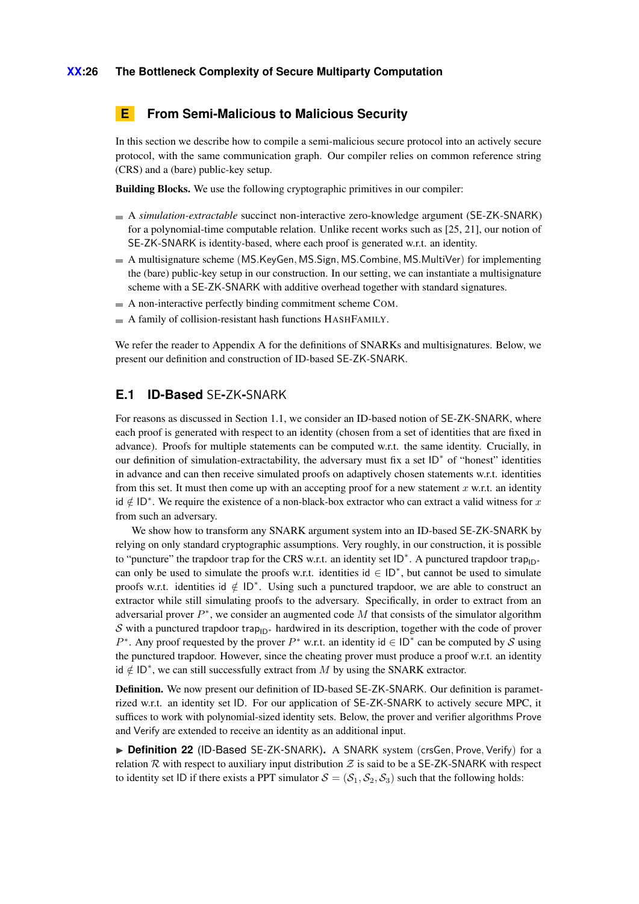# <span id="page-25-1"></span>**E From Semi-Malicious to Malicious Security**

In this section we describe how to compile a semi-malicious secure protocol into an actively secure protocol, with the same communication graph. Our compiler relies on common reference string (CRS) and a (bare) public-key setup.

Building Blocks. We use the following cryptographic primitives in our compiler:

- A *simulation-extractable* succinct non-interactive zero-knowledge argument (SE-ZK-SNARK) for a polynomial-time computable relation. Unlike recent works such as [\[25,](#page-13-8) [21\]](#page-13-9), our notion of SE-ZK-SNARK is identity-based, where each proof is generated w.r.t. an identity.
- A multisignature scheme (MS*.*KeyGen*,* MS*.*Sign*,* MS*.*Combine*,* MS*.*MultiVer) for implementing the (bare) public-key setup in our construction. In our setting, we can instantiate a multisignature scheme with a SE-ZK-SNARK with additive overhead together with standard signatures.
- A non-interactive perfectly binding commitment scheme COM.
- A family of collision-resistant hash functions HASHFAMILY.

We refer the reader to Appendix [A](#page-14-7) for the definitions of SNARKs and multisignatures. Below, we present our definition and construction of ID-based SE-ZK-SNARK.

### <span id="page-25-0"></span>**E.1 ID-Based** SE**-**ZK**-**SNARK

For reasons as discussed in Section [1.1,](#page-3-0) we consider an ID-based notion of SE-ZK-SNARK, where each proof is generated with respect to an identity (chosen from a set of identities that are fixed in advance). Proofs for multiple statements can be computed w.r.t. the same identity. Crucially, in our definition of simulation-extractability, the adversary must fix a set ID<sup>\*</sup> of "honest" identities in advance and can then receive simulated proofs on adaptively chosen statements w.r.t. identities from this set. It must then come up with an accepting proof for a new statement *x* w.r.t. an identity id ∈*/* ID<sup>∗</sup> . We require the existence of a non-black-box extractor who can extract a valid witness for *x* from such an adversary.

We show how to transform any SNARK argument system into an ID-based SE-ZK-SNARK by relying on only standard cryptographic assumptions. Very roughly, in our construction, it is possible to "puncture" the trapdoor trap for the CRS w.r.t. an identity set  $ID^*$ . A punctured trapdoor trap<sub>ID<sup>∗</sup></sub> can only be used to simulate the proofs w.r.t. identities  $id \in ID^*$ , but cannot be used to simulate proofs w.r.t. identities id ∉ ID<sup>\*</sup>. Using such a punctured trapdoor, we are able to construct an extractor while still simulating proofs to the adversary. Specifically, in order to extract from an adversarial prover  $P^*$ , we consider an augmented code M that consists of the simulator algorithm S with a punctured trapdoor trap<sub>ID<sup>∗</sup></sub> hardwired in its description, together with the code of prover  $P^*$ . Any proof requested by the prover  $P^*$  w.r.t. an identity id  $\in$  ID<sup>\*</sup> can be computed by S using the punctured trapdoor. However, since the cheating prover must produce a proof w.r.t. an identity  $\mathsf{Id}$  ∉ ID<sup>\*</sup>, we can still successfully extract from *M* by using the SNARK extractor.

Definition. We now present our definition of ID-based SE-ZK-SNARK. Our definition is parametrized w.r.t. an identity set ID. For our application of SE-ZK-SNARK to actively secure MPC, it suffices to work with polynomial-sized identity sets. Below, the prover and verifier algorithms Prove and Verify are extended to receive an identity as an additional input.

<span id="page-25-2"></span>▶ **Definition 22** (ID-Based SE-ZK-SNARK), A SNARK system (crsGen, Prove, Verify) for a relation R with respect to auxiliary input distribution  $Z$  is said to be a SE-ZK-SNARK with respect to identity set ID if there exists a PPT simulator  $S = (S_1, S_2, S_3)$  such that the following holds: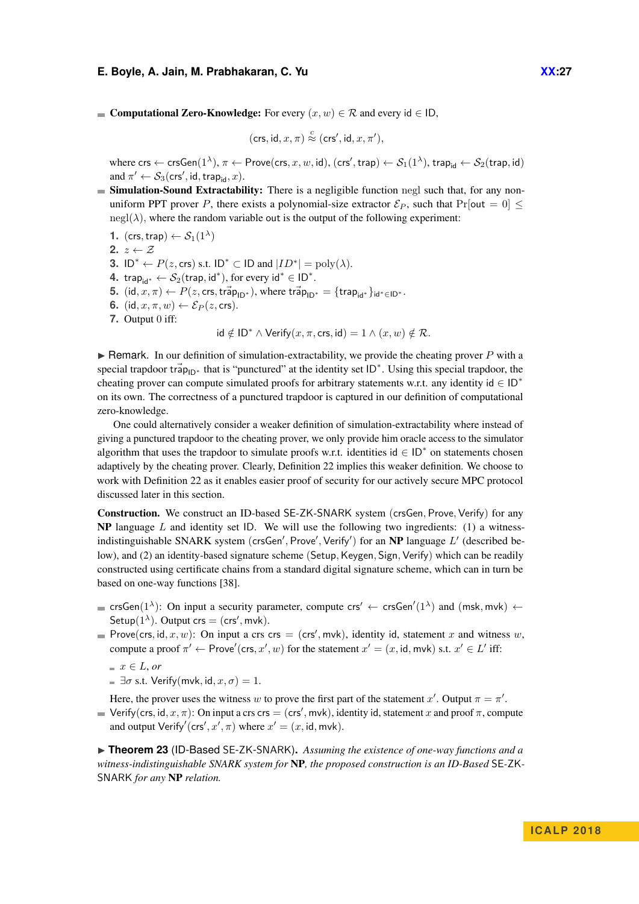**■ Computational Zero-Knowledge:** For every  $(x, w) \in \mathcal{R}$  and every id ∈ ID,

$$
(\mathsf{crs}, \mathsf{id}, x, \pi) \stackrel{c}{\approx} (\mathsf{crs}', \mathsf{id}, x, \pi'),
$$

 $\mathsf{where} \ \mathsf{crs} \leftarrow \mathsf{crsGen}(1^\lambda), \pi \leftarrow \mathsf{Prove}(\mathsf{crs},x,w,\mathsf{id}), (\mathsf{crs}',\mathsf{trap}) \leftarrow \mathcal{S}_1(1^\lambda), \mathsf{trap}_\mathsf{id} \leftarrow \mathcal{S}_2(\mathsf{trap},\mathsf{id})$ and  $\pi' \leftarrow \mathcal{S}_3(\text{crs}', \text{id}, \text{trap}_\text{id}, x)$ .

- Simulation-Sound Extractability: There is a negligible function negl such that, for any nonuniform PPT prover *P*, there exists a polynomial-size extractor  $\mathcal{E}_P$ , such that Pr[out = 0]  $\leq$  $negl(\lambda)$ , where the random variable out is the output of the following experiment:
	- **1.**  $(\textsf{crs}, \textsf{trap}) \leftarrow \mathcal{S}_1(1^{\lambda})$
	- **2.**  $z \leftarrow \mathcal{Z}$

**3.**  $|D^* \leftarrow P(z, \text{crs})$  s.t.  $|D^* \subset ID$  and  $|ID^*| = \text{poly}(\lambda)$ .

- **4.** trap<sub>id\*</sub> ←  $S_2$ (trap, id<sup>\*</sup>), for every id<sup>\*</sup> ∈ ID<sup>\*</sup>.
- **5.**  $(\mathsf{id}, x, \pi) \leftarrow P(z, \mathsf{crs}, \mathsf{tr\vec{a}}_{\mathsf{D} \mid \mathsf{D}^*}), \text{where } \mathsf{tr\vec{a}}_{\mathsf{D} \mid \mathsf{D}^*} = \{\mathsf{tra}_{\mathsf{P}_{\mathsf{id}}}\}_{\mathsf{id}^* \in \mathsf{ID}^*}.$
- **6.** (id,  $x, \pi, w$ )  $\leftarrow$   $\mathcal{E}_P(z, \text{crs})$ .
- **7.** Output 0 iff:

 $id \notin ID^* \wedge Verify(x, \pi, \text{crs}, id) = 1 \wedge (x, w) \notin \mathcal{R}.$ 

**In Remark.** In our definition of simulation-extractability, we provide the cheating prover  $P$  with a special trapdoor tra<sup>2</sup> p<sub>ID</sub><sup>∗</sup> that is "punctured" at the identity set ID<sup>\*</sup>. Using this special trapdoor, the cheating prover can compute simulated proofs for arbitrary statements w.r.t. any identity id  $\in$  ID<sup>\*</sup> on its own. The correctness of a punctured trapdoor is captured in our definition of computational zero-knowledge.

One could alternatively consider a weaker definition of simulation-extractability where instead of giving a punctured trapdoor to the cheating prover, we only provide him oracle access to the simulator algorithm that uses the trapdoor to simulate proofs w.r.t. identities  $id \in ID^*$  on statements chosen adaptively by the cheating prover. Clearly, Definition [22](#page-25-2) implies this weaker definition. We choose to work with Definition [22](#page-25-2) as it enables easier proof of security for our actively secure MPC protocol discussed later in this section.

Construction. We construct an ID-based SE-ZK-SNARK system (crsGen*,* Prove*,* Verify) for any NP language *L* and identity set ID. We will use the following two ingredients: (1) a witnessindistinguishable SNARK system (crsGen', Prove', Verify') for an NP language L' (described below), and (2) an identity-based signature scheme (Setup, Keygen, Sign, Verify) which can be readily constructed using certificate chains from a standard digital signature scheme, which can in turn be based on one-way functions [\[38\]](#page-14-10).

- crsGen( $1^{\lambda}$ ): On input a security parameter, compute crs'  $\leftarrow$  crsGen'( $1^{\lambda}$ ) and (msk, mvk)  $\leftarrow$ Setup( $1^{\lambda}$ ). Output crs = (crs', mvk).
- Prove(crs, id, x, w): On input a crs crs = (crs', mvk), identity id, statement x and witness w, compute a proof  $\pi' \leftarrow \text{Prove}'(\text{crs}, x', w)$  for the statement  $x' = (x, \text{id}, \text{mvk})$  s.t.  $x' \in L'$  iff:

 $x \in L$ , *or* 

 $\exists \sigma$  s.t. Verify(mvk, id,  $x, \sigma$ ) = 1.

Here, the prover uses the witness *w* to prove the first part of the statement *x'*. Output  $\pi = \pi'$ .

Verify(crs, id,  $x, \pi$ ): On input a crs crs = (crs', mvk), identity id, statement  $x$  and proof  $\pi$ , compute and output Verify'(crs',  $x'$ ,  $\pi$ ) where  $x' = (x, id, mvk)$ .

▶ **Theorem 23** (ID-Based SE-ZK-SNARK). *Assuming the existence of one-way functions and a witness-indistinguishable SNARK system for* NP*, the proposed construction is an ID-Based* SE*-*ZK*-*SNARK *for any* NP *relation.*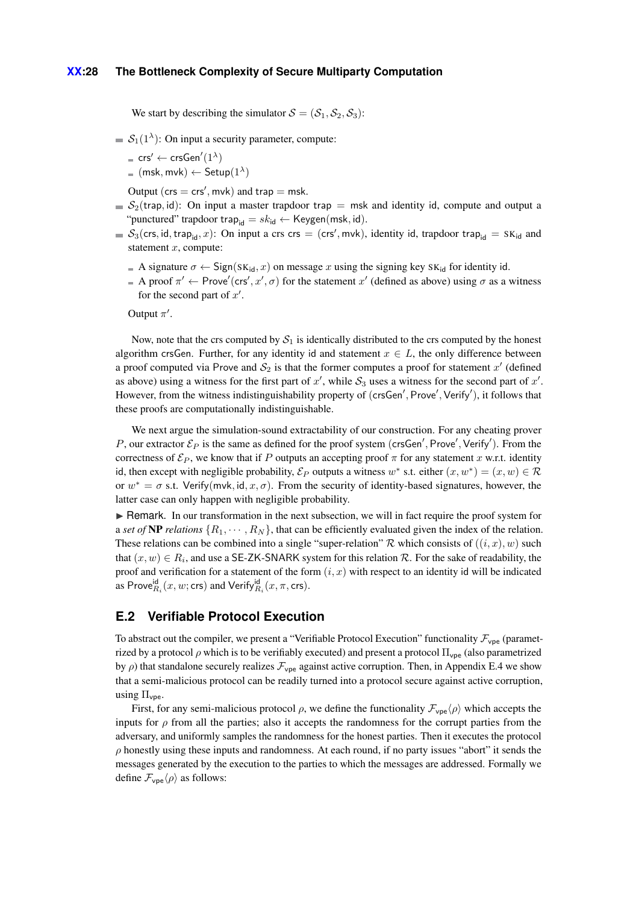We start by describing the simulator  $S = (S_1, S_2, S_3)$ :

- $S_1(1^{\lambda})$ : On input a security parameter, compute:
	- $\mathsf{crs}' \leftarrow \mathsf{crsGen}'(1^\lambda)$
	- $(msk, mvk) \leftarrow$  Setup $(1^{\lambda})$

Output  $(crs = crs', mvk)$  and trap  $= msk$ .

- $S_2$ (trap, id): On input a master trapdoor trap = msk and identity id, compute and output a "punctured" trapdoor trap<sub>id</sub> =  $sk_{\text{id}} \leftarrow \text{Keygen}(\text{msk}, \text{id}).$
- $S_3(\text{crs}, \text{id}, \text{trap}_\text{id}, x)$ : On input a crs crs = (crs', mvk), identity id, trapdoor trap<sub>id</sub> = SK<sub>id</sub> and statement *x*, compute:
	- A signature  $\sigma \leftarrow$  Sign(SK<sub>id</sub>, x) on message x using the signing key SK<sub>id</sub> for identity id.
	- A proof  $\pi' \leftarrow$  Prove'(crs', x',  $\sigma$ ) for the statement x' (defined as above) using  $\sigma$  as a witness for the second part of  $x'$ .

Output  $\pi'$ .

Now, note that the crs computed by  $S_1$  is identically distributed to the crs computed by the honest algorithm crsGen. Further, for any identity id and statement  $x \in L$ , the only difference between a proof computed via Prove and  $S_2$  is that the former computes a proof for statement  $x'$  (defined as above) using a witness for the first part of  $x'$ , while  $S_3$  uses a witness for the second part of  $x'$ . However, from the witness indistinguishability property of (crsGen', Prove', Verify'), it follows that these proofs are computationally indistinguishable.

We next argue the simulation-sound extractability of our construction. For any cheating prover *P*, our extractor  $\mathcal{E}_P$  is the same as defined for the proof system (crsGen', Prove', Verify'). From the correctness of  $\mathcal{E}_P$ , we know that if *P* outputs an accepting proof  $\pi$  for any statement *x* w.r.t. identity id, then except with negligible probability,  $\mathcal{E}_P$  outputs a witness  $w^*$  s.t. either  $(x, w^*) = (x, w) \in \mathcal{R}$ or  $w^* = \sigma$  s.t. Verify(mvk, id, x,  $\sigma$ ). From the security of identity-based signatures, however, the latter case can only happen with negligible probability.

 $\blacktriangleright$  Remark. In our transformation in the next subsection, we will in fact require the proof system for a *set of* NP *relations*  $\{R_1, \dots, R_N\}$ , that can be efficiently evaluated given the index of the relation. These relations can be combined into a single "super-relation"  $\mathcal R$  which consists of  $((i, x), w)$  such that  $(x, w) \in R_i$ , and use a SE-ZK-SNARK system for this relation  $\mathcal{R}$ . For the sake of readability, the proof and verification for a statement of the form  $(i, x)$  with respect to an identity id will be indicated as Prove ${}^{\mathsf{id}}_{R_i}(x,w;\mathsf{crs})$  and Verify ${}^{\mathsf{id}}_{R_i}(x,\pi,\mathsf{crs})$ .

# **E.2 Verifiable Protocol Execution**

To abstract out the compiler, we present a "Verifiable Protocol Execution" functionality  $\mathcal{F}_{\text{vpe}}$  (parametrized by a protocol  $\rho$  which is to be verifiably executed) and present a protocol  $\Pi_{\text{vpe}}$  (also parametrized by  $\rho$ ) that standalone securely realizes  $\mathcal{F}_{\text{vpe}}$  against active corruption. Then, in Appendix [E.4](#page-31-0) we show that a semi-malicious protocol can be readily turned into a protocol secure against active corruption, using  $\Pi_{\text{vpe}}$ .

First, for any semi-malicious protocol  $\rho$ , we define the functionality  $\mathcal{F}_{\text{vpe}}\langle\rho\rangle$  which accepts the inputs for  $\rho$  from all the parties; also it accepts the randomness for the corrupt parties from the adversary, and uniformly samples the randomness for the honest parties. Then it executes the protocol *ρ* honestly using these inputs and randomness. At each round, if no party issues "abort" it sends the messages generated by the execution to the parties to which the messages are addressed. Formally we define  $\mathcal{F}_{\text{vpe}}\langle \rho \rangle$  as follows: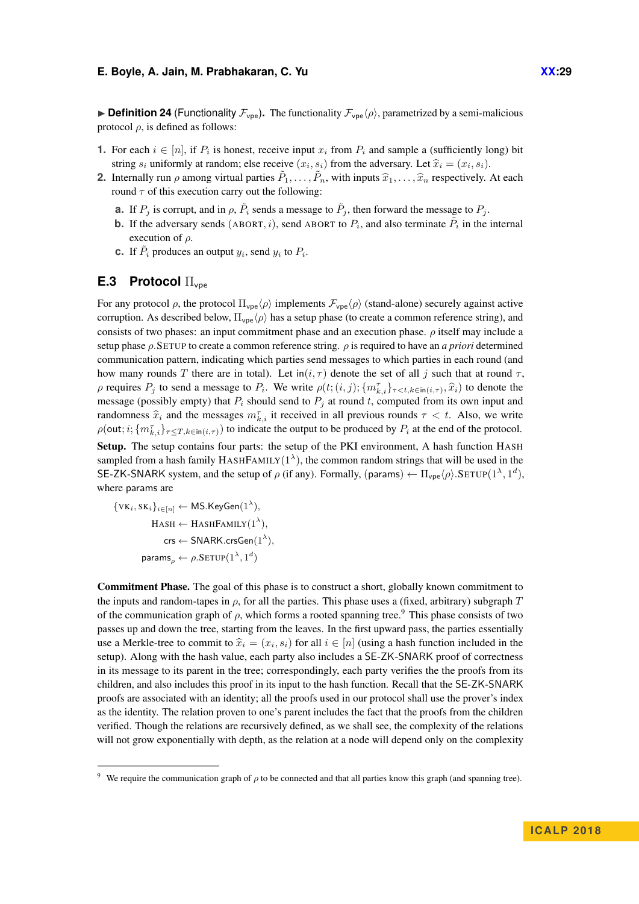**Definition 24** (Functionality  $\mathcal{F}_{\text{vpe}}$ ). The functionality  $\mathcal{F}_{\text{vpe}}(\rho)$ , parametrized by a semi-malicious protocol  $ρ$ , is defined as follows:

- **1.** For each  $i \in [n]$ , if  $P_i$  is honest, receive input  $x_i$  from  $P_i$  and sample a (sufficiently long) bit string  $s_i$  uniformly at random; else receive  $(x_i, s_i)$  from the adversary. Let  $\hat{x}_i = (x_i, s_i)$ .<br>Internally gun a suppositivel perfect  $\tilde{P}_i$  with inputs  $\hat{S}_i$  associatively.
- **2.** Internally run *ρ* among virtual parties  $\tilde{P}_1, \ldots, \tilde{P}_n$ , with inputs  $\hat{x}_1, \ldots, \hat{x}_n$  respectively. At each round  $\sigma$  of this arguation genry out the following: round  $\tau$  of this execution carry out the following:
	- **a.** If  $P_j$  is corrupt, and in  $\rho$ ,  $\tilde{P}_i$  sends a message to  $\tilde{P}_j$ , then forward the message to  $P_j$ .
	- **b.** If the adversary sends (ABORT, *i*), send ABORT to  $P_i$ , and also terminate  $\tilde{P}_i$  in the internal execution of *ρ*.
	- **c.** If  $\tilde{P}_i$  produces an output  $y_i$ , send  $y_i$  to  $P_i$ .

# **E.3 Protocol** Πvpe

For any protocol  $\rho$ , the protocol  $\Pi_{\text{vpe}}\langle \rho \rangle$  implements  $\mathcal{F}_{\text{vpe}}\langle \rho \rangle$  (stand-alone) securely against active corruption. As described below,  $\Pi_{\text{vpe}}\langle \rho \rangle$  has a setup phase (to create a common reference string), and consists of two phases: an input commitment phase and an execution phase. *ρ* itself may include a setup phase *ρ.*SETUP to create a common reference string. *ρ* is required to have an *a priori* determined communication pattern, indicating which parties send messages to which parties in each round (and how many rounds *T* there are in total). Let in( $i, \tau$ ) denote the set of all *j* such that at round  $\tau$ , *ρ* requires *P<sub>j</sub>* to send a message to *P<sub>i</sub>*. We write  $\rho(t; (i,j); \{m_{k,i}^{\tau}\}_{\tau \leq t, k \in \text{in}(i,\tau)}, \hat{x}_i)$  to denote the message (possibly empty) that  $P_i$  should send to  $P_j$  at round  $t$ , computed from its own input and randomness  $\hat{x}_i$  and the messages  $m_{k,i}^{\tau}$  it received in all previous rounds  $\tau < t$ . Also, we write  $\rho(\text{out}; i; \{m_{k,i}^{\tau}\}_{\tau \leq T, k \in \text{in}(i,\tau)})$  to indicate the output to be produced by  $P_i$  at the end of the protocol.

Setup. The setup contains four parts: the setup of the PKI environment, A hash function HASH sampled from a hash family  $HASHFAMILY(1^{\lambda})$ , the common random strings that will be used in the SE-ZK-SNARK system, and the setup of  $\rho$  (if any). Formally, (params)  $\leftarrow \Pi_{\text{vpe}} \langle \rho \rangle$ .SETUP( $1^{\lambda}, 1^d$ ), where params are

 $\{VK_i, SK_i\}_{i \in [n]} \leftarrow \mathsf{MS}.\mathsf{KeyGen}(1^\lambda),$  $\text{HASH} \leftarrow \text{HASHFAMILY}(1^{\lambda}),$  $\mathsf{crs} \leftarrow \mathsf{SNARK}.\mathsf{crsGen}(1^\lambda),$  $\mathsf{params}_\rho \leftarrow \rho.\mathsf{SETUP}(1^{\lambda},1^d)$ 

Commitment Phase. The goal of this phase is to construct a short, globally known commitment to the inputs and random-tapes in *ρ*, for all the parties. This phase uses a (fixed, arbitrary) subgraph *T* of the communication graph of  $\rho$ , which forms a rooted spanning tree.<sup>[9](#page-28-0)</sup> This phase consists of two passes up and down the tree, starting from the leaves. In the first upward pass, the parties essentially use a Merkle-tree to commit to  $\hat{x}_i = (x_i, s_i)$  for all  $i \in [n]$  (using a hash function included in the estimate of the basic value and the estimate of  $\hat{x}_i$  is  $\hat{y}_i$  and  $\hat{y}_i$  and  $\hat{y}_i$  and  $\hat{y}_i$  and  $\hat{y}_i$ setup). Along with the hash value, each party also includes a SE-ZK-SNARK proof of correctness in its message to its parent in the tree; correspondingly, each party verifies the the proofs from its children, and also includes this proof in its input to the hash function. Recall that the SE-ZK-SNARK proofs are associated with an identity; all the proofs used in our protocol shall use the prover's index as the identity. The relation proven to one's parent includes the fact that the proofs from the children verified. Though the relations are recursively defined, as we shall see, the complexity of the relations will not grow exponentially with depth, as the relation at a node will depend only on the complexity

<span id="page-28-0"></span>We require the communication graph of  $\rho$  to be connected and that all parties know this graph (and spanning tree).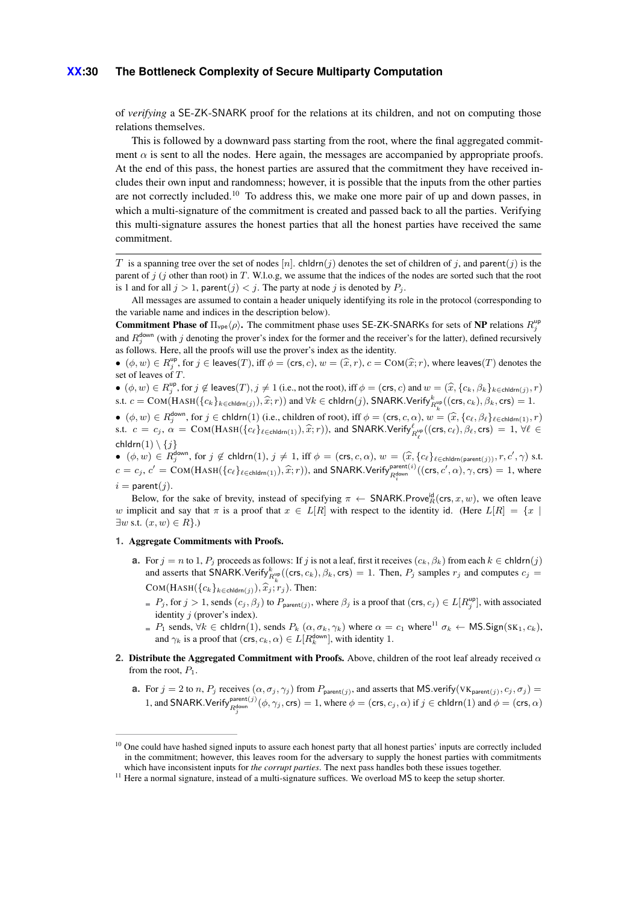#### **XX:30 The Bottleneck Complexity of Secure Multiparty Computation**

of *verifying* a SE-ZK-SNARK proof for the relations at its children, and not on computing those relations themselves.

This is followed by a downward pass starting from the root, where the final aggregated commitment  $\alpha$  is sent to all the nodes. Here again, the messages are accompanied by appropriate proofs. At the end of this pass, the honest parties are assured that the commitment they have received includes their own input and randomness; however, it is possible that the inputs from the other parties are not correctly included.<sup>[10](#page-29-0)</sup> To address this, we make one more pair of up and down passes, in which a multi-signature of the commitment is created and passed back to all the parties. Verifying this multi-signature assures the honest parties that all the honest parties have received the same commitment.

*T* is a spanning tree over the set of nodes  $[n]$ . chldrn(*j*) denotes the set of children of *j*, and parent(*j*) is the parent of *j* (*j* other than root) in *T*. W.l.o.g, we assume that the indices of the nodes are sorted such that the root is 1 and for all  $j > 1$ , parent $(j) < j$ . The party at node *j* is denoted by  $P_j$ .

All messages are assumed to contain a header uniquely identifying its role in the protocol (corresponding to the variable name and indices in the description below).

**Commitment Phase of**  $\Pi_{\text{vpe}} \langle \rho \rangle$ . The commitment phase uses SE-ZK-SNARKs for sets of NP relations  $R_j^{\text{up}}$ and  $R_j^{\text{down}}$  (with *j* denoting the prover's index for the former and the receiver's for the latter), defined recursively as follows. Here, all the proofs will use the prover's index as the identity.

 $\phi$  ( $\phi, w$ )  $\in R_y^{\text{up}}$ , for  $j \in \text{leaves}(T)$ , iff  $\phi = (\text{crs}, c)$ ,  $w = (\hat{x}, r)$ ,  $c = \text{COM}(\hat{x}; r)$ , where leaves(*T*) denotes the set of leaves of *T* set of leaves of *T*.

 $\bullet$   $(\phi, w) \in R_j^{\text{up}},$  for  $j \notin \text{leaves}(T), j \neq 1$  (i.e., not the root), iff  $\phi = (\text{crs}, c)$  and  $w = (\hat{x}, \{c_k, \beta_k\}_{k \in \text{children}(j)}, r)$ s.t.  $c = \text{COM}(\text{HASH}(\{c_k\}_{k \in \text{chldrn}(j)}), \hat{x}; r)$  and  $\forall k \in \text{chldrn}(j)$ , SNARK.Verify ${}_{R_k^{\text{up}}}^k((\text{crs}, c_k), \beta_k, \text{crs}) = 1$ .

 $\bullet$   $(\phi, w) \in R_j^{\text{down}},$  for  $j \in \text{chldrn}(1)$  (i.e., children of root), iff  $\phi = (\text{crs}, c, \alpha)$ ,  $w = (\hat{x}, \{c_\ell, \beta_\ell\}_{\ell \in \text{chldrn}(1)}, r)$ s.t.  $c = c_j$ ,  $\alpha = \text{COM}(HASH(\{c_\ell\}_{\ell \in \text{chldrn}(1)}), \hat{x}; r)$ ), and SNARK.Verify  ${}_{R_\ell^{\text{up}}}^{\ell}((\text{crs}, c_\ell), \beta_\ell, \text{crs}) = 1, \forall \ell \in \mathbb{N}$ chldrn(1)  $\setminus \{j\}$ 

•  $(\phi, w) \in R_0^{\text{down}}$ , for  $j \notin \text{chldrm}(1), j \neq 1$ , iff  $\phi = (\text{crs}, c, \alpha), w = (\hat{x}, \{c_\ell\}_{\ell \in \text{chldm}(\text{parent}(j))}, r, c', \gamma)$  s.t.  $c = c_j$ ,  $c' = \text{COM}(\text{HASH}(\{c_\ell\}_{\ell \in \text{chldrn}(1)}), \hat{x}; r)$ ), and SNARK.Verify  $_{R_q^{\text{down}}}^{\text{parent}(i)}((\text{crs}, c', \alpha), \gamma, \text{crs}) = 1$ , where  $i =$  parent $(j)$ .

Below, for the sake of brevity, instead of specifying  $\pi \leftarrow \text{SNARK.Prove}_R^{\text{id}}(\text{crs}, x, w)$ , we often leave *w* implicit and say that  $\pi$  is a proof that  $x \in L[R]$  with respect to the identity id. (Here  $L[R] = \{x \mid R\}$  $\exists w \text{ s.t. } (x, w) \in R$ .)

#### **1.** Aggregate Commitments with Proofs.

- **a.** For  $j = n$  to 1,  $P_j$  proceeds as follows: If *j* is not a leaf, first it receives  $(c_k, \beta_k)$  from each  $k \in \text{chldrn}(j)$ and asserts that SNARK.Verify ${}_{R_k^{\text{up}}}^k((\text{crs}, c_k), \beta_k, \text{crs}) = 1$ . Then,  $P_j$  samples  $r_j$  and computes  $c_j =$  $COM(HASH({c_k}_{k \in children(j)}), \hat{x}_j; r_j)$ . Then:
	- $P_j$ , for  $j > 1$ , sends  $(c_j, \beta_j)$  to  $P_{\text{parent}(j)}$ , where  $\beta_j$  is a proof that  $(\text{crs}, c_j) \in L[R_j^{\text{up}}]$ , with associated identity *j* (prover's index).
	- $P_1$  sends,  $\forall k \in \text{chldrn}(1)$ , sends  $P_k(\alpha, \sigma_k, \gamma_k)$  where  $\alpha = c_1$  where<sup>[11](#page-29-1)</sup>  $\sigma_k$  ← MS.Sign(SK<sub>1</sub>, *c<sub>k</sub>*), and  $\gamma_k$  is a proof that  $(\text{crs}, c_k, \alpha) \in L[R_k^{\text{down}}]$ , with identity 1.
- **2.** Distribute the Aggregated Commitment with Proofs. Above, children of the root leaf already received *α* from the root,  $P_1$ .
	- **a.** For  $j = 2$  to n,  $P_j$  receives  $(\alpha, \sigma_j, \gamma_j)$  from  $P_{\text{parent}(j)}$ , and asserts that MS verify  $(\forall K_{\text{parent}(j)}, c_j, \sigma_j)$ 1, and SNARK.Verify  $P_{R_j^{\text{down}}}^{\text{parent}(j)}(\phi, \gamma_j, \text{crs}) = 1$ , where  $\phi = (\text{crs}, c_j, \alpha)$  if  $j \in \text{chldrn}(1)$  and  $\phi = (\text{crs}, \alpha)$

<span id="page-29-0"></span><sup>&</sup>lt;sup>10</sup> One could have hashed signed inputs to assure each honest party that all honest parties' inputs are correctly included in the commitment; however, this leaves room for the adversary to supply the honest parties with commitments which have inconsistent inputs for *the corrupt parties*. The next pass handles both these issues together.

<span id="page-29-1"></span><sup>&</sup>lt;sup>11</sup> Here a normal signature, instead of a multi-signature suffices. We overload MS to keep the setup shorter.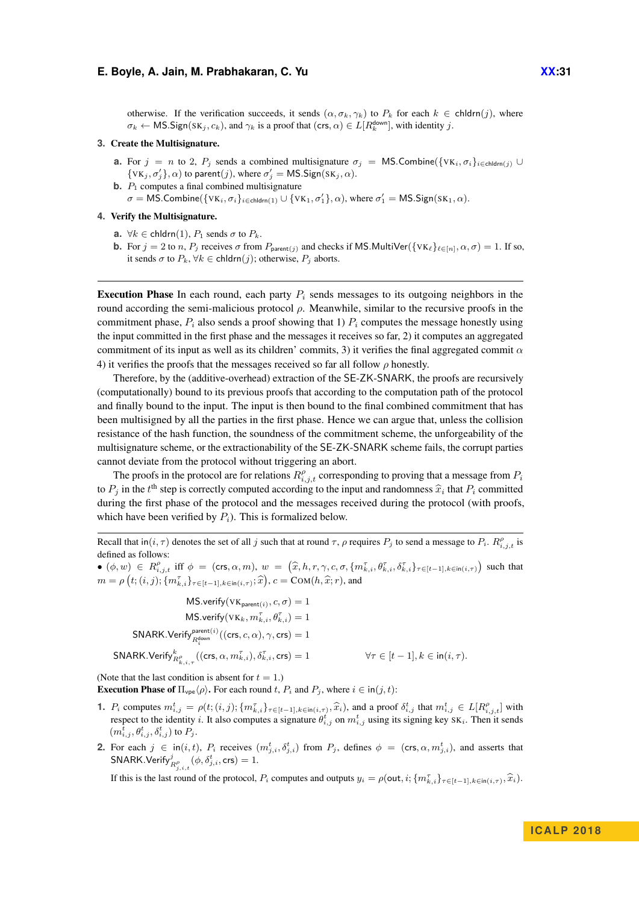otherwise. If the verification succeeds, it sends  $(\alpha, \sigma_k, \gamma_k)$  to  $P_k$  for each  $k \in \text{chldrn}(j)$ , where  $\sigma_k \leftarrow \text{MS}.Sign(SK_j, c_k)$ , and  $\gamma_k$  is a proof that (crs,  $\alpha$ )  $\in L[R_k^{\text{down}}]$ , with identity *j*.

#### **3.** Create the Multisignature.

- **a.** For  $j = n$  to 2,  $P_j$  sends a combined multisignature  $\sigma_j = \mathsf{MS}$ . Combine({VK<sub>i</sub>,  $\sigma_i$ }<sub>i</sub>∈chldrn(*j*) ∪  $\{VK_j, \sigma'_j\}, \alpha)$  to parent $(j)$ , where  $\sigma'_j = \textsf{MS}.$  Sign $(SK_j, \alpha)$ .
- **b.**  $P_1$  computes a final combined multisignature  $\sigma = \textsf{MS}.$ Combine( $\{VK_i, \sigma_i\}_{i \in \textsf{chldrn}(1)} \cup \{VK_1, \sigma'_1\}, \alpha$ ), where  $\sigma'_1 = \textsf{MS}.$ Sign(SK<sub>1</sub>,  $\alpha$ ).

### **4.** Verify the Multisignature.

- **a.**  $\forall k \in \text{chldrn}(1), P_1 \text{ sends } \sigma \text{ to } P_k$ .
- **b.** For  $j = 2$  to *n*,  $P_j$  receives  $\sigma$  from  $P_{\text{parent}(j)}$  and checks if MS. MultiVer( $\{VK_\ell\}_{\ell \in [n]}, \alpha, \sigma) = 1$ . If so, it sends  $\sigma$  to  $P_k$ ,  $\forall k \in \text{chldrn}(j)$ ; otherwise,  $P_j$  aborts.

**Execution Phase** In each round, each party  $P_i$  sends messages to its outgoing neighbors in the round according the semi-malicious protocol *ρ*. Meanwhile, similar to the recursive proofs in the commitment phase,  $P_i$  also sends a proof showing that 1)  $P_i$  computes the message honestly using the input committed in the first phase and the messages it receives so far, 2) it computes an aggregated commitment of its input as well as its children' commits, 3) it verifies the final aggregated commit  $\alpha$ 4) it verifies the proofs that the messages received so far all follow *ρ* honestly.

Therefore, by the (additive-overhead) extraction of the SE-ZK-SNARK, the proofs are recursively (computationally) bound to its previous proofs that according to the computation path of the protocol and finally bound to the input. The input is then bound to the final combined commitment that has been multisigned by all the parties in the first phase. Hence we can argue that, unless the collision resistance of the hash function, the soundness of the commitment scheme, the unforgeability of the multisignature scheme, or the extractionability of the SE-ZK-SNARK scheme fails, the corrupt parties cannot deviate from the protocol without triggering an abort.

The proofs in the protocol are for relations  $R_{i,j,t}^{\rho}$  corresponding to proving that a message from  $P_i$ to  $P_j$  in the *t*<sup>th</sup> step is correctly computed according to the input and randomness  $\hat{x}_i$  that  $P_i$  committed during the first phase of the material and the massesses reserved during the material (with masses during the first phase of the protocol and the messages received during the protocol (with proofs, which have been verified by  $P_i$ ). This is formalized below.

Recall that  $\text{in}(i, \tau)$  denotes the set of all *j* such that at round  $\tau$ ,  $\rho$  requires  $P_j$  to send a message to  $P_i$ .  $R_{i,j,t}^{\rho}$  is defined as follows:

 $\bullet$   $(\phi, w) \in R_{i,j,t}^{\rho}$  iff  $\phi = (\text{crs}, \alpha, m), w = (\hat{x}, h, r, \gamma, c, \sigma, \{m_{k,i}^{\tau}, \theta_{k,i}^{\tau}, \delta_{k,i}^{\tau}\}_{\tau \in [t-1], k \in \text{in}(i,\tau)})$  such that  $m = \rho\left(t; (i, j); \{m_{k,i}^{\tau}\}_{\tau \in [t-1], k \in \text{in}(i, \tau)}; \hat{x}\right), c = \text{COM}(h, \hat{x}; r)$ , and

 $MS.\text{verify}(VK_{parent(i)}, c, \sigma) = 1$  $MS \cdot$ verify $(VK_k, m_{k,i}^{\tau}, \theta_{k,i}^{\tau}) = 1$  $\mathsf{SNARK}.\mathsf{Verify}_{R_q^{\mathsf{down}}}^{\mathsf{parent}(i)}((\mathsf{crs},c,\alpha),\gamma,\mathsf{crs}) = 1$  $\mathsf{SNARK}.\mathsf{Verify}_{R^{\rho}_{k,\,i,\,\tau}}^k((\mathsf{crs}, \alpha, m_{k,i}^{\tau}), \delta_k^{\tau})$  $\forall \tau \in [t-1], k \in \text{in}(i, \tau)$ .

(Note that the last condition is absent for  $t = 1$ .)

**Execution Phase of**  $\Pi_{\text{vpe}}\langle\rho\rangle$ . For each round *t*,  $P_i$  and  $P_j$ , where  $i \in \text{in}(j, t)$ :

- **1.**  $P_i$  computes  $m_{i,j}^t = \rho(t; (i,j); \{m_{k,i}^r\}_{r \in [t-1], k \in [n(i,\tau), \hat{x}_i), \hat{x}_i\}$ , and a proof  $\delta_{i,j}^t$  that  $m_{i,j}^t \in L[R_{i,j,t}^{\rho}]$  with respect to the identity i. It also computes a signature  $\theta_i^t$ , on  $m_i^t$ , using its respect to the identity *i*. It also computes a signature  $\theta_{i,j}^t$  on  $m_{i,j}^t$  using its signing key SK<sub>i</sub>. Then it sends  $(m_{i,j}^t, \theta_{i,j}^t, \delta_{i,j}^t)$  to  $P_j$ .
- **2.** For each  $j \in \text{in}(i, t)$ ,  $P_i$  receives  $(m_{j,i}^t, \delta_{j,i}^t)$  from  $P_j$ , defines  $\phi = (\text{crs}, \alpha, m_{j,i}^t)$ , and asserts that  $\mathsf{SNARK}.\mathsf{Verify}^{j}_{R^{ \rho}_{j,i,t}}(\phi,\delta^{t}_{j,i},\mathsf{crs})=1.$

If this is the last round of the protocol,  $P_i$  computes and outputs  $y_i = \rho(\text{out}, i; \{m_{k,i}^{\tau}\}_{\tau \in [t-1], k \in \text{in}(i,\tau)}, \hat{x}_i)$ .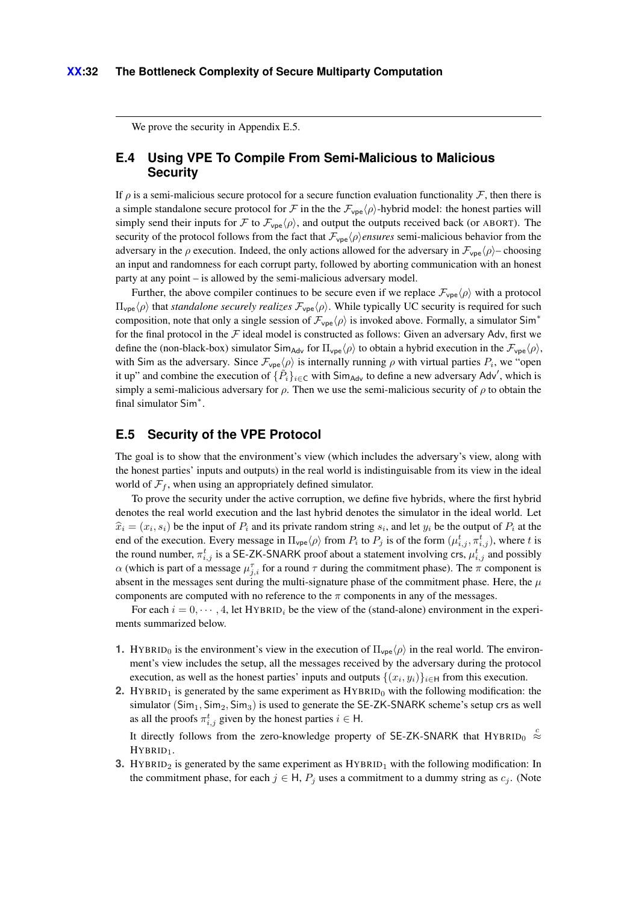We prove the security in [Appendix E.5.](#page-31-1)

# <span id="page-31-0"></span>**E.4 Using VPE To Compile From Semi-Malicious to Malicious Security**

If  $\rho$  is a semi-malicious secure protocol for a secure function evaluation functionality F, then there is a simple standalone secure protocol for F in the the  $\mathcal{F}_{\text{vpe}}(\rho)$ -hybrid model: the honest parties will simply send their inputs for F to  $\mathcal{F}_{\text{vpe}}\langle \rho \rangle$ , and output the outputs received back (or ABORT). The security of the protocol follows from the fact that  $\mathcal{F}_{\text{vpe}}(\rho)$ *ensures* semi-malicious behavior from the adversary in the *ρ* execution. Indeed, the only actions allowed for the adversary in  $\mathcal{F}_{\text{vpe}}(\rho)$ – choosing an input and randomness for each corrupt party, followed by aborting communication with an honest party at any point – is allowed by the semi-malicious adversary model.

Further, the above compiler continues to be secure even if we replace  $\mathcal{F}_{\text{vpe}}\langle\rho\rangle$  with a protocol  $\Pi_{\text{vpe}}\langle\rho\rangle$  that *standalone securely realizes*  $\mathcal{F}_{\text{vpe}}\langle\rho\rangle$ . While typically UC security is required for such composition, note that only a single session of  $\mathcal{F}_{\text{vpe}}\langle\rho\rangle$  is invoked above. Formally, a simulator Sim<sup>\*</sup> for the final protocol in the  $F$  ideal model is constructed as follows: Given an adversary Adv, first we define the (non-black-box) simulator Sim<sub>Ady</sub> for  $\Pi_{\text{vpe}}/\rho$  to obtain a hybrid execution in the  $\mathcal{F}_{\text{vpe}}/\rho$ , with Sim as the adversary. Since  $\mathcal{F}_{\text{vpe}}(\rho)$  is internally running  $\rho$  with virtual parties  $P_i$ , we "open it up" and combine the execution of  $\{P_i\}_{i \in \mathsf{C}}$  with Sim<sub>Adv</sub> to define a new adversary Adv', which is simply a semi-malicious adversary for  $\rho$ . Then we use the semi-malicious security of  $\rho$  to obtain the final simulator Sim<sup>\*</sup>.

# <span id="page-31-1"></span>**E.5 Security of the VPE Protocol**

The goal is to show that the environment's view (which includes the adversary's view, along with the honest parties' inputs and outputs) in the real world is indistinguisable from its view in the ideal world of  $\mathcal{F}_f$ , when using an appropriately defined simulator.

To prove the security under the active corruption, we define five hybrids, where the first hybrid denotes the real world execution and the last hybrid denotes the simulator in the ideal world. Let  $\hat{x}_i = (x_i, s_i)$  be the input of *P<sub>i</sub>* and its private random string  $s_i$ , and let  $y_i$  be the output of  $P_i$  at the end of the execution. Every message in  $\Pi_{\text{vpe}}\langle\rho\rangle$  from  $P_i$  to  $P_j$  is of the form  $(\mu_{i,j}^t, \pi_{i,j}^t)$ , where *t* is the round number,  $\pi_{i,j}^t$  is a SE-ZK-SNARK proof about a statement involving crs,  $\mu_{i,j}^t$  and possibly *α* (which is part of a message  $\mu_{j,i}^{\tau}$  for a round  $\tau$  during the commitment phase). The  $\pi$  component is absent in the messages sent during the multi-signature phase of the commitment phase. Here, the *µ* components are computed with no reference to the  $\pi$  components in any of the messages.

For each  $i = 0, \dots, 4$ , let HYBRID<sub>i</sub> be the view of the (stand-alone) environment in the experiments summarized below.

- **1.** HYBRID<sub>0</sub> is the environment's view in the execution of  $\Pi_{\text{vpe}}(\rho)$  in the real world. The environment's view includes the setup, all the messages received by the adversary during the protocol execution, as well as the honest parties' inputs and outputs  $\{(x_i, y_i)\}_{i \in \mathbb{H}}$  from this execution.
- **2.** HYBRID<sub>1</sub> is generated by the same experiment as  $HYBRID<sub>0</sub>$  with the following modification: the simulator (Sim<sub>1</sub>, Sim<sub>2</sub>, Sim<sub>3</sub>) is used to generate the SE-ZK-SNARK scheme's setup crs as well as all the proofs  $\pi_{i,j}^t$  given by the honest parties  $i \in \mathsf{H}$ .

It directly follows from the zero-knowledge property of SE-ZK-SNARK that HYBRID<sub>0</sub> <sup>c</sup> HYBRID<sub>1</sub>.

**3.** HYBRID<sub>2</sub> is generated by the same experiment as  $HYBRID_1$  with the following modification: In the commitment phase, for each  $j \in H$ ,  $P_j$  uses a commitment to a dummy string as  $c_j$ . (Note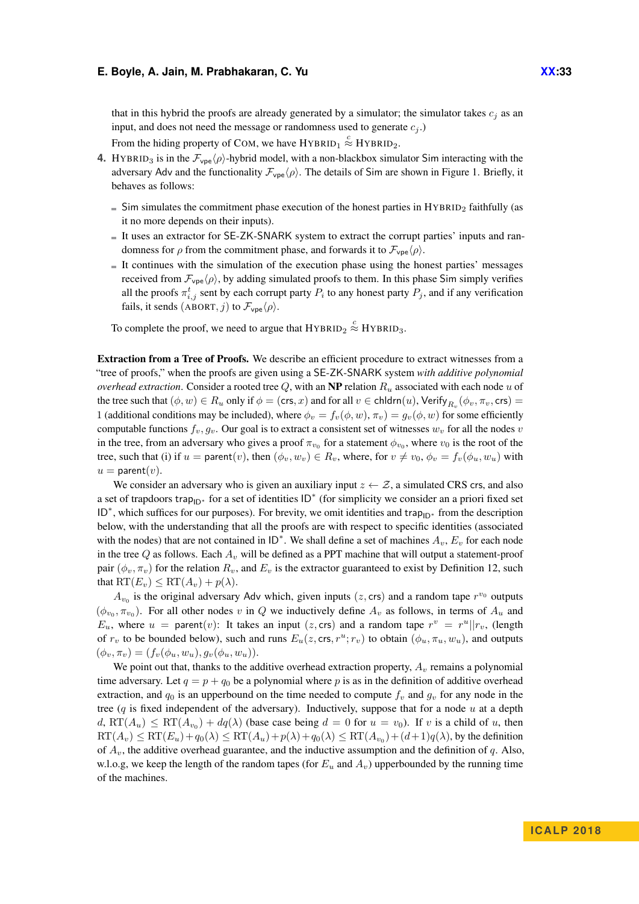that in this hybrid the proofs are already generated by a simulator; the simulator takes  $c_i$  as an input, and does not need the message or randomness used to generate  $c_j$ .)

From the hiding property of COM, we have  $HYBRID_1 \stackrel{c}{\approx} HYBRID_2$ .

- **4.** HYBRID<sub>3</sub> is in the  $\mathcal{F}_{\text{vpe}}(\rho)$ -hybrid model, with a non-blackbox simulator Sim interacting with the adversary Adv and the functionality  $\mathcal{F}_{\text{vpe}}(\rho)$ . The details of Sim are shown in [Figure 1.](#page-34-1) Briefly, it behaves as follows:
	- $\overline{\phantom{a}}$  Sim simulates the commitment phase execution of the honest parties in HYBRID<sub>2</sub> faithfully (as it no more depends on their inputs).
	- It uses an extractor for SE-ZK-SNARK system to extract the corrupt parties' inputs and randomness for  $\rho$  from the commitment phase, and forwards it to  $\mathcal{F}_{\text{vpe}}(\rho)$ .
	- $I$  It continues with the simulation of the execution phase using the honest parties' messages received from  $\mathcal{F}_{\text{vpe}}(\rho)$ , by adding simulated proofs to them. In this phase Sim simply verifies all the proofs  $\pi_{i,j}^t$  sent by each corrupt party  $P_i$  to any honest party  $P_j$ , and if any verification fails, it sends (ABORT, *j*) to  $\mathcal{F}_{\text{vpe}}\langle\rho\rangle$ .

To complete the proof, we need to argue that  $HYBRID_2 \stackrel{c}{\approx} HYBRID_3$ .

Extraction from a Tree of Proofs. We describe an efficient procedure to extract witnesses from a "tree of proofs," when the proofs are given using a SE-ZK-SNARK system *with additive polynomial overhead extraction*. Consider a rooted tree *Q*, with an NP relation *R<sup>u</sup>* associated with each node *u* of the tree such that  $(\phi, w) \in R_u$  only if  $\phi = (\text{crs}, x)$  and for all  $v \in \text{chldern}(u)$ ,  $\text{Verify}_{R_v}(\phi_v, \pi_v, \text{crs}) =$ 1 (additional conditions may be included), where  $\phi_v = f_v(\phi, w)$ ,  $\pi_v = g_v(\phi, w)$  for some efficiently computable functions  $f_v, g_v$ . Our goal is to extract a consistent set of witnesses  $w_v$  for all the nodes *v* in the tree, from an adversary who gives a proof  $\pi_{v_0}$  for a statement  $\phi_{v_0}$ , where  $v_0$  is the root of the tree, such that (i) if  $u =$  parent(*v*), then  $(\phi_v, w_v) \in R_v$ , where, for  $v \neq v_0$ ,  $\phi_v = f_v(\phi_u, w_u)$  with  $u =$  parent $(v)$ .

We consider an adversary who is given an auxiliary input  $z \leftarrow \mathcal{Z}$ , a simulated CRS crs, and also a set of trapdoors trap<sub>ID<sup>∗</sup></sub> for a set of identities  $ID^*$  (for simplicity we consider an a priori fixed set ID<sup>\*</sup>, which suffices for our purposes). For brevity, we omit identities and trap<sub>ID<sup>∗</sup></sub> from the description below, with the understanding that all the proofs are with respect to specific identities (associated with the nodes) that are not contained in  $ID^*$ . We shall define a set of machines  $A_v$ ,  $E_v$  for each node in the tree *Q* as follows. Each *A<sup>v</sup>* will be defined as a PPT machine that will output a statement-proof pair  $(\phi_v, \pi_v)$  for the relation  $R_v$ , and  $E_v$  is the extractor guaranteed to exist by [Definition 12,](#page-16-0) such that  $RT(E_v) \leq RT(A_v) + p(\lambda)$ .

 $A_{v_0}$  is the original adversary Adv which, given inputs (*z*, crs) and a random tape  $r^{v_0}$  outputs  $(\phi_{v_0}, \pi_{v_0})$ . For all other nodes *v* in *Q* we inductively define  $A_v$  as follows, in terms of  $A_u$  and *E<sub>u</sub>*, where  $u =$  parent(*v*): It takes an input (*z*, crs) and a random tape  $r^v = r^u || r_v$ , (length of  $r_v$  to be bounded below), such and runs  $E_u(z, \text{crs}, r^u; r_v)$  to obtain  $(\phi_u, \pi_u, w_u)$ , and outputs  $(\phi_v, \pi_v) = (f_v(\phi_u, w_u), g_v(\phi_u, w_u)).$ 

We point out that, thanks to the additive overhead extraction property,  $A<sub>v</sub>$  remains a polynomial time adversary. Let  $q = p + q_0$  be a polynomial where p is as in the definition of additive overhead extraction, and  $q_0$  is an upperbound on the time needed to compute  $f_v$  and  $q_v$  for any node in the tree (*q* is fixed independent of the adversary). Inductively, suppose that for a node *u* at a depth  $d$ ,  $RT(A_u) \le RT(A_{v_0}) + dq(\lambda)$  (base case being  $d = 0$  for  $u = v_0$ ). If *v* is a child of *u*, then  $\mathrm{RT}(A_v) \leq \mathrm{RT}(E_u) + q_0(\lambda) \leq \mathrm{RT}(A_u) + p(\lambda) + q_0(\lambda) \leq \mathrm{RT}(A_{v_0}) + (d+1)q(\lambda)$ , by the definition of  $A_v$ , the additive overhead guarantee, and the inductive assumption and the definition of  $q$ . Also, w.l.o.g, we keep the length of the random tapes (for  $E_u$  and  $A_v$ ) upperbounded by the running time of the machines.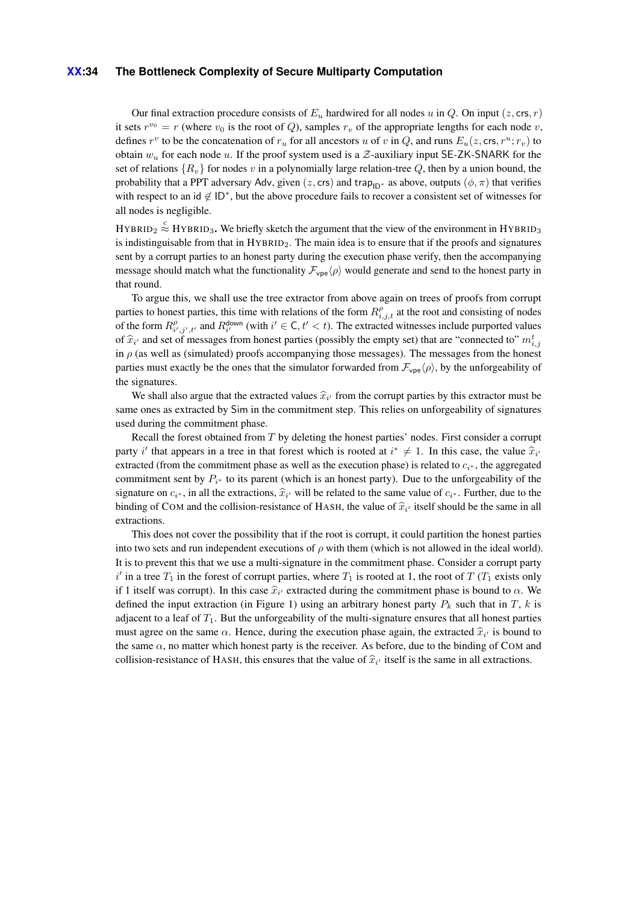### **XX:34 The Bottleneck Complexity of Secure Multiparty Computation**

Our final extraction procedure consists of  $E_u$  hardwired for all nodes *u* in *Q*. On input (*z*, crs, *r*) it sets  $r^{v_0} = r$  (where  $v_0$  is the root of *Q*), samples  $r_v$  of the appropriate lengths for each node *v*, defines  $r^v$  to be the concatenation of  $r_u$  for all ancestors *u* of *v* in *Q*, and runs  $E_u(z, \text{crs}, r^u; r_v)$  to obtain  $w_u$  for each node *u*. If the proof system used is a  $Z$ -auxiliary input SE-ZK-SNARK for the set of relations  ${R_v}$  for nodes *v* in a polynomially large relation-tree *Q*, then by a union bound, the probability that a PPT adversary Adv, given (*z*, crs) and trap<sub>ID<sup>∗</sup></sub> as above, outputs ( $\phi$ ,  $\pi$ ) that verifies with respect to an id  $\notin$  ID<sup>\*</sup>, but the above procedure fails to recover a consistent set of witnesses for all nodes is negligible.

 $HYBRID_2 \stackrel{c}{\approx} HYBRID_3$ . We briefly sketch the argument that the view of the environment in  $HYBRID_3$ is indistinguisable from that in  $HYBRID<sub>2</sub>$ . The main idea is to ensure that if the proofs and signatures sent by a corrupt parties to an honest party during the execution phase verify, then the accompanying message should match what the functionality  $\mathcal{F}_{\text{vpe}}\langle \rho \rangle$  would generate and send to the honest party in that round.

To argue this, we shall use the tree extractor from above again on trees of proofs from corrupt parties to honest parties, this time with relations of the form  $R^{\rho}_{i,j,t}$  at the root and consisting of nodes of the form  $R_{i',j',t'}^{\rho}$  and  $R_{i'}^{\text{down}}$  (with  $i' \in \mathsf{C}, t' < t$ ). The extracted witnesses include purported values of  $\hat{x}_i$  and set of messages from honest parties (possibly the empty set) that are "connected to"  $m^t_{i,j}$ <br>in a (ca wall as (simulated) proofs assemption those messages). The messages from the honest in  $\rho$  (as well as (simulated) proofs accompanying those messages). The messages from the honest parties must exactly be the ones that the simulator forwarded from  $\mathcal{F}_{\text{vpe}}(\rho)$ , by the unforgeability of the signatures.

We shall also argue that the extracted values  $\hat{x}_i$  from the corrupt parties by this extractor must be considered by  $\hat{\mathbf{S}}$  in the commitment stap. This relies on unforceability of signatures same ones as extracted by Sim in the commitment step. This relies on unforgeability of signatures used during the commitment phase.

Recall the forest obtained from *T* by deleting the honest parties' nodes. First consider a corrupt party *i*<sup> $\prime$ </sup> that appears in a tree in that forest which is rooted at  $i^* \neq 1$ . In this case, the value  $\hat{x}_i$ extracted (from the commitment phase as well as the execution phase) is related to  $c_i$ <sup>\*</sup>, the aggregated commitment sent by  $P_{i^*}$  to its parent (which is an honest party). Due to the unforgeability of the signature on  $c_i^*$ , in all the extractions,  $\hat{x}_i$  will be related to the same value of  $c_i^*$ . Further, due to the binding of COM and the sellician resistance of HASH the value of  $\hat{\mathcal{R}}$  itself should be the same i binding of COM and the collision-resistance of HASH, the value of  $\hat{x}_{i'}$  itself should be the same in all extractions. extractions.

This does not cover the possibility that if the root is corrupt, it could partition the honest parties into two sets and run independent executions of *ρ* with them (which is not allowed in the ideal world). It is to prevent this that we use a multi-signature in the commitment phase. Consider a corrupt party  $i'$  in a tree  $T_1$  in the forest of corrupt parties, where  $T_1$  is rooted at 1, the root of  $T(T_1)$  exists only if 1 itself was corrupt). In this case  $\hat{x}_i$  extracted during the commitment phase is bound to *α*. We defined the innut outposite (in Figure 1) using an ephitman hencet neutral  $P$  and that in  $T$  by in defined the input extraction (in [Figure 1\)](#page-34-1) using an arbitrary honest party  $P_k$  such that in  $T$ ,  $k$  is adjacent to a leaf of  $T_1$ . But the unforgeability of the multi-signature ensures that all honest parties must agree on the same  $\alpha$ . Hence, during the execution phase again, the extracted  $\hat{x}_{i'}$  is bound to the same *a* no matter which happet next is the pressure. As helpes due to the hinding of COM and the same  $\alpha$ , no matter which honest party is the receiver. As before, due to the binding of COM and collision-resistance of HASH, this ensures that the value of  $\hat{x}_{i'}$  itself is the same in all extractions.